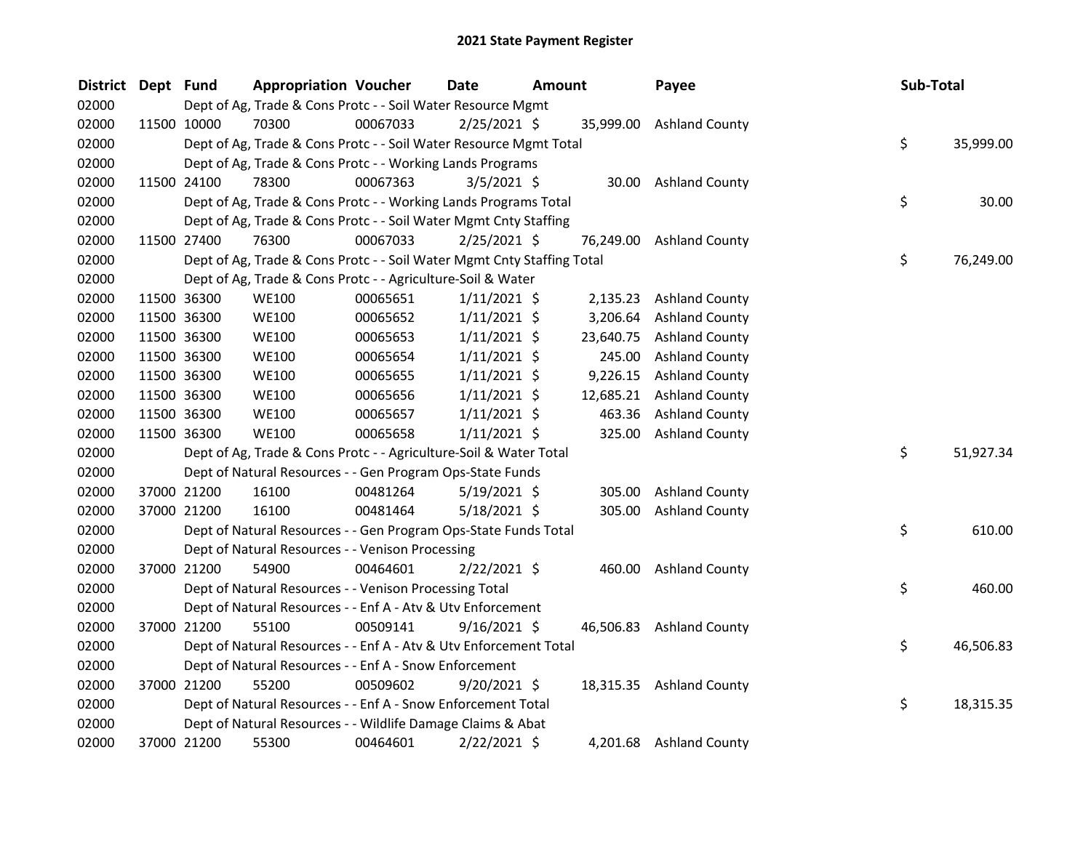| <b>District</b> | Dept Fund |             | <b>Appropriation Voucher</b>                                           |          | Date           | <b>Amount</b> |           | Payee                    | Sub-Total |           |
|-----------------|-----------|-------------|------------------------------------------------------------------------|----------|----------------|---------------|-----------|--------------------------|-----------|-----------|
| 02000           |           |             | Dept of Ag, Trade & Cons Protc - - Soil Water Resource Mgmt            |          |                |               |           |                          |           |           |
| 02000           |           | 11500 10000 | 70300                                                                  | 00067033 | $2/25/2021$ \$ |               |           | 35,999.00 Ashland County |           |           |
| 02000           |           |             | Dept of Ag, Trade & Cons Protc - - Soil Water Resource Mgmt Total      |          |                |               |           |                          | \$        | 35,999.00 |
| 02000           |           |             | Dept of Ag, Trade & Cons Protc - - Working Lands Programs              |          |                |               |           |                          |           |           |
| 02000           |           | 11500 24100 | 78300                                                                  | 00067363 | $3/5/2021$ \$  |               |           | 30.00 Ashland County     |           |           |
| 02000           |           |             | Dept of Ag, Trade & Cons Protc - - Working Lands Programs Total        |          |                |               |           |                          | \$        | 30.00     |
| 02000           |           |             | Dept of Ag, Trade & Cons Protc - - Soil Water Mgmt Cnty Staffing       |          |                |               |           |                          |           |           |
| 02000           |           | 11500 27400 | 76300                                                                  | 00067033 | $2/25/2021$ \$ |               |           | 76,249.00 Ashland County |           |           |
| 02000           |           |             | Dept of Ag, Trade & Cons Protc - - Soil Water Mgmt Cnty Staffing Total |          |                |               |           |                          | \$        | 76,249.00 |
| 02000           |           |             | Dept of Ag, Trade & Cons Protc - - Agriculture-Soil & Water            |          |                |               |           |                          |           |           |
| 02000           |           | 11500 36300 | <b>WE100</b>                                                           | 00065651 | $1/11/2021$ \$ |               | 2,135.23  | <b>Ashland County</b>    |           |           |
| 02000           |           | 11500 36300 | <b>WE100</b>                                                           | 00065652 | $1/11/2021$ \$ |               | 3,206.64  | <b>Ashland County</b>    |           |           |
| 02000           |           | 11500 36300 | <b>WE100</b>                                                           | 00065653 | $1/11/2021$ \$ |               | 23,640.75 | <b>Ashland County</b>    |           |           |
| 02000           |           | 11500 36300 | <b>WE100</b>                                                           | 00065654 | $1/11/2021$ \$ |               | 245.00    | <b>Ashland County</b>    |           |           |
| 02000           |           | 11500 36300 | <b>WE100</b>                                                           | 00065655 | $1/11/2021$ \$ |               | 9,226.15  | <b>Ashland County</b>    |           |           |
| 02000           |           | 11500 36300 | <b>WE100</b>                                                           | 00065656 | $1/11/2021$ \$ |               | 12,685.21 | <b>Ashland County</b>    |           |           |
| 02000           |           | 11500 36300 | <b>WE100</b>                                                           | 00065657 | $1/11/2021$ \$ |               | 463.36    | <b>Ashland County</b>    |           |           |
| 02000           |           | 11500 36300 | <b>WE100</b>                                                           | 00065658 | $1/11/2021$ \$ |               | 325.00    | <b>Ashland County</b>    |           |           |
| 02000           |           |             | Dept of Ag, Trade & Cons Protc - - Agriculture-Soil & Water Total      |          |                |               |           |                          | \$        | 51,927.34 |
| 02000           |           |             | Dept of Natural Resources - - Gen Program Ops-State Funds              |          |                |               |           |                          |           |           |
| 02000           |           | 37000 21200 | 16100                                                                  | 00481264 | $5/19/2021$ \$ |               | 305.00    | <b>Ashland County</b>    |           |           |
| 02000           |           | 37000 21200 | 16100                                                                  | 00481464 | $5/18/2021$ \$ |               | 305.00    | <b>Ashland County</b>    |           |           |
| 02000           |           |             | Dept of Natural Resources - - Gen Program Ops-State Funds Total        |          |                |               |           |                          | \$        | 610.00    |
| 02000           |           |             | Dept of Natural Resources - - Venison Processing                       |          |                |               |           |                          |           |           |
| 02000           |           | 37000 21200 | 54900                                                                  | 00464601 | $2/22/2021$ \$ |               |           | 460.00 Ashland County    |           |           |
| 02000           |           |             | Dept of Natural Resources - - Venison Processing Total                 |          |                |               |           |                          | \$        | 460.00    |
| 02000           |           |             | Dept of Natural Resources - - Enf A - Atv & Utv Enforcement            |          |                |               |           |                          |           |           |
| 02000           |           | 37000 21200 | 55100                                                                  | 00509141 | $9/16/2021$ \$ |               |           | 46,506.83 Ashland County |           |           |
| 02000           |           |             | Dept of Natural Resources - - Enf A - Atv & Utv Enforcement Total      |          |                |               |           |                          | \$        | 46,506.83 |
| 02000           |           |             | Dept of Natural Resources - - Enf A - Snow Enforcement                 |          |                |               |           |                          |           |           |
| 02000           |           | 37000 21200 | 55200                                                                  | 00509602 | $9/20/2021$ \$ |               |           | 18,315.35 Ashland County |           |           |
| 02000           |           |             | Dept of Natural Resources - - Enf A - Snow Enforcement Total           |          |                |               |           |                          | \$        | 18,315.35 |
| 02000           |           |             | Dept of Natural Resources - - Wildlife Damage Claims & Abat            |          |                |               |           |                          |           |           |
| 02000           |           | 37000 21200 | 55300                                                                  | 00464601 | 2/22/2021 \$   |               |           | 4,201.68 Ashland County  |           |           |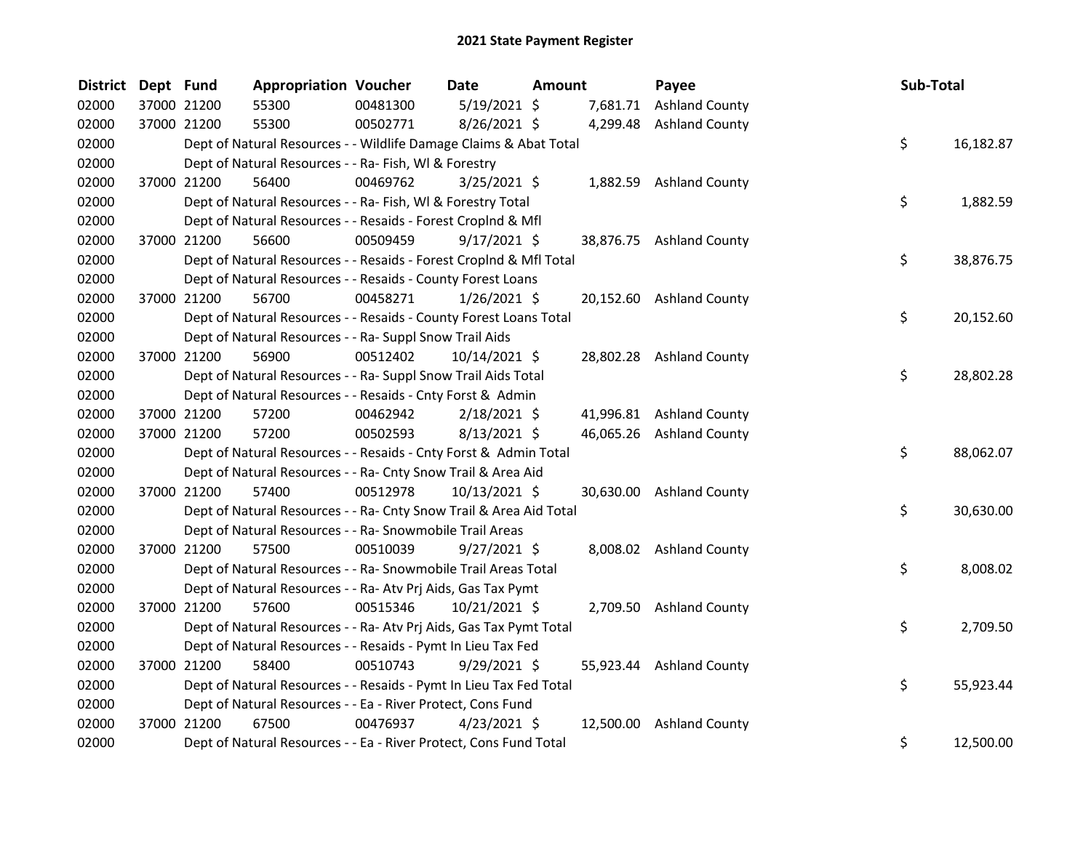| <b>District</b> | Dept Fund |             | <b>Appropriation Voucher</b>                                       |          | Date            | Amount |          | Payee                    | Sub-Total |           |
|-----------------|-----------|-------------|--------------------------------------------------------------------|----------|-----------------|--------|----------|--------------------------|-----------|-----------|
| 02000           |           | 37000 21200 | 55300                                                              | 00481300 | $5/19/2021$ \$  |        | 7,681.71 | <b>Ashland County</b>    |           |           |
| 02000           |           | 37000 21200 | 55300                                                              | 00502771 | 8/26/2021 \$    |        |          | 4,299.48 Ashland County  |           |           |
| 02000           |           |             | Dept of Natural Resources - - Wildlife Damage Claims & Abat Total  |          |                 |        |          |                          | \$        | 16,182.87 |
| 02000           |           |             | Dept of Natural Resources - - Ra- Fish, WI & Forestry              |          |                 |        |          |                          |           |           |
| 02000           |           | 37000 21200 | 56400                                                              | 00469762 | $3/25/2021$ \$  |        |          | 1,882.59 Ashland County  |           |           |
| 02000           |           |             | Dept of Natural Resources - - Ra- Fish, WI & Forestry Total        |          |                 |        |          |                          | \$        | 1,882.59  |
| 02000           |           |             | Dept of Natural Resources - - Resaids - Forest CropInd & Mfl       |          |                 |        |          |                          |           |           |
| 02000           |           | 37000 21200 | 56600                                                              | 00509459 | $9/17/2021$ \$  |        |          | 38,876.75 Ashland County |           |           |
| 02000           |           |             | Dept of Natural Resources - - Resaids - Forest CropInd & Mfl Total |          |                 |        |          |                          | \$        | 38,876.75 |
| 02000           |           |             | Dept of Natural Resources - - Resaids - County Forest Loans        |          |                 |        |          |                          |           |           |
| 02000           |           | 37000 21200 | 56700                                                              | 00458271 | $1/26/2021$ \$  |        |          | 20,152.60 Ashland County |           |           |
| 02000           |           |             | Dept of Natural Resources - - Resaids - County Forest Loans Total  |          |                 |        |          |                          | \$        | 20,152.60 |
| 02000           |           |             | Dept of Natural Resources - - Ra- Suppl Snow Trail Aids            |          |                 |        |          |                          |           |           |
| 02000           |           | 37000 21200 | 56900                                                              | 00512402 | 10/14/2021 \$   |        |          | 28,802.28 Ashland County |           |           |
| 02000           |           |             | Dept of Natural Resources - - Ra- Suppl Snow Trail Aids Total      |          |                 |        |          |                          | \$        | 28,802.28 |
| 02000           |           |             | Dept of Natural Resources - - Resaids - Cnty Forst & Admin         |          |                 |        |          |                          |           |           |
| 02000           |           | 37000 21200 | 57200                                                              | 00462942 | $2/18/2021$ \$  |        |          | 41,996.81 Ashland County |           |           |
| 02000           |           | 37000 21200 | 57200                                                              | 00502593 | 8/13/2021 \$    |        |          | 46,065.26 Ashland County |           |           |
| 02000           |           |             | Dept of Natural Resources - - Resaids - Cnty Forst & Admin Total   |          |                 |        |          |                          | \$        | 88,062.07 |
| 02000           |           |             | Dept of Natural Resources - - Ra- Cnty Snow Trail & Area Aid       |          |                 |        |          |                          |           |           |
| 02000           |           | 37000 21200 | 57400                                                              | 00512978 | $10/13/2021$ \$ |        |          | 30,630.00 Ashland County |           |           |
| 02000           |           |             | Dept of Natural Resources - - Ra- Cnty Snow Trail & Area Aid Total |          |                 |        |          |                          | \$        | 30,630.00 |
| 02000           |           |             | Dept of Natural Resources - - Ra- Snowmobile Trail Areas           |          |                 |        |          |                          |           |           |
| 02000           |           | 37000 21200 | 57500                                                              | 00510039 | $9/27/2021$ \$  |        |          | 8,008.02 Ashland County  |           |           |
| 02000           |           |             | Dept of Natural Resources - - Ra- Snowmobile Trail Areas Total     |          |                 |        |          |                          | \$        | 8,008.02  |
| 02000           |           |             | Dept of Natural Resources - - Ra- Atv Prj Aids, Gas Tax Pymt       |          |                 |        |          |                          |           |           |
| 02000           |           | 37000 21200 | 57600                                                              | 00515346 | 10/21/2021 \$   |        |          | 2,709.50 Ashland County  |           |           |
| 02000           |           |             | Dept of Natural Resources - - Ra- Atv Prj Aids, Gas Tax Pymt Total |          |                 |        |          |                          | \$        | 2,709.50  |
| 02000           |           |             | Dept of Natural Resources - - Resaids - Pymt In Lieu Tax Fed       |          |                 |        |          |                          |           |           |
| 02000           |           | 37000 21200 | 58400                                                              | 00510743 | $9/29/2021$ \$  |        |          | 55,923.44 Ashland County |           |           |
| 02000           |           |             | Dept of Natural Resources - - Resaids - Pymt In Lieu Tax Fed Total |          |                 |        |          |                          | \$        | 55,923.44 |
| 02000           |           |             | Dept of Natural Resources - - Ea - River Protect, Cons Fund        |          |                 |        |          |                          |           |           |
| 02000           |           | 37000 21200 | 67500                                                              | 00476937 | $4/23/2021$ \$  |        |          | 12,500.00 Ashland County |           |           |
| 02000           |           |             | Dept of Natural Resources - - Ea - River Protect, Cons Fund Total  |          |                 |        |          |                          | \$        | 12,500.00 |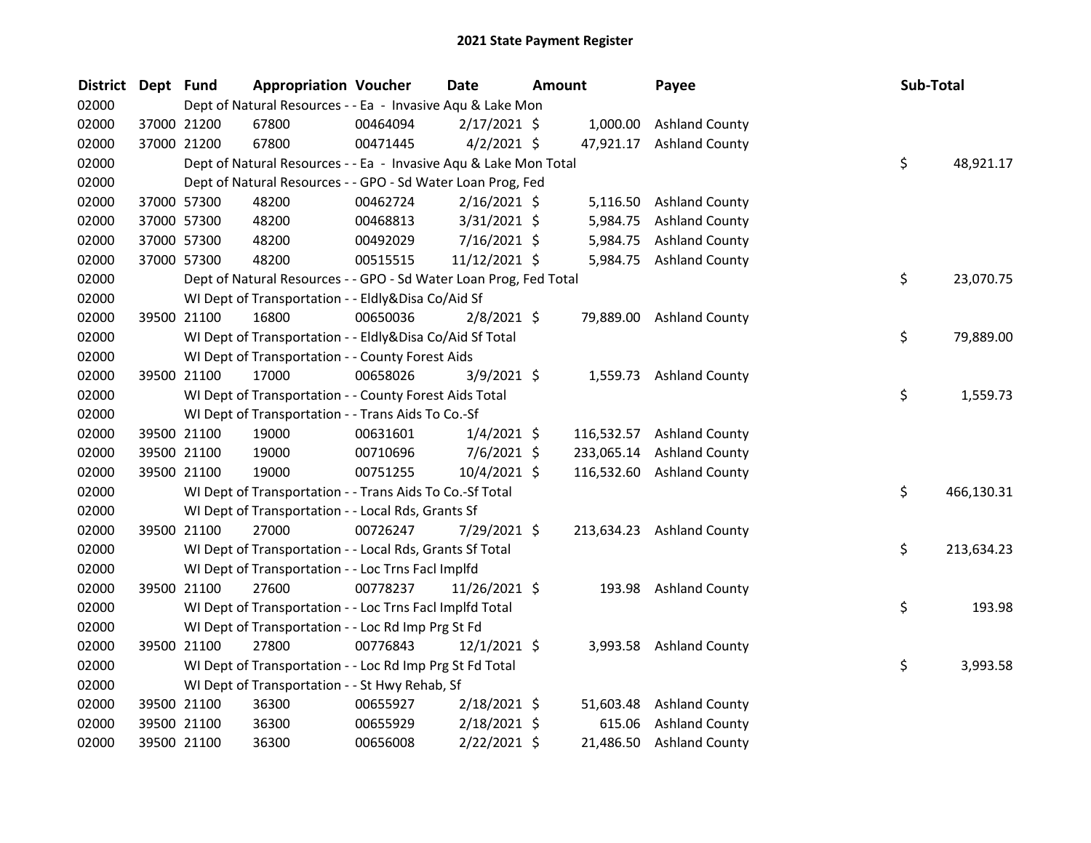| <b>District</b> | Dept Fund |             | <b>Appropriation Voucher</b>                                      |          | <b>Date</b>    | <b>Amount</b> |           | Payee                     | Sub-Total |            |
|-----------------|-----------|-------------|-------------------------------------------------------------------|----------|----------------|---------------|-----------|---------------------------|-----------|------------|
| 02000           |           |             | Dept of Natural Resources - - Ea - Invasive Aqu & Lake Mon        |          |                |               |           |                           |           |            |
| 02000           |           | 37000 21200 | 67800                                                             | 00464094 | $2/17/2021$ \$ |               | 1,000.00  | <b>Ashland County</b>     |           |            |
| 02000           |           | 37000 21200 | 67800                                                             | 00471445 | $4/2/2021$ \$  |               |           | 47,921.17 Ashland County  |           |            |
| 02000           |           |             | Dept of Natural Resources - - Ea - Invasive Aqu & Lake Mon Total  |          |                |               |           |                           | \$        | 48,921.17  |
| 02000           |           |             | Dept of Natural Resources - - GPO - Sd Water Loan Prog, Fed       |          |                |               |           |                           |           |            |
| 02000           |           | 37000 57300 | 48200                                                             | 00462724 | $2/16/2021$ \$ |               | 5,116.50  | <b>Ashland County</b>     |           |            |
| 02000           |           | 37000 57300 | 48200                                                             | 00468813 | $3/31/2021$ \$ |               | 5,984.75  | <b>Ashland County</b>     |           |            |
| 02000           |           | 37000 57300 | 48200                                                             | 00492029 | 7/16/2021 \$   |               | 5,984.75  | <b>Ashland County</b>     |           |            |
| 02000           |           | 37000 57300 | 48200                                                             | 00515515 | 11/12/2021 \$  |               |           | 5,984.75 Ashland County   |           |            |
| 02000           |           |             | Dept of Natural Resources - - GPO - Sd Water Loan Prog, Fed Total |          |                |               |           |                           | \$        | 23,070.75  |
| 02000           |           |             | WI Dept of Transportation - - Eldly&Disa Co/Aid Sf                |          |                |               |           |                           |           |            |
| 02000           |           | 39500 21100 | 16800                                                             | 00650036 | $2/8/2021$ \$  |               |           | 79,889.00 Ashland County  |           |            |
| 02000           |           |             | WI Dept of Transportation - - Eldly&Disa Co/Aid Sf Total          |          |                |               |           |                           | \$        | 79,889.00  |
| 02000           |           |             | WI Dept of Transportation - - County Forest Aids                  |          |                |               |           |                           |           |            |
| 02000           |           | 39500 21100 | 17000                                                             | 00658026 | $3/9/2021$ \$  |               |           | 1,559.73 Ashland County   |           |            |
| 02000           |           |             | WI Dept of Transportation - - County Forest Aids Total            |          |                |               |           |                           | \$        | 1,559.73   |
| 02000           |           |             | WI Dept of Transportation - - Trans Aids To Co.-Sf                |          |                |               |           |                           |           |            |
| 02000           |           | 39500 21100 | 19000                                                             | 00631601 | $1/4/2021$ \$  |               |           | 116,532.57 Ashland County |           |            |
| 02000           |           | 39500 21100 | 19000                                                             | 00710696 | $7/6/2021$ \$  |               |           | 233,065.14 Ashland County |           |            |
| 02000           |           | 39500 21100 | 19000                                                             | 00751255 | 10/4/2021 \$   |               |           | 116,532.60 Ashland County |           |            |
| 02000           |           |             | WI Dept of Transportation - - Trans Aids To Co.-Sf Total          |          |                |               |           |                           | \$        | 466,130.31 |
| 02000           |           |             | WI Dept of Transportation - - Local Rds, Grants Sf                |          |                |               |           |                           |           |            |
| 02000           |           | 39500 21100 | 27000                                                             | 00726247 | 7/29/2021 \$   |               |           | 213,634.23 Ashland County |           |            |
| 02000           |           |             | WI Dept of Transportation - - Local Rds, Grants Sf Total          |          |                |               |           |                           | \$        | 213,634.23 |
| 02000           |           |             | WI Dept of Transportation - - Loc Trns Facl Implfd                |          |                |               |           |                           |           |            |
| 02000           |           | 39500 21100 | 27600                                                             | 00778237 | 11/26/2021 \$  |               |           | 193.98 Ashland County     |           |            |
| 02000           |           |             | WI Dept of Transportation - - Loc Trns Facl Implfd Total          |          |                |               |           |                           | \$        | 193.98     |
| 02000           |           |             | WI Dept of Transportation - - Loc Rd Imp Prg St Fd                |          |                |               |           |                           |           |            |
| 02000           |           | 39500 21100 | 27800                                                             | 00776843 | $12/1/2021$ \$ |               |           | 3,993.58 Ashland County   |           |            |
| 02000           |           |             | WI Dept of Transportation - - Loc Rd Imp Prg St Fd Total          |          |                |               |           |                           | \$        | 3,993.58   |
| 02000           |           |             | WI Dept of Transportation - - St Hwy Rehab, Sf                    |          |                |               |           |                           |           |            |
| 02000           |           | 39500 21100 | 36300                                                             | 00655927 | $2/18/2021$ \$ |               | 51,603.48 | <b>Ashland County</b>     |           |            |
| 02000           |           | 39500 21100 | 36300                                                             | 00655929 | $2/18/2021$ \$ |               | 615.06    | <b>Ashland County</b>     |           |            |
| 02000           |           | 39500 21100 | 36300                                                             | 00656008 | 2/22/2021 \$   |               |           | 21,486.50 Ashland County  |           |            |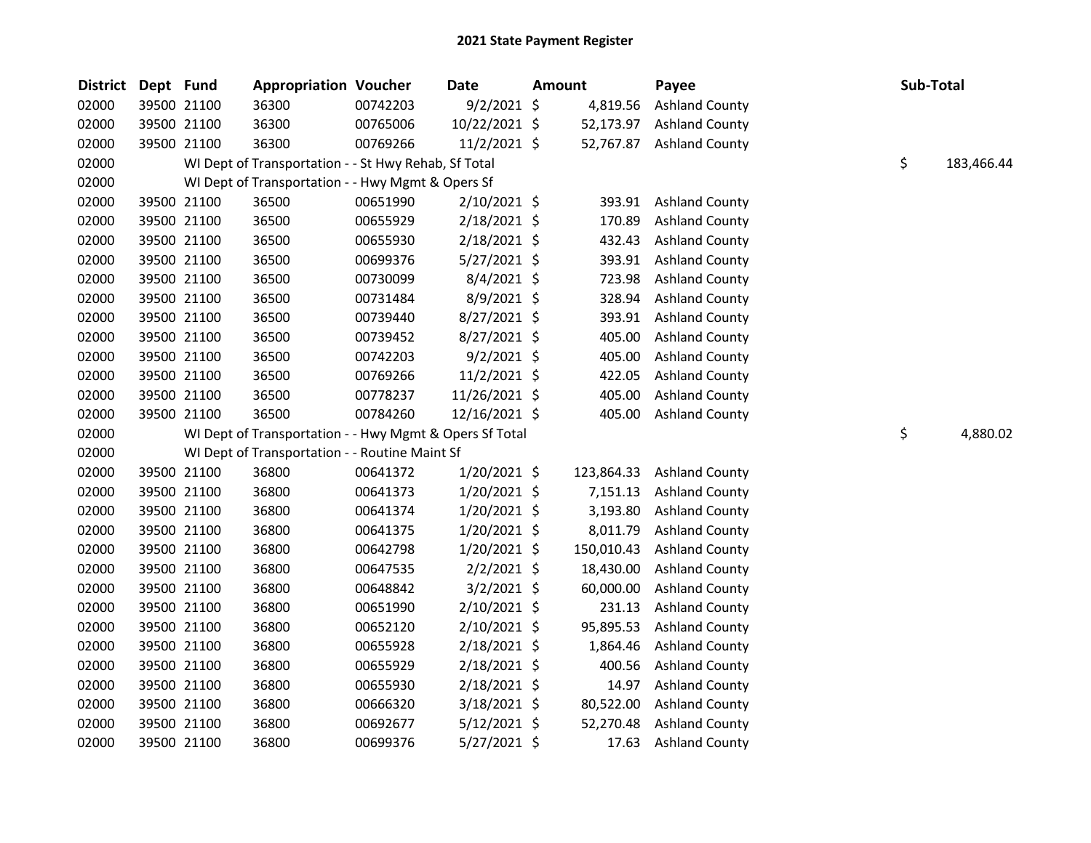| <b>District</b> | Dept Fund |             | <b>Appropriation Voucher</b>                            |          | <b>Date</b>    | Amount     | Payee                 | Sub-Total |            |
|-----------------|-----------|-------------|---------------------------------------------------------|----------|----------------|------------|-----------------------|-----------|------------|
| 02000           |           | 39500 21100 | 36300                                                   | 00742203 | $9/2/2021$ \$  | 4,819.56   | <b>Ashland County</b> |           |            |
| 02000           |           | 39500 21100 | 36300                                                   | 00765006 | 10/22/2021 \$  | 52,173.97  | <b>Ashland County</b> |           |            |
| 02000           |           | 39500 21100 | 36300                                                   | 00769266 | $11/2/2021$ \$ | 52,767.87  | <b>Ashland County</b> |           |            |
| 02000           |           |             | WI Dept of Transportation - - St Hwy Rehab, Sf Total    |          |                |            |                       | \$        | 183,466.44 |
| 02000           |           |             | WI Dept of Transportation - - Hwy Mgmt & Opers Sf       |          |                |            |                       |           |            |
| 02000           |           | 39500 21100 | 36500                                                   | 00651990 | $2/10/2021$ \$ | 393.91     | <b>Ashland County</b> |           |            |
| 02000           |           | 39500 21100 | 36500                                                   | 00655929 | 2/18/2021 \$   | 170.89     | <b>Ashland County</b> |           |            |
| 02000           |           | 39500 21100 | 36500                                                   | 00655930 | 2/18/2021 \$   | 432.43     | <b>Ashland County</b> |           |            |
| 02000           |           | 39500 21100 | 36500                                                   | 00699376 | 5/27/2021 \$   | 393.91     | <b>Ashland County</b> |           |            |
| 02000           |           | 39500 21100 | 36500                                                   | 00730099 | 8/4/2021 \$    | 723.98     | <b>Ashland County</b> |           |            |
| 02000           |           | 39500 21100 | 36500                                                   | 00731484 | $8/9/2021$ \$  | 328.94     | <b>Ashland County</b> |           |            |
| 02000           |           | 39500 21100 | 36500                                                   | 00739440 | 8/27/2021 \$   | 393.91     | <b>Ashland County</b> |           |            |
| 02000           |           | 39500 21100 | 36500                                                   | 00739452 | $8/27/2021$ \$ | 405.00     | <b>Ashland County</b> |           |            |
| 02000           |           | 39500 21100 | 36500                                                   | 00742203 | $9/2/2021$ \$  | 405.00     | <b>Ashland County</b> |           |            |
| 02000           |           | 39500 21100 | 36500                                                   | 00769266 | 11/2/2021 \$   | 422.05     | <b>Ashland County</b> |           |            |
| 02000           |           | 39500 21100 | 36500                                                   | 00778237 | 11/26/2021 \$  | 405.00     | <b>Ashland County</b> |           |            |
| 02000           |           | 39500 21100 | 36500                                                   | 00784260 | 12/16/2021 \$  | 405.00     | <b>Ashland County</b> |           |            |
| 02000           |           |             | WI Dept of Transportation - - Hwy Mgmt & Opers Sf Total |          |                |            |                       | \$        | 4,880.02   |
| 02000           |           |             | WI Dept of Transportation - - Routine Maint Sf          |          |                |            |                       |           |            |
| 02000           |           | 39500 21100 | 36800                                                   | 00641372 | $1/20/2021$ \$ | 123,864.33 | <b>Ashland County</b> |           |            |
| 02000           |           | 39500 21100 | 36800                                                   | 00641373 | $1/20/2021$ \$ | 7,151.13   | <b>Ashland County</b> |           |            |
| 02000           |           | 39500 21100 | 36800                                                   | 00641374 | $1/20/2021$ \$ | 3,193.80   | <b>Ashland County</b> |           |            |
| 02000           |           | 39500 21100 | 36800                                                   | 00641375 | $1/20/2021$ \$ | 8,011.79   | <b>Ashland County</b> |           |            |
| 02000           |           | 39500 21100 | 36800                                                   | 00642798 | $1/20/2021$ \$ | 150,010.43 | <b>Ashland County</b> |           |            |
| 02000           |           | 39500 21100 | 36800                                                   | 00647535 | $2/2/2021$ \$  | 18,430.00  | <b>Ashland County</b> |           |            |
| 02000           |           | 39500 21100 | 36800                                                   | 00648842 | $3/2/2021$ \$  | 60,000.00  | <b>Ashland County</b> |           |            |
| 02000           |           | 39500 21100 | 36800                                                   | 00651990 | 2/10/2021 \$   | 231.13     | <b>Ashland County</b> |           |            |
| 02000           |           | 39500 21100 | 36800                                                   | 00652120 | 2/10/2021 \$   | 95,895.53  | <b>Ashland County</b> |           |            |
| 02000           |           | 39500 21100 | 36800                                                   | 00655928 | $2/18/2021$ \$ | 1,864.46   | <b>Ashland County</b> |           |            |
| 02000           |           | 39500 21100 | 36800                                                   | 00655929 | 2/18/2021 \$   | 400.56     | <b>Ashland County</b> |           |            |
| 02000           |           | 39500 21100 | 36800                                                   | 00655930 | 2/18/2021 \$   | 14.97      | <b>Ashland County</b> |           |            |
| 02000           |           | 39500 21100 | 36800                                                   | 00666320 | $3/18/2021$ \$ | 80,522.00  | <b>Ashland County</b> |           |            |
| 02000           |           | 39500 21100 | 36800                                                   | 00692677 | 5/12/2021 \$   | 52,270.48  | <b>Ashland County</b> |           |            |
| 02000           |           | 39500 21100 | 36800                                                   | 00699376 | 5/27/2021 \$   | 17.63      | <b>Ashland County</b> |           |            |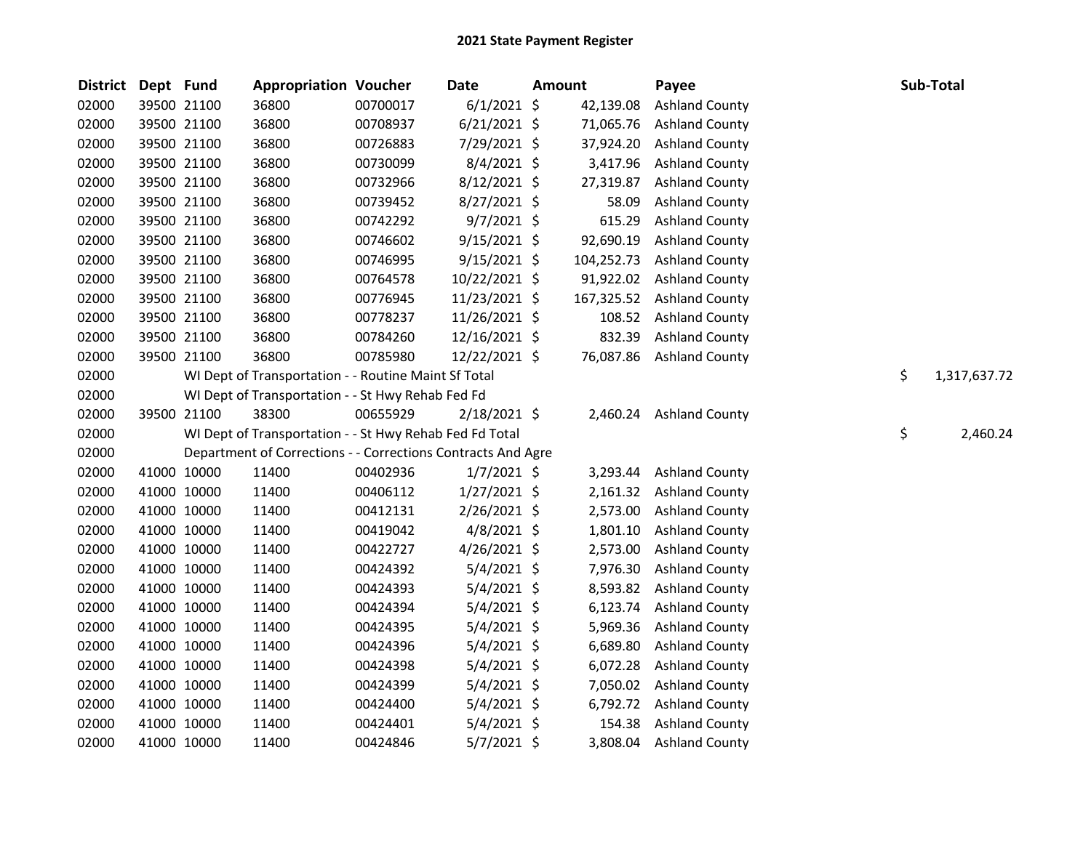| <b>District</b> | Dept Fund |             | <b>Appropriation Voucher</b>                                 |          | <b>Date</b>    | <b>Amount</b> |            | Payee                   | Sub-Total          |
|-----------------|-----------|-------------|--------------------------------------------------------------|----------|----------------|---------------|------------|-------------------------|--------------------|
| 02000           |           | 39500 21100 | 36800                                                        | 00700017 | $6/1/2021$ \$  |               | 42,139.08  | <b>Ashland County</b>   |                    |
| 02000           |           | 39500 21100 | 36800                                                        | 00708937 | $6/21/2021$ \$ |               | 71,065.76  | <b>Ashland County</b>   |                    |
| 02000           |           | 39500 21100 | 36800                                                        | 00726883 | 7/29/2021 \$   |               | 37,924.20  | <b>Ashland County</b>   |                    |
| 02000           |           | 39500 21100 | 36800                                                        | 00730099 | 8/4/2021 \$    |               | 3,417.96   | <b>Ashland County</b>   |                    |
| 02000           |           | 39500 21100 | 36800                                                        | 00732966 | $8/12/2021$ \$ |               | 27,319.87  | <b>Ashland County</b>   |                    |
| 02000           |           | 39500 21100 | 36800                                                        | 00739452 | 8/27/2021 \$   |               | 58.09      | <b>Ashland County</b>   |                    |
| 02000           |           | 39500 21100 | 36800                                                        | 00742292 | $9/7/2021$ \$  |               | 615.29     | <b>Ashland County</b>   |                    |
| 02000           |           | 39500 21100 | 36800                                                        | 00746602 | $9/15/2021$ \$ |               | 92,690.19  | <b>Ashland County</b>   |                    |
| 02000           |           | 39500 21100 | 36800                                                        | 00746995 | $9/15/2021$ \$ |               | 104,252.73 | <b>Ashland County</b>   |                    |
| 02000           |           | 39500 21100 | 36800                                                        | 00764578 | 10/22/2021 \$  |               | 91,922.02  | <b>Ashland County</b>   |                    |
| 02000           |           | 39500 21100 | 36800                                                        | 00776945 | 11/23/2021 \$  |               | 167,325.52 | <b>Ashland County</b>   |                    |
| 02000           |           | 39500 21100 | 36800                                                        | 00778237 | 11/26/2021 \$  |               | 108.52     | <b>Ashland County</b>   |                    |
| 02000           |           | 39500 21100 | 36800                                                        | 00784260 | 12/16/2021 \$  |               | 832.39     | <b>Ashland County</b>   |                    |
| 02000           |           | 39500 21100 | 36800                                                        | 00785980 | 12/22/2021 \$  |               | 76,087.86  | <b>Ashland County</b>   |                    |
| 02000           |           |             | WI Dept of Transportation - - Routine Maint Sf Total         |          |                |               |            |                         | \$<br>1,317,637.72 |
| 02000           |           |             | WI Dept of Transportation - - St Hwy Rehab Fed Fd            |          |                |               |            |                         |                    |
| 02000           |           | 39500 21100 | 38300                                                        | 00655929 | $2/18/2021$ \$ |               |            | 2,460.24 Ashland County |                    |
| 02000           |           |             | WI Dept of Transportation - - St Hwy Rehab Fed Fd Total      |          |                |               |            |                         | \$<br>2,460.24     |
| 02000           |           |             | Department of Corrections - - Corrections Contracts And Agre |          |                |               |            |                         |                    |
| 02000           |           | 41000 10000 | 11400                                                        | 00402936 | $1/7/2021$ \$  |               | 3,293.44   | <b>Ashland County</b>   |                    |
| 02000           |           | 41000 10000 | 11400                                                        | 00406112 | $1/27/2021$ \$ |               | 2,161.32   | <b>Ashland County</b>   |                    |
| 02000           |           | 41000 10000 | 11400                                                        | 00412131 | $2/26/2021$ \$ |               | 2,573.00   | <b>Ashland County</b>   |                    |
| 02000           |           | 41000 10000 | 11400                                                        | 00419042 | $4/8/2021$ \$  |               | 1,801.10   | <b>Ashland County</b>   |                    |
| 02000           |           | 41000 10000 | 11400                                                        | 00422727 | 4/26/2021 \$   |               | 2,573.00   | <b>Ashland County</b>   |                    |
| 02000           |           | 41000 10000 | 11400                                                        | 00424392 | $5/4/2021$ \$  |               | 7,976.30   | <b>Ashland County</b>   |                    |
| 02000           |           | 41000 10000 | 11400                                                        | 00424393 | $5/4/2021$ \$  |               | 8,593.82   | <b>Ashland County</b>   |                    |
| 02000           |           | 41000 10000 | 11400                                                        | 00424394 | $5/4/2021$ \$  |               | 6,123.74   | <b>Ashland County</b>   |                    |
| 02000           |           | 41000 10000 | 11400                                                        | 00424395 | $5/4/2021$ \$  |               | 5,969.36   | <b>Ashland County</b>   |                    |
| 02000           |           | 41000 10000 | 11400                                                        | 00424396 | $5/4/2021$ \$  |               | 6,689.80   | <b>Ashland County</b>   |                    |
| 02000           |           | 41000 10000 | 11400                                                        | 00424398 | $5/4/2021$ \$  |               | 6,072.28   | <b>Ashland County</b>   |                    |
| 02000           |           | 41000 10000 | 11400                                                        | 00424399 | $5/4/2021$ \$  |               | 7,050.02   | <b>Ashland County</b>   |                    |
| 02000           |           | 41000 10000 | 11400                                                        | 00424400 | $5/4/2021$ \$  |               | 6,792.72   | <b>Ashland County</b>   |                    |
| 02000           |           | 41000 10000 | 11400                                                        | 00424401 | $5/4/2021$ \$  |               | 154.38     | <b>Ashland County</b>   |                    |
| 02000           |           | 41000 10000 | 11400                                                        | 00424846 | $5/7/2021$ \$  |               | 3,808.04   | <b>Ashland County</b>   |                    |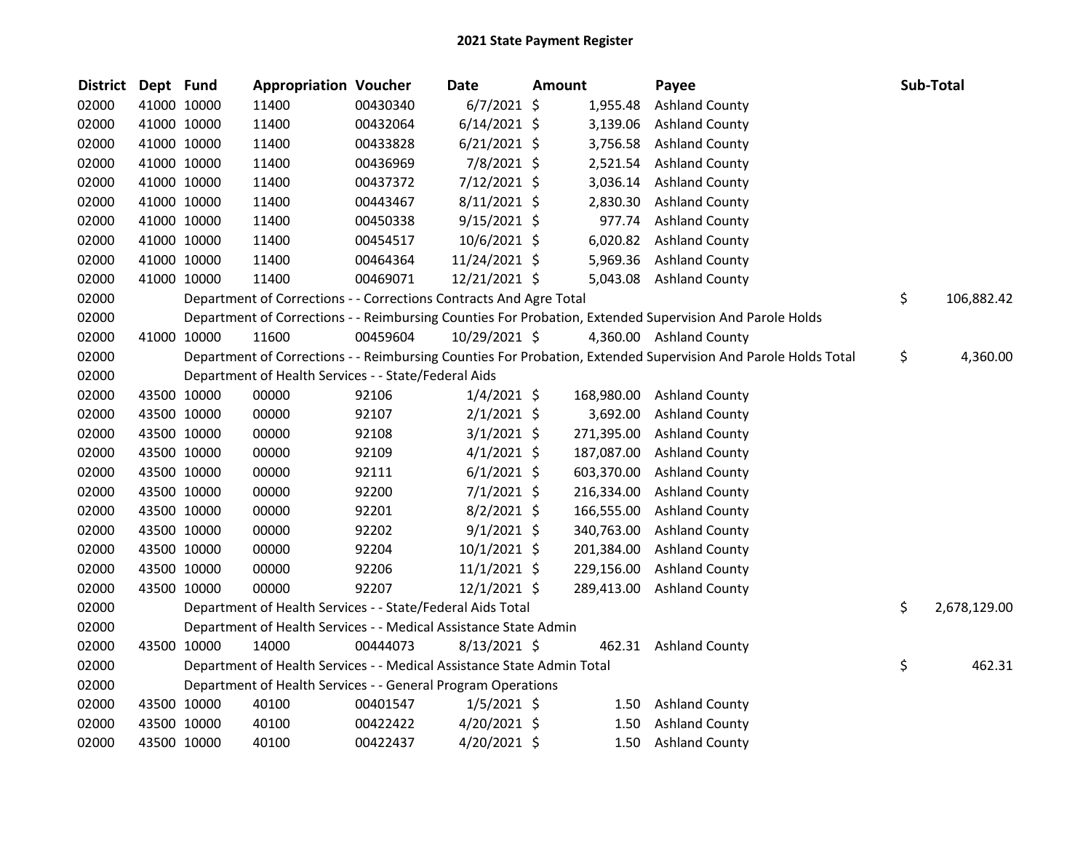| <b>District</b> | Dept Fund |             | <b>Appropriation Voucher</b>                                           |          | <b>Date</b>    | <b>Amount</b> |            | Payee                                                                                                         | Sub-Total          |
|-----------------|-----------|-------------|------------------------------------------------------------------------|----------|----------------|---------------|------------|---------------------------------------------------------------------------------------------------------------|--------------------|
| 02000           |           | 41000 10000 | 11400                                                                  | 00430340 | $6/7/2021$ \$  |               | 1,955.48   | <b>Ashland County</b>                                                                                         |                    |
| 02000           |           | 41000 10000 | 11400                                                                  | 00432064 | $6/14/2021$ \$ |               | 3,139.06   | <b>Ashland County</b>                                                                                         |                    |
| 02000           |           | 41000 10000 | 11400                                                                  | 00433828 | $6/21/2021$ \$ |               | 3,756.58   | <b>Ashland County</b>                                                                                         |                    |
| 02000           |           | 41000 10000 | 11400                                                                  | 00436969 | 7/8/2021 \$    |               | 2,521.54   | <b>Ashland County</b>                                                                                         |                    |
| 02000           |           | 41000 10000 | 11400                                                                  | 00437372 | 7/12/2021 \$   |               | 3,036.14   | <b>Ashland County</b>                                                                                         |                    |
| 02000           |           | 41000 10000 | 11400                                                                  | 00443467 | $8/11/2021$ \$ |               | 2,830.30   | <b>Ashland County</b>                                                                                         |                    |
| 02000           |           | 41000 10000 | 11400                                                                  | 00450338 | $9/15/2021$ \$ |               | 977.74     | <b>Ashland County</b>                                                                                         |                    |
| 02000           |           | 41000 10000 | 11400                                                                  | 00454517 | 10/6/2021 \$   |               | 6,020.82   | <b>Ashland County</b>                                                                                         |                    |
| 02000           |           | 41000 10000 | 11400                                                                  | 00464364 | 11/24/2021 \$  |               | 5,969.36   | <b>Ashland County</b>                                                                                         |                    |
| 02000           |           | 41000 10000 | 11400                                                                  | 00469071 | 12/21/2021 \$  |               |            | 5,043.08 Ashland County                                                                                       |                    |
| 02000           |           |             | Department of Corrections - - Corrections Contracts And Agre Total     |          |                |               |            |                                                                                                               | \$<br>106,882.42   |
| 02000           |           |             |                                                                        |          |                |               |            | Department of Corrections - - Reimbursing Counties For Probation, Extended Supervision And Parole Holds       |                    |
| 02000           |           | 41000 10000 | 11600                                                                  | 00459604 | 10/29/2021 \$  |               |            | 4,360.00 Ashland County                                                                                       |                    |
| 02000           |           |             |                                                                        |          |                |               |            | Department of Corrections - - Reimbursing Counties For Probation, Extended Supervision And Parole Holds Total | \$<br>4,360.00     |
| 02000           |           |             | Department of Health Services - - State/Federal Aids                   |          |                |               |            |                                                                                                               |                    |
| 02000           |           | 43500 10000 | 00000                                                                  | 92106    | $1/4/2021$ \$  |               | 168,980.00 | <b>Ashland County</b>                                                                                         |                    |
| 02000           |           | 43500 10000 | 00000                                                                  | 92107    | $2/1/2021$ \$  |               | 3,692.00   | <b>Ashland County</b>                                                                                         |                    |
| 02000           |           | 43500 10000 | 00000                                                                  | 92108    | $3/1/2021$ \$  |               | 271,395.00 | <b>Ashland County</b>                                                                                         |                    |
| 02000           |           | 43500 10000 | 00000                                                                  | 92109    | $4/1/2021$ \$  |               | 187,087.00 | <b>Ashland County</b>                                                                                         |                    |
| 02000           |           | 43500 10000 | 00000                                                                  | 92111    | $6/1/2021$ \$  |               | 603,370.00 | <b>Ashland County</b>                                                                                         |                    |
| 02000           |           | 43500 10000 | 00000                                                                  | 92200    | $7/1/2021$ \$  |               | 216,334.00 | <b>Ashland County</b>                                                                                         |                    |
| 02000           |           | 43500 10000 | 00000                                                                  | 92201    | $8/2/2021$ \$  |               | 166,555.00 | <b>Ashland County</b>                                                                                         |                    |
| 02000           |           | 43500 10000 | 00000                                                                  | 92202    | $9/1/2021$ \$  |               | 340,763.00 | <b>Ashland County</b>                                                                                         |                    |
| 02000           |           | 43500 10000 | 00000                                                                  | 92204    | $10/1/2021$ \$ |               | 201,384.00 | <b>Ashland County</b>                                                                                         |                    |
| 02000           |           | 43500 10000 | 00000                                                                  | 92206    | $11/1/2021$ \$ |               | 229,156.00 | <b>Ashland County</b>                                                                                         |                    |
| 02000           |           | 43500 10000 | 00000                                                                  | 92207    | $12/1/2021$ \$ |               | 289,413.00 | <b>Ashland County</b>                                                                                         |                    |
| 02000           |           |             | Department of Health Services - - State/Federal Aids Total             |          |                |               |            |                                                                                                               | \$<br>2,678,129.00 |
| 02000           |           |             | Department of Health Services - - Medical Assistance State Admin       |          |                |               |            |                                                                                                               |                    |
| 02000           |           | 43500 10000 | 14000                                                                  | 00444073 | $8/13/2021$ \$ |               | 462.31     | <b>Ashland County</b>                                                                                         |                    |
| 02000           |           |             | Department of Health Services - - Medical Assistance State Admin Total |          |                |               |            |                                                                                                               | \$<br>462.31       |
| 02000           |           |             | Department of Health Services - - General Program Operations           |          |                |               |            |                                                                                                               |                    |
| 02000           |           | 43500 10000 | 40100                                                                  | 00401547 | $1/5/2021$ \$  |               | 1.50       | <b>Ashland County</b>                                                                                         |                    |
| 02000           |           | 43500 10000 | 40100                                                                  | 00422422 | $4/20/2021$ \$ |               | 1.50       | <b>Ashland County</b>                                                                                         |                    |
| 02000           |           | 43500 10000 | 40100                                                                  | 00422437 | 4/20/2021 \$   |               | 1.50       | <b>Ashland County</b>                                                                                         |                    |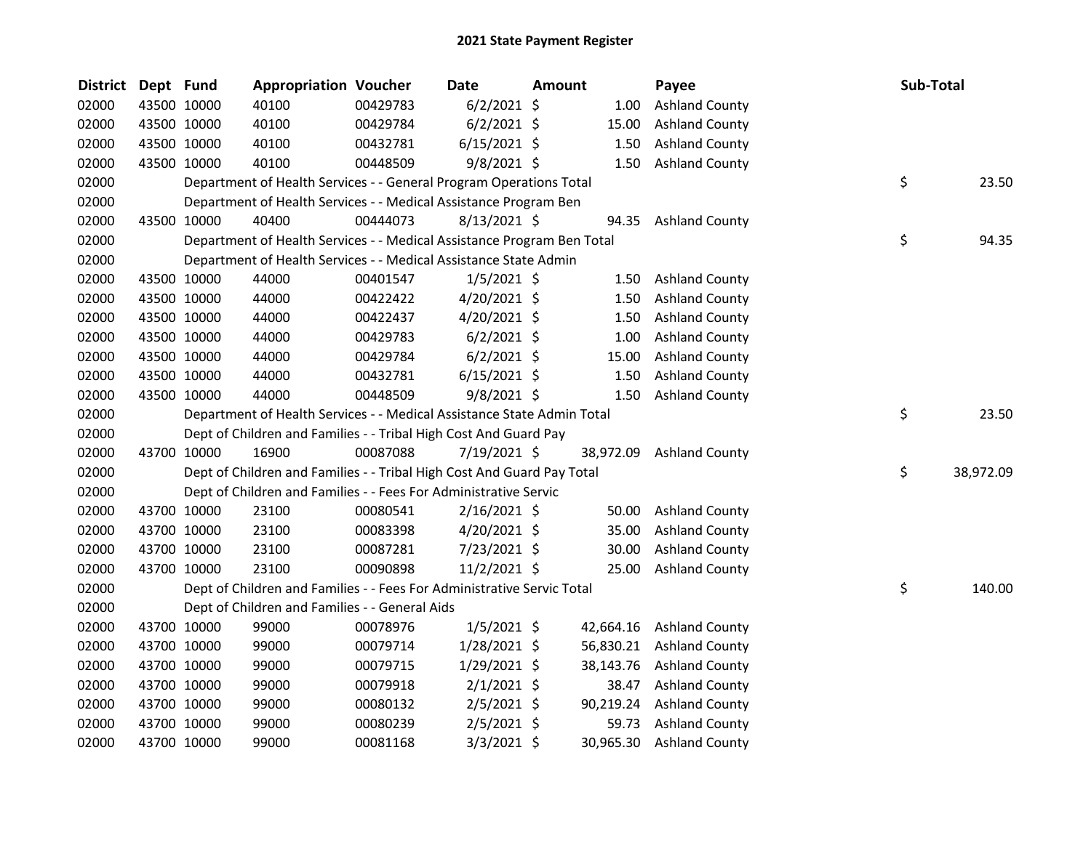| <b>District</b> | Dept Fund |             | <b>Appropriation Voucher</b>                                           |          | <b>Date</b>    | <b>Amount</b> |           | Payee                    | Sub-Total       |
|-----------------|-----------|-------------|------------------------------------------------------------------------|----------|----------------|---------------|-----------|--------------------------|-----------------|
| 02000           |           | 43500 10000 | 40100                                                                  | 00429783 | $6/2/2021$ \$  |               | 1.00      | <b>Ashland County</b>    |                 |
| 02000           |           | 43500 10000 | 40100                                                                  | 00429784 | $6/2/2021$ \$  |               | 15.00     | <b>Ashland County</b>    |                 |
| 02000           |           | 43500 10000 | 40100                                                                  | 00432781 | $6/15/2021$ \$ |               | 1.50      | <b>Ashland County</b>    |                 |
| 02000           |           | 43500 10000 | 40100                                                                  | 00448509 | $9/8/2021$ \$  |               | 1.50      | <b>Ashland County</b>    |                 |
| 02000           |           |             | Department of Health Services - - General Program Operations Total     |          |                |               |           |                          | \$<br>23.50     |
| 02000           |           |             | Department of Health Services - - Medical Assistance Program Ben       |          |                |               |           |                          |                 |
| 02000           |           | 43500 10000 | 40400                                                                  | 00444073 | $8/13/2021$ \$ |               |           | 94.35 Ashland County     |                 |
| 02000           |           |             | Department of Health Services - - Medical Assistance Program Ben Total |          |                |               |           |                          | \$<br>94.35     |
| 02000           |           |             | Department of Health Services - - Medical Assistance State Admin       |          |                |               |           |                          |                 |
| 02000           |           | 43500 10000 | 44000                                                                  | 00401547 | $1/5/2021$ \$  |               | 1.50      | <b>Ashland County</b>    |                 |
| 02000           |           | 43500 10000 | 44000                                                                  | 00422422 | $4/20/2021$ \$ |               | 1.50      | <b>Ashland County</b>    |                 |
| 02000           |           | 43500 10000 | 44000                                                                  | 00422437 | 4/20/2021 \$   |               | 1.50      | <b>Ashland County</b>    |                 |
| 02000           |           | 43500 10000 | 44000                                                                  | 00429783 | $6/2/2021$ \$  |               | 1.00      | <b>Ashland County</b>    |                 |
| 02000           |           | 43500 10000 | 44000                                                                  | 00429784 | $6/2/2021$ \$  |               | 15.00     | <b>Ashland County</b>    |                 |
| 02000           |           | 43500 10000 | 44000                                                                  | 00432781 | $6/15/2021$ \$ |               | 1.50      | <b>Ashland County</b>    |                 |
| 02000           |           | 43500 10000 | 44000                                                                  | 00448509 | $9/8/2021$ \$  |               | 1.50      | <b>Ashland County</b>    |                 |
| 02000           |           |             | Department of Health Services - - Medical Assistance State Admin Total |          |                |               |           |                          | \$<br>23.50     |
| 02000           |           |             | Dept of Children and Families - - Tribal High Cost And Guard Pay       |          |                |               |           |                          |                 |
| 02000           |           | 43700 10000 | 16900                                                                  | 00087088 | 7/19/2021 \$   |               | 38,972.09 | <b>Ashland County</b>    |                 |
| 02000           |           |             | Dept of Children and Families - - Tribal High Cost And Guard Pay Total |          |                |               |           |                          | \$<br>38,972.09 |
| 02000           |           |             | Dept of Children and Families - - Fees For Administrative Servic       |          |                |               |           |                          |                 |
| 02000           |           | 43700 10000 | 23100                                                                  | 00080541 | $2/16/2021$ \$ |               | 50.00     | <b>Ashland County</b>    |                 |
| 02000           |           | 43700 10000 | 23100                                                                  | 00083398 | 4/20/2021 \$   |               | 35.00     | <b>Ashland County</b>    |                 |
| 02000           |           | 43700 10000 | 23100                                                                  | 00087281 | 7/23/2021 \$   |               | 30.00     | <b>Ashland County</b>    |                 |
| 02000           |           | 43700 10000 | 23100                                                                  | 00090898 | $11/2/2021$ \$ |               | 25.00     | <b>Ashland County</b>    |                 |
| 02000           |           |             | Dept of Children and Families - - Fees For Administrative Servic Total |          |                |               |           |                          | \$<br>140.00    |
| 02000           |           |             | Dept of Children and Families - - General Aids                         |          |                |               |           |                          |                 |
| 02000           |           | 43700 10000 | 99000                                                                  | 00078976 | $1/5/2021$ \$  |               | 42,664.16 | <b>Ashland County</b>    |                 |
| 02000           |           | 43700 10000 | 99000                                                                  | 00079714 | 1/28/2021 \$   |               |           | 56,830.21 Ashland County |                 |
| 02000           |           | 43700 10000 | 99000                                                                  | 00079715 | $1/29/2021$ \$ |               | 38,143.76 | <b>Ashland County</b>    |                 |
| 02000           |           | 43700 10000 | 99000                                                                  | 00079918 | $2/1/2021$ \$  |               | 38.47     | <b>Ashland County</b>    |                 |
| 02000           |           | 43700 10000 | 99000                                                                  | 00080132 | $2/5/2021$ \$  |               | 90,219.24 | <b>Ashland County</b>    |                 |
| 02000           |           | 43700 10000 | 99000                                                                  | 00080239 | $2/5/2021$ \$  |               | 59.73     | <b>Ashland County</b>    |                 |
| 02000           |           | 43700 10000 | 99000                                                                  | 00081168 | $3/3/2021$ \$  |               | 30,965.30 | <b>Ashland County</b>    |                 |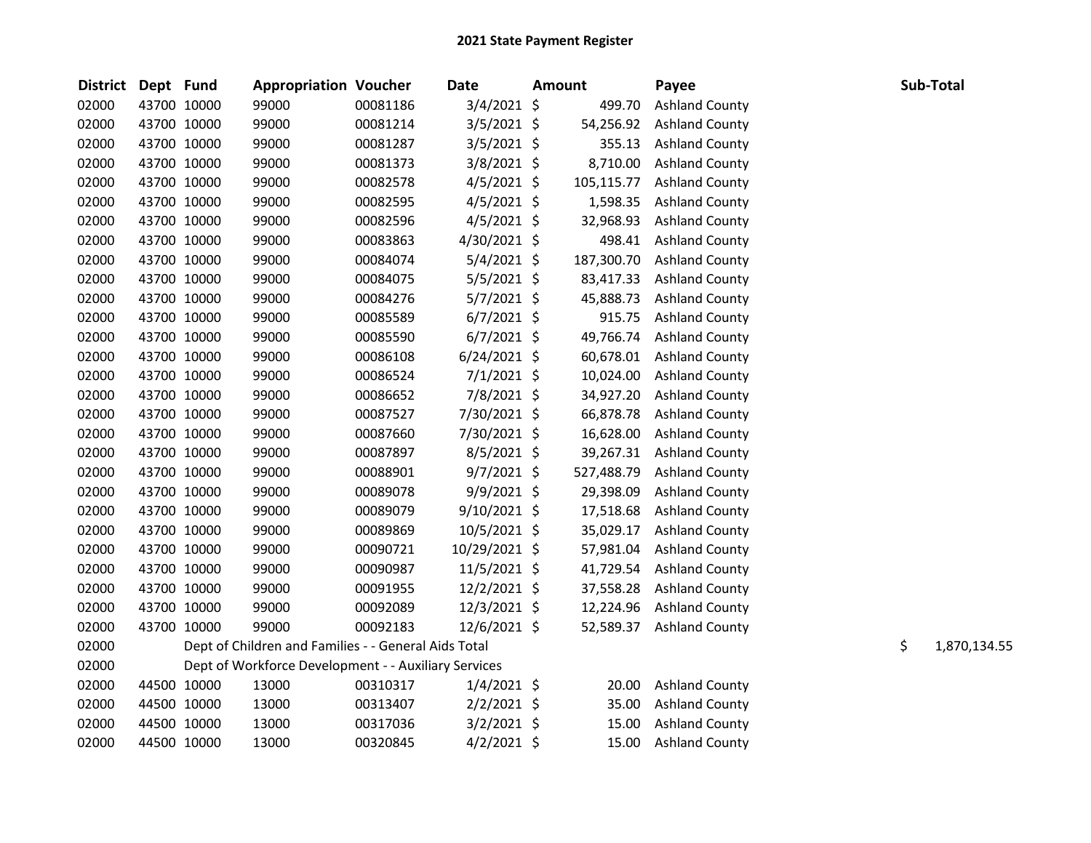| District Dept Fund |             |             | <b>Appropriation Voucher</b>                         |          | <b>Date</b>    | <b>Amount</b> |            | Payee                 |    | Sub-Total    |
|--------------------|-------------|-------------|------------------------------------------------------|----------|----------------|---------------|------------|-----------------------|----|--------------|
| 02000              | 43700 10000 |             | 99000                                                | 00081186 | $3/4/2021$ \$  |               | 499.70     | <b>Ashland County</b> |    |              |
| 02000              | 43700 10000 |             | 99000                                                | 00081214 | $3/5/2021$ \$  |               | 54,256.92  | <b>Ashland County</b> |    |              |
| 02000              | 43700 10000 |             | 99000                                                | 00081287 | $3/5/2021$ \$  |               | 355.13     | <b>Ashland County</b> |    |              |
| 02000              | 43700 10000 |             | 99000                                                | 00081373 | 3/8/2021 \$    |               | 8,710.00   | <b>Ashland County</b> |    |              |
| 02000              | 43700 10000 |             | 99000                                                | 00082578 | $4/5/2021$ \$  |               | 105,115.77 | <b>Ashland County</b> |    |              |
| 02000              | 43700 10000 |             | 99000                                                | 00082595 | $4/5/2021$ \$  |               | 1,598.35   | <b>Ashland County</b> |    |              |
| 02000              | 43700 10000 |             | 99000                                                | 00082596 | $4/5/2021$ \$  |               | 32,968.93  | <b>Ashland County</b> |    |              |
| 02000              | 43700 10000 |             | 99000                                                | 00083863 | 4/30/2021 \$   |               | 498.41     | <b>Ashland County</b> |    |              |
| 02000              | 43700 10000 |             | 99000                                                | 00084074 | $5/4/2021$ \$  |               | 187,300.70 | <b>Ashland County</b> |    |              |
| 02000              | 43700 10000 |             | 99000                                                | 00084075 | $5/5/2021$ \$  |               | 83,417.33  | <b>Ashland County</b> |    |              |
| 02000              | 43700 10000 |             | 99000                                                | 00084276 | $5/7/2021$ \$  |               | 45,888.73  | <b>Ashland County</b> |    |              |
| 02000              |             | 43700 10000 | 99000                                                | 00085589 | $6/7/2021$ \$  |               | 915.75     | <b>Ashland County</b> |    |              |
| 02000              | 43700 10000 |             | 99000                                                | 00085590 | $6/7/2021$ \$  |               | 49,766.74  | <b>Ashland County</b> |    |              |
| 02000              | 43700 10000 |             | 99000                                                | 00086108 | $6/24/2021$ \$ |               | 60,678.01  | <b>Ashland County</b> |    |              |
| 02000              | 43700 10000 |             | 99000                                                | 00086524 | $7/1/2021$ \$  |               | 10,024.00  | <b>Ashland County</b> |    |              |
| 02000              |             | 43700 10000 | 99000                                                | 00086652 | 7/8/2021 \$    |               | 34,927.20  | <b>Ashland County</b> |    |              |
| 02000              | 43700 10000 |             | 99000                                                | 00087527 | 7/30/2021 \$   |               | 66,878.78  | <b>Ashland County</b> |    |              |
| 02000              | 43700 10000 |             | 99000                                                | 00087660 | 7/30/2021 \$   |               | 16,628.00  | <b>Ashland County</b> |    |              |
| 02000              | 43700 10000 |             | 99000                                                | 00087897 | $8/5/2021$ \$  |               | 39,267.31  | <b>Ashland County</b> |    |              |
| 02000              | 43700 10000 |             | 99000                                                | 00088901 | $9/7/2021$ \$  |               | 527,488.79 | <b>Ashland County</b> |    |              |
| 02000              | 43700 10000 |             | 99000                                                | 00089078 | 9/9/2021 \$    |               | 29,398.09  | <b>Ashland County</b> |    |              |
| 02000              | 43700 10000 |             | 99000                                                | 00089079 | 9/10/2021 \$   |               | 17,518.68  | <b>Ashland County</b> |    |              |
| 02000              | 43700 10000 |             | 99000                                                | 00089869 | 10/5/2021 \$   |               | 35,029.17  | <b>Ashland County</b> |    |              |
| 02000              | 43700 10000 |             | 99000                                                | 00090721 | 10/29/2021 \$  |               | 57,981.04  | <b>Ashland County</b> |    |              |
| 02000              | 43700 10000 |             | 99000                                                | 00090987 | 11/5/2021 \$   |               | 41,729.54  | <b>Ashland County</b> |    |              |
| 02000              | 43700 10000 |             | 99000                                                | 00091955 | 12/2/2021 \$   |               | 37,558.28  | <b>Ashland County</b> |    |              |
| 02000              | 43700 10000 |             | 99000                                                | 00092089 | 12/3/2021 \$   |               | 12,224.96  | <b>Ashland County</b> |    |              |
| 02000              | 43700 10000 |             | 99000                                                | 00092183 | 12/6/2021 \$   |               | 52,589.37  | <b>Ashland County</b> |    |              |
| 02000              |             |             | Dept of Children and Families - - General Aids Total |          |                |               |            |                       | \$ | 1,870,134.55 |
| 02000              |             |             | Dept of Workforce Development - - Auxiliary Services |          |                |               |            |                       |    |              |
| 02000              | 44500 10000 |             | 13000                                                | 00310317 | $1/4/2021$ \$  |               | 20.00      | <b>Ashland County</b> |    |              |
| 02000              |             | 44500 10000 | 13000                                                | 00313407 | $2/2/2021$ \$  |               | 35.00      | <b>Ashland County</b> |    |              |
| 02000              | 44500 10000 |             | 13000                                                | 00317036 | $3/2/2021$ \$  |               | 15.00      | <b>Ashland County</b> |    |              |
| 02000              | 44500 10000 |             | 13000                                                | 00320845 | $4/2/2021$ \$  |               | 15.00      | <b>Ashland County</b> |    |              |
|                    |             |             |                                                      |          |                |               |            |                       |    |              |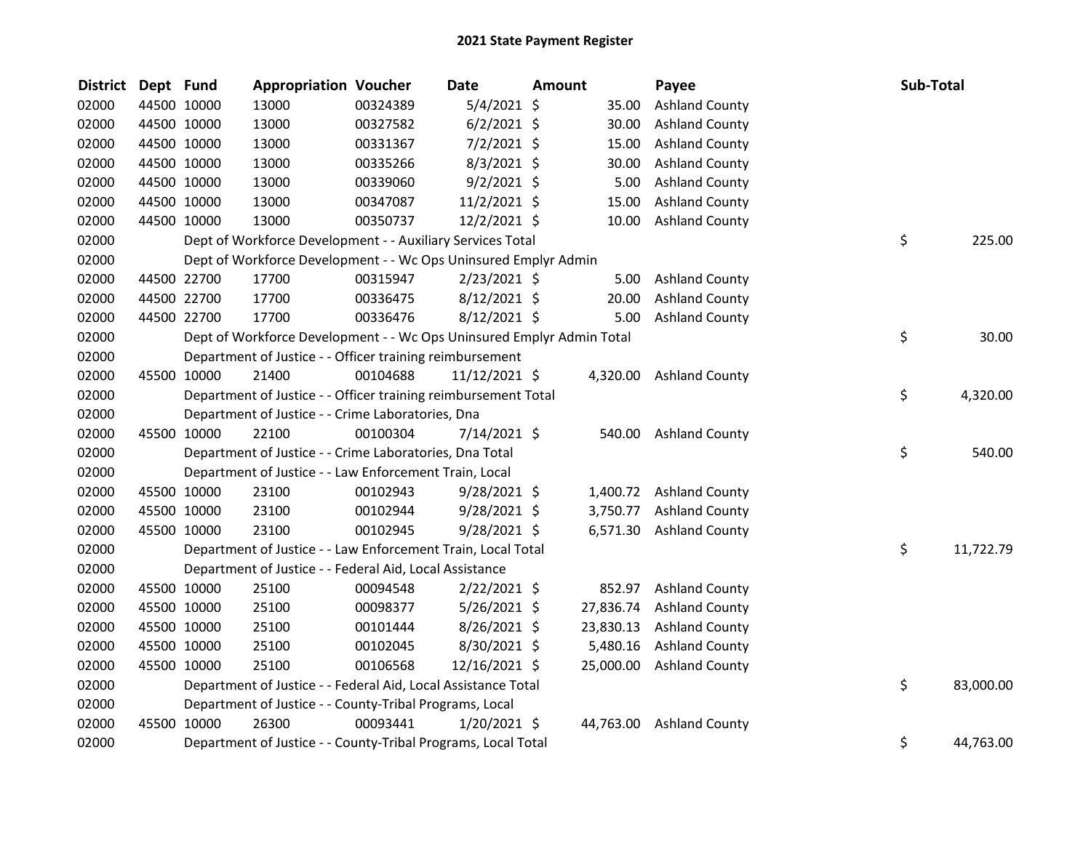| <b>District</b> | Dept Fund |             | <b>Appropriation Voucher</b>                                          |          | <b>Date</b>    | <b>Amount</b> |           | Payee                   | Sub-Total |           |
|-----------------|-----------|-------------|-----------------------------------------------------------------------|----------|----------------|---------------|-----------|-------------------------|-----------|-----------|
| 02000           |           | 44500 10000 | 13000                                                                 | 00324389 | $5/4/2021$ \$  |               | 35.00     | <b>Ashland County</b>   |           |           |
| 02000           |           | 44500 10000 | 13000                                                                 | 00327582 | $6/2/2021$ \$  |               | 30.00     | <b>Ashland County</b>   |           |           |
| 02000           |           | 44500 10000 | 13000                                                                 | 00331367 | $7/2/2021$ \$  |               | 15.00     | <b>Ashland County</b>   |           |           |
| 02000           |           | 44500 10000 | 13000                                                                 | 00335266 | $8/3/2021$ \$  |               | 30.00     | <b>Ashland County</b>   |           |           |
| 02000           |           | 44500 10000 | 13000                                                                 | 00339060 | $9/2/2021$ \$  |               | 5.00      | <b>Ashland County</b>   |           |           |
| 02000           |           | 44500 10000 | 13000                                                                 | 00347087 | $11/2/2021$ \$ |               | 15.00     | <b>Ashland County</b>   |           |           |
| 02000           |           | 44500 10000 | 13000                                                                 | 00350737 | $12/2/2021$ \$ |               | 10.00     | <b>Ashland County</b>   |           |           |
| 02000           |           |             | Dept of Workforce Development - - Auxiliary Services Total            |          |                |               |           |                         | \$        | 225.00    |
| 02000           |           |             | Dept of Workforce Development - - Wc Ops Uninsured Emplyr Admin       |          |                |               |           |                         |           |           |
| 02000           |           | 44500 22700 | 17700                                                                 | 00315947 | 2/23/2021 \$   |               | 5.00      | <b>Ashland County</b>   |           |           |
| 02000           |           | 44500 22700 | 17700                                                                 | 00336475 | 8/12/2021 \$   |               | 20.00     | <b>Ashland County</b>   |           |           |
| 02000           |           | 44500 22700 | 17700                                                                 | 00336476 | 8/12/2021 \$   |               | 5.00      | <b>Ashland County</b>   |           |           |
| 02000           |           |             | Dept of Workforce Development - - Wc Ops Uninsured Emplyr Admin Total |          |                |               |           |                         | \$        | 30.00     |
| 02000           |           |             | Department of Justice - - Officer training reimbursement              |          |                |               |           |                         |           |           |
| 02000           |           | 45500 10000 | 21400                                                                 | 00104688 | 11/12/2021 \$  |               | 4,320.00  | <b>Ashland County</b>   |           |           |
| 02000           |           |             | Department of Justice - - Officer training reimbursement Total        |          |                |               |           |                         | \$        | 4,320.00  |
| 02000           |           |             | Department of Justice - - Crime Laboratories, Dna                     |          |                |               |           |                         |           |           |
| 02000           |           | 45500 10000 | 22100                                                                 | 00100304 | 7/14/2021 \$   |               | 540.00    | <b>Ashland County</b>   |           |           |
| 02000           |           |             | Department of Justice - - Crime Laboratories, Dna Total               |          |                |               |           |                         | \$        | 540.00    |
| 02000           |           |             | Department of Justice - - Law Enforcement Train, Local                |          |                |               |           |                         |           |           |
| 02000           |           | 45500 10000 | 23100                                                                 | 00102943 | $9/28/2021$ \$ |               |           | 1,400.72 Ashland County |           |           |
| 02000           |           | 45500 10000 | 23100                                                                 | 00102944 | $9/28/2021$ \$ |               | 3,750.77  | <b>Ashland County</b>   |           |           |
| 02000           |           | 45500 10000 | 23100                                                                 | 00102945 | 9/28/2021 \$   |               |           | 6,571.30 Ashland County |           |           |
| 02000           |           |             | Department of Justice - - Law Enforcement Train, Local Total          |          |                |               |           |                         | \$        | 11,722.79 |
| 02000           |           |             | Department of Justice - - Federal Aid, Local Assistance               |          |                |               |           |                         |           |           |
| 02000           |           | 45500 10000 | 25100                                                                 | 00094548 | $2/22/2021$ \$ |               | 852.97    | <b>Ashland County</b>   |           |           |
| 02000           |           | 45500 10000 | 25100                                                                 | 00098377 | $5/26/2021$ \$ |               | 27,836.74 | <b>Ashland County</b>   |           |           |
| 02000           |           | 45500 10000 | 25100                                                                 | 00101444 | 8/26/2021 \$   |               | 23,830.13 | <b>Ashland County</b>   |           |           |
| 02000           |           | 45500 10000 | 25100                                                                 | 00102045 | 8/30/2021 \$   |               | 5,480.16  | <b>Ashland County</b>   |           |           |
| 02000           |           | 45500 10000 | 25100                                                                 | 00106568 | 12/16/2021 \$  |               | 25,000.00 | <b>Ashland County</b>   |           |           |
| 02000           |           |             | Department of Justice - - Federal Aid, Local Assistance Total         |          |                |               |           |                         | \$        | 83,000.00 |
| 02000           |           |             | Department of Justice - - County-Tribal Programs, Local               |          |                |               |           |                         |           |           |
| 02000           |           | 45500 10000 | 26300                                                                 | 00093441 | $1/20/2021$ \$ |               | 44,763.00 | <b>Ashland County</b>   |           |           |
| 02000           |           |             | Department of Justice - - County-Tribal Programs, Local Total         |          |                |               |           |                         | \$        | 44,763.00 |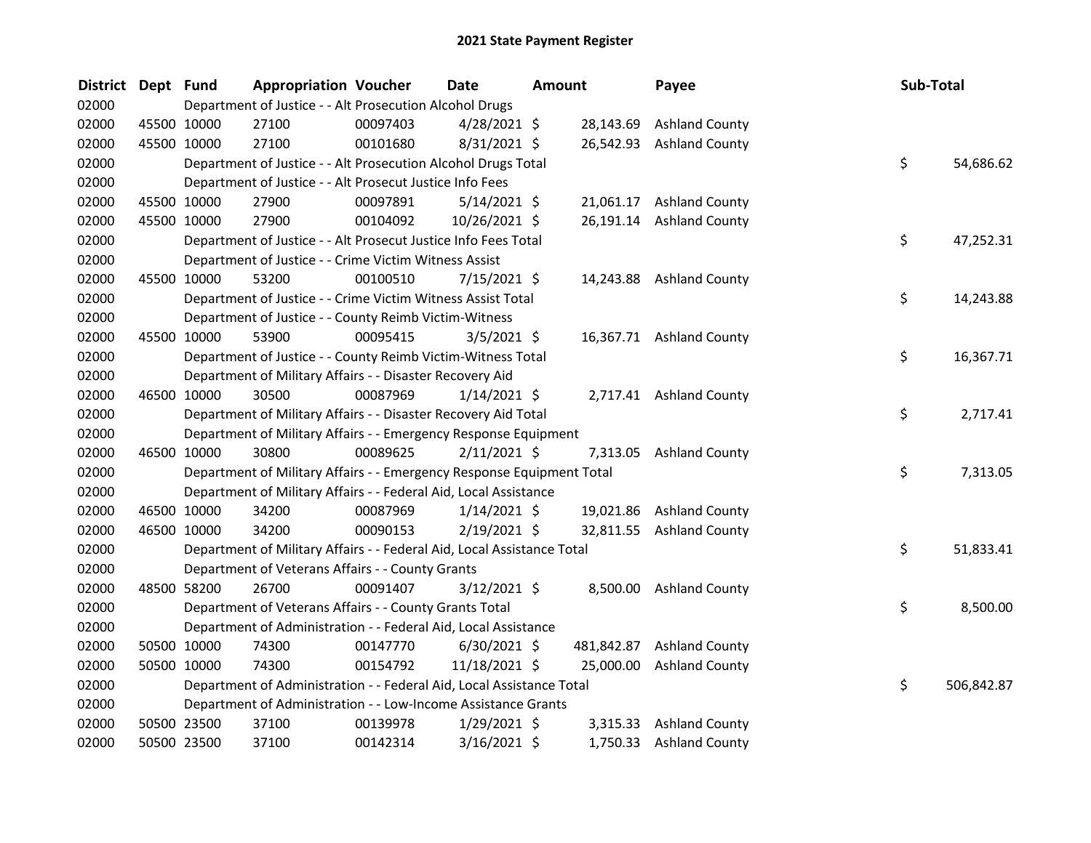| <b>District</b> | Dept Fund |             | <b>Appropriation Voucher</b>                                           |          | Date           | <b>Amount</b> |            | Payee                    | Sub-Total |            |
|-----------------|-----------|-------------|------------------------------------------------------------------------|----------|----------------|---------------|------------|--------------------------|-----------|------------|
| 02000           |           |             | Department of Justice - - Alt Prosecution Alcohol Drugs                |          |                |               |            |                          |           |            |
| 02000           |           | 45500 10000 | 27100                                                                  | 00097403 | $4/28/2021$ \$ |               | 28,143.69  | <b>Ashland County</b>    |           |            |
| 02000           |           | 45500 10000 | 27100                                                                  | 00101680 | 8/31/2021 \$   |               | 26,542.93  | <b>Ashland County</b>    |           |            |
| 02000           |           |             | Department of Justice - - Alt Prosecution Alcohol Drugs Total          |          |                |               |            |                          | \$        | 54,686.62  |
| 02000           |           |             | Department of Justice - - Alt Prosecut Justice Info Fees               |          |                |               |            |                          |           |            |
| 02000           |           | 45500 10000 | 27900                                                                  | 00097891 | $5/14/2021$ \$ |               |            | 21,061.17 Ashland County |           |            |
| 02000           |           | 45500 10000 | 27900                                                                  | 00104092 | 10/26/2021 \$  |               | 26,191.14  | <b>Ashland County</b>    |           |            |
| 02000           |           |             | Department of Justice - - Alt Prosecut Justice Info Fees Total         |          |                |               |            |                          | \$        | 47,252.31  |
| 02000           |           |             | Department of Justice - - Crime Victim Witness Assist                  |          |                |               |            |                          |           |            |
| 02000           |           | 45500 10000 | 53200                                                                  | 00100510 | 7/15/2021 \$   |               |            | 14,243.88 Ashland County |           |            |
| 02000           |           |             | Department of Justice - - Crime Victim Witness Assist Total            |          |                |               |            |                          | \$        | 14,243.88  |
| 02000           |           |             | Department of Justice - - County Reimb Victim-Witness                  |          |                |               |            |                          |           |            |
| 02000           |           | 45500 10000 | 53900                                                                  | 00095415 | $3/5/2021$ \$  |               |            | 16,367.71 Ashland County |           |            |
| 02000           |           |             | Department of Justice - - County Reimb Victim-Witness Total            |          |                |               |            |                          | \$        | 16,367.71  |
| 02000           |           |             | Department of Military Affairs - - Disaster Recovery Aid               |          |                |               |            |                          |           |            |
| 02000           |           | 46500 10000 | 30500                                                                  | 00087969 | $1/14/2021$ \$ |               |            | 2,717.41 Ashland County  |           |            |
| 02000           |           |             | Department of Military Affairs - - Disaster Recovery Aid Total         |          |                |               |            |                          | \$        | 2,717.41   |
| 02000           |           |             | Department of Military Affairs - - Emergency Response Equipment        |          |                |               |            |                          |           |            |
| 02000           |           | 46500 10000 | 30800                                                                  | 00089625 | $2/11/2021$ \$ |               | 7,313.05   | <b>Ashland County</b>    |           |            |
| 02000           |           |             | Department of Military Affairs - - Emergency Response Equipment Total  |          |                |               |            |                          | \$        | 7,313.05   |
| 02000           |           |             | Department of Military Affairs - - Federal Aid, Local Assistance       |          |                |               |            |                          |           |            |
| 02000           |           | 46500 10000 | 34200                                                                  | 00087969 | $1/14/2021$ \$ |               | 19,021.86  | <b>Ashland County</b>    |           |            |
| 02000           |           | 46500 10000 | 34200                                                                  | 00090153 | 2/19/2021 \$   |               |            | 32,811.55 Ashland County |           |            |
| 02000           |           |             | Department of Military Affairs - - Federal Aid, Local Assistance Total |          |                |               |            |                          | \$        | 51,833.41  |
| 02000           |           |             | Department of Veterans Affairs - - County Grants                       |          |                |               |            |                          |           |            |
| 02000           |           | 48500 58200 | 26700                                                                  | 00091407 | $3/12/2021$ \$ |               |            | 8,500.00 Ashland County  |           |            |
| 02000           |           |             | Department of Veterans Affairs - - County Grants Total                 |          |                |               |            |                          | \$        | 8,500.00   |
| 02000           |           |             | Department of Administration - - Federal Aid, Local Assistance         |          |                |               |            |                          |           |            |
| 02000           |           | 50500 10000 | 74300                                                                  | 00147770 | $6/30/2021$ \$ |               | 481,842.87 | <b>Ashland County</b>    |           |            |
| 02000           |           | 50500 10000 | 74300                                                                  | 00154792 | 11/18/2021 \$  |               | 25,000.00  | <b>Ashland County</b>    |           |            |
| 02000           |           |             | Department of Administration - - Federal Aid, Local Assistance Total   |          |                |               |            |                          | \$        | 506,842.87 |
| 02000           |           |             | Department of Administration - - Low-Income Assistance Grants          |          |                |               |            |                          |           |            |
| 02000           |           | 50500 23500 | 37100                                                                  | 00139978 | 1/29/2021 \$   |               |            | 3,315.33 Ashland County  |           |            |
| 02000           |           | 50500 23500 | 37100                                                                  | 00142314 | 3/16/2021 \$   |               | 1,750.33   | <b>Ashland County</b>    |           |            |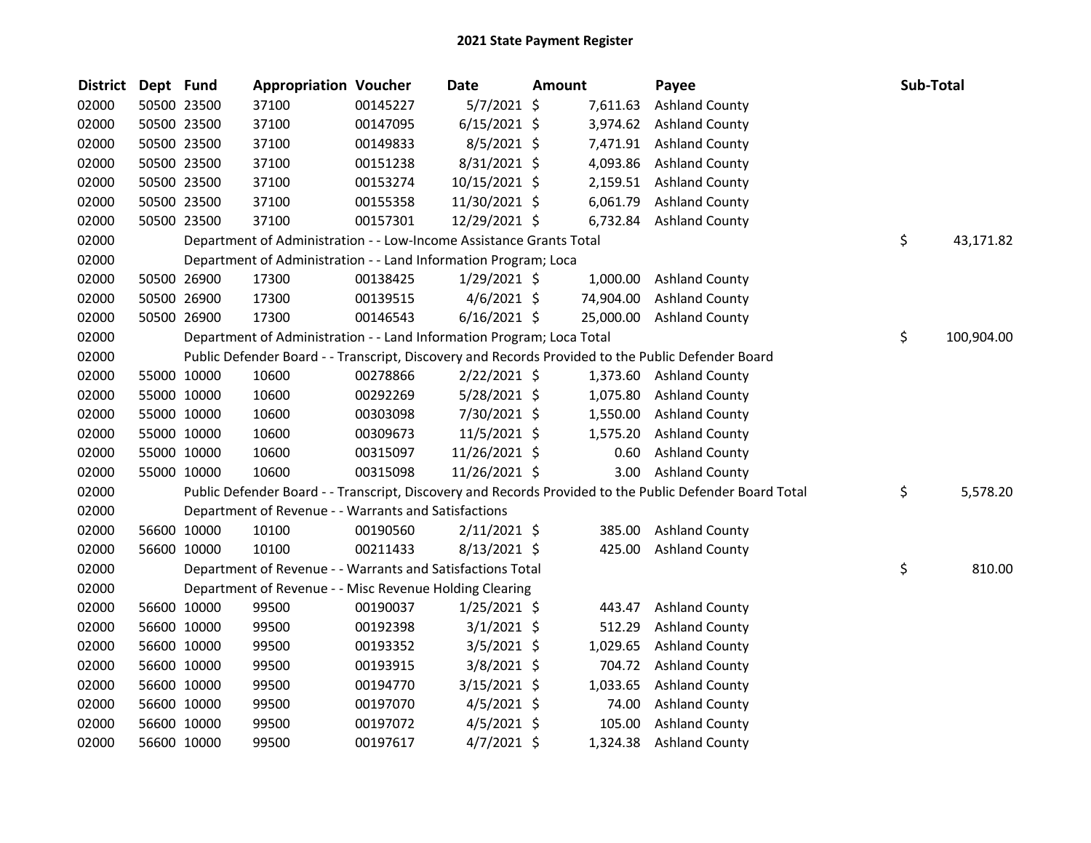| <b>District</b> | Dept Fund |             | <b>Appropriation Voucher</b>                                          |          | <b>Date</b>    | <b>Amount</b> |          | Payee                                                                                                   | Sub-Total        |
|-----------------|-----------|-------------|-----------------------------------------------------------------------|----------|----------------|---------------|----------|---------------------------------------------------------------------------------------------------------|------------------|
| 02000           |           | 50500 23500 | 37100                                                                 | 00145227 | 5/7/2021 \$    |               | 7,611.63 | <b>Ashland County</b>                                                                                   |                  |
| 02000           |           | 50500 23500 | 37100                                                                 | 00147095 | $6/15/2021$ \$ |               | 3,974.62 | <b>Ashland County</b>                                                                                   |                  |
| 02000           |           | 50500 23500 | 37100                                                                 | 00149833 | 8/5/2021 \$    |               | 7,471.91 | <b>Ashland County</b>                                                                                   |                  |
| 02000           |           | 50500 23500 | 37100                                                                 | 00151238 | 8/31/2021 \$   |               | 4,093.86 | <b>Ashland County</b>                                                                                   |                  |
| 02000           |           | 50500 23500 | 37100                                                                 | 00153274 | 10/15/2021 \$  |               |          | 2,159.51 Ashland County                                                                                 |                  |
| 02000           |           | 50500 23500 | 37100                                                                 | 00155358 | 11/30/2021 \$  |               | 6,061.79 | <b>Ashland County</b>                                                                                   |                  |
| 02000           |           | 50500 23500 | 37100                                                                 | 00157301 | 12/29/2021 \$  |               | 6,732.84 | <b>Ashland County</b>                                                                                   |                  |
| 02000           |           |             | Department of Administration - - Low-Income Assistance Grants Total   |          |                |               |          |                                                                                                         | \$<br>43,171.82  |
| 02000           |           |             | Department of Administration - - Land Information Program; Loca       |          |                |               |          |                                                                                                         |                  |
| 02000           |           | 50500 26900 | 17300                                                                 | 00138425 | $1/29/2021$ \$ |               | 1,000.00 | <b>Ashland County</b>                                                                                   |                  |
| 02000           |           | 50500 26900 | 17300                                                                 | 00139515 | $4/6/2021$ \$  |               |          | 74,904.00 Ashland County                                                                                |                  |
| 02000           |           | 50500 26900 | 17300                                                                 | 00146543 | $6/16/2021$ \$ |               |          | 25,000.00 Ashland County                                                                                |                  |
| 02000           |           |             | Department of Administration - - Land Information Program; Loca Total |          |                |               |          |                                                                                                         | \$<br>100,904.00 |
| 02000           |           |             |                                                                       |          |                |               |          | Public Defender Board - - Transcript, Discovery and Records Provided to the Public Defender Board       |                  |
| 02000           |           | 55000 10000 | 10600                                                                 | 00278866 | 2/22/2021 \$   |               |          | 1,373.60 Ashland County                                                                                 |                  |
| 02000           |           | 55000 10000 | 10600                                                                 | 00292269 | $5/28/2021$ \$ |               | 1,075.80 | <b>Ashland County</b>                                                                                   |                  |
| 02000           |           | 55000 10000 | 10600                                                                 | 00303098 | 7/30/2021 \$   |               | 1,550.00 | <b>Ashland County</b>                                                                                   |                  |
| 02000           |           | 55000 10000 | 10600                                                                 | 00309673 | $11/5/2021$ \$ |               |          | 1,575.20 Ashland County                                                                                 |                  |
| 02000           |           | 55000 10000 | 10600                                                                 | 00315097 | 11/26/2021 \$  |               | 0.60     | <b>Ashland County</b>                                                                                   |                  |
| 02000           |           | 55000 10000 | 10600                                                                 | 00315098 | 11/26/2021 \$  |               |          | 3.00 Ashland County                                                                                     |                  |
| 02000           |           |             |                                                                       |          |                |               |          | Public Defender Board - - Transcript, Discovery and Records Provided to the Public Defender Board Total | \$<br>5,578.20   |
| 02000           |           |             | Department of Revenue - - Warrants and Satisfactions                  |          |                |               |          |                                                                                                         |                  |
| 02000           |           | 56600 10000 | 10100                                                                 | 00190560 | $2/11/2021$ \$ |               | 385.00   | <b>Ashland County</b>                                                                                   |                  |
| 02000           |           | 56600 10000 | 10100                                                                 | 00211433 | 8/13/2021 \$   |               | 425.00   | <b>Ashland County</b>                                                                                   |                  |
| 02000           |           |             | Department of Revenue - - Warrants and Satisfactions Total            |          |                |               |          |                                                                                                         | \$<br>810.00     |
| 02000           |           |             | Department of Revenue - - Misc Revenue Holding Clearing               |          |                |               |          |                                                                                                         |                  |
| 02000           |           | 56600 10000 | 99500                                                                 | 00190037 | $1/25/2021$ \$ |               | 443.47   | <b>Ashland County</b>                                                                                   |                  |
| 02000           |           | 56600 10000 | 99500                                                                 | 00192398 | $3/1/2021$ \$  |               | 512.29   | <b>Ashland County</b>                                                                                   |                  |
| 02000           |           | 56600 10000 | 99500                                                                 | 00193352 | $3/5/2021$ \$  |               | 1,029.65 | <b>Ashland County</b>                                                                                   |                  |
| 02000           |           | 56600 10000 | 99500                                                                 | 00193915 | 3/8/2021 \$    |               | 704.72   | <b>Ashland County</b>                                                                                   |                  |
| 02000           |           | 56600 10000 | 99500                                                                 | 00194770 | $3/15/2021$ \$ |               | 1,033.65 | <b>Ashland County</b>                                                                                   |                  |
| 02000           |           | 56600 10000 | 99500                                                                 | 00197070 | $4/5/2021$ \$  |               | 74.00    | <b>Ashland County</b>                                                                                   |                  |
| 02000           |           | 56600 10000 | 99500                                                                 | 00197072 | $4/5/2021$ \$  |               | 105.00   | <b>Ashland County</b>                                                                                   |                  |
| 02000           |           | 56600 10000 | 99500                                                                 | 00197617 | $4/7/2021$ \$  |               | 1,324.38 | <b>Ashland County</b>                                                                                   |                  |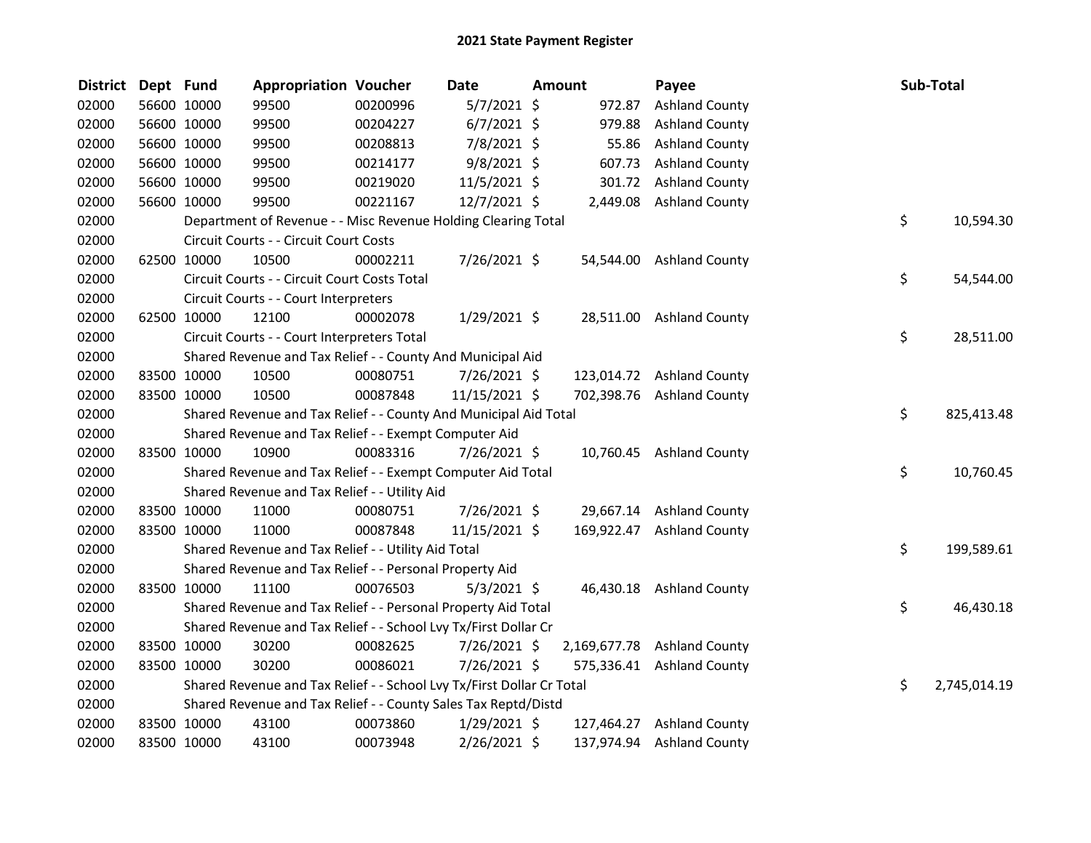| <b>District</b> | Dept Fund |             | <b>Appropriation Voucher</b>                                          |          | Date           | Amount    | Payee                       | Sub-Total          |
|-----------------|-----------|-------------|-----------------------------------------------------------------------|----------|----------------|-----------|-----------------------------|--------------------|
| 02000           |           | 56600 10000 | 99500                                                                 | 00200996 | $5/7/2021$ \$  | 972.87    | <b>Ashland County</b>       |                    |
| 02000           |           | 56600 10000 | 99500                                                                 | 00204227 | $6/7/2021$ \$  | 979.88    | <b>Ashland County</b>       |                    |
| 02000           |           | 56600 10000 | 99500                                                                 | 00208813 | 7/8/2021 \$    | 55.86     | <b>Ashland County</b>       |                    |
| 02000           |           | 56600 10000 | 99500                                                                 | 00214177 | $9/8/2021$ \$  | 607.73    | <b>Ashland County</b>       |                    |
| 02000           |           | 56600 10000 | 99500                                                                 | 00219020 | $11/5/2021$ \$ |           | 301.72 Ashland County       |                    |
| 02000           |           | 56600 10000 | 99500                                                                 | 00221167 | 12/7/2021 \$   |           | 2,449.08 Ashland County     |                    |
| 02000           |           |             | Department of Revenue - - Misc Revenue Holding Clearing Total         |          |                |           |                             | \$<br>10,594.30    |
| 02000           |           |             | Circuit Courts - - Circuit Court Costs                                |          |                |           |                             |                    |
| 02000           |           | 62500 10000 | 10500                                                                 | 00002211 | 7/26/2021 \$   | 54,544.00 | <b>Ashland County</b>       |                    |
| 02000           |           |             | Circuit Courts - - Circuit Court Costs Total                          |          |                |           |                             | \$<br>54,544.00    |
| 02000           |           |             | Circuit Courts - - Court Interpreters                                 |          |                |           |                             |                    |
| 02000           |           | 62500 10000 | 12100                                                                 | 00002078 | $1/29/2021$ \$ |           | 28,511.00 Ashland County    |                    |
| 02000           |           |             | Circuit Courts - - Court Interpreters Total                           |          |                |           |                             | \$<br>28,511.00    |
| 02000           |           |             | Shared Revenue and Tax Relief - - County And Municipal Aid            |          |                |           |                             |                    |
| 02000           |           | 83500 10000 | 10500                                                                 | 00080751 | $7/26/2021$ \$ |           | 123,014.72 Ashland County   |                    |
| 02000           |           | 83500 10000 | 10500                                                                 | 00087848 | 11/15/2021 \$  |           | 702,398.76 Ashland County   |                    |
| 02000           |           |             | Shared Revenue and Tax Relief - - County And Municipal Aid Total      |          |                |           |                             | \$<br>825,413.48   |
| 02000           |           |             | Shared Revenue and Tax Relief - - Exempt Computer Aid                 |          |                |           |                             |                    |
| 02000           |           | 83500 10000 | 10900                                                                 | 00083316 | 7/26/2021 \$   |           | 10,760.45 Ashland County    |                    |
| 02000           |           |             | Shared Revenue and Tax Relief - - Exempt Computer Aid Total           |          |                |           |                             | \$<br>10,760.45    |
| 02000           |           |             | Shared Revenue and Tax Relief - - Utility Aid                         |          |                |           |                             |                    |
| 02000           |           | 83500 10000 | 11000                                                                 | 00080751 | $7/26/2021$ \$ |           | 29,667.14 Ashland County    |                    |
| 02000           |           | 83500 10000 | 11000                                                                 | 00087848 | 11/15/2021 \$  |           | 169,922.47 Ashland County   |                    |
| 02000           |           |             | Shared Revenue and Tax Relief - - Utility Aid Total                   |          |                |           |                             | \$<br>199,589.61   |
| 02000           |           |             | Shared Revenue and Tax Relief - - Personal Property Aid               |          |                |           |                             |                    |
| 02000           |           | 83500 10000 | 11100                                                                 | 00076503 | $5/3/2021$ \$  |           | 46,430.18 Ashland County    |                    |
| 02000           |           |             | Shared Revenue and Tax Relief - - Personal Property Aid Total         |          |                |           |                             | \$<br>46,430.18    |
| 02000           |           |             | Shared Revenue and Tax Relief - - School Lvy Tx/First Dollar Cr       |          |                |           |                             |                    |
| 02000           |           | 83500 10000 | 30200                                                                 | 00082625 | $7/26/2021$ \$ |           | 2,169,677.78 Ashland County |                    |
| 02000           |           | 83500 10000 | 30200                                                                 | 00086021 | 7/26/2021 \$   |           | 575,336.41 Ashland County   |                    |
| 02000           |           |             | Shared Revenue and Tax Relief - - School Lvy Tx/First Dollar Cr Total |          |                |           |                             | \$<br>2,745,014.19 |
| 02000           |           |             | Shared Revenue and Tax Relief - - County Sales Tax Reptd/Distd        |          |                |           |                             |                    |
| 02000           |           | 83500 10000 | 43100                                                                 | 00073860 | $1/29/2021$ \$ |           | 127,464.27 Ashland County   |                    |
| 02000           |           | 83500 10000 | 43100                                                                 | 00073948 | 2/26/2021 \$   |           | 137,974.94 Ashland County   |                    |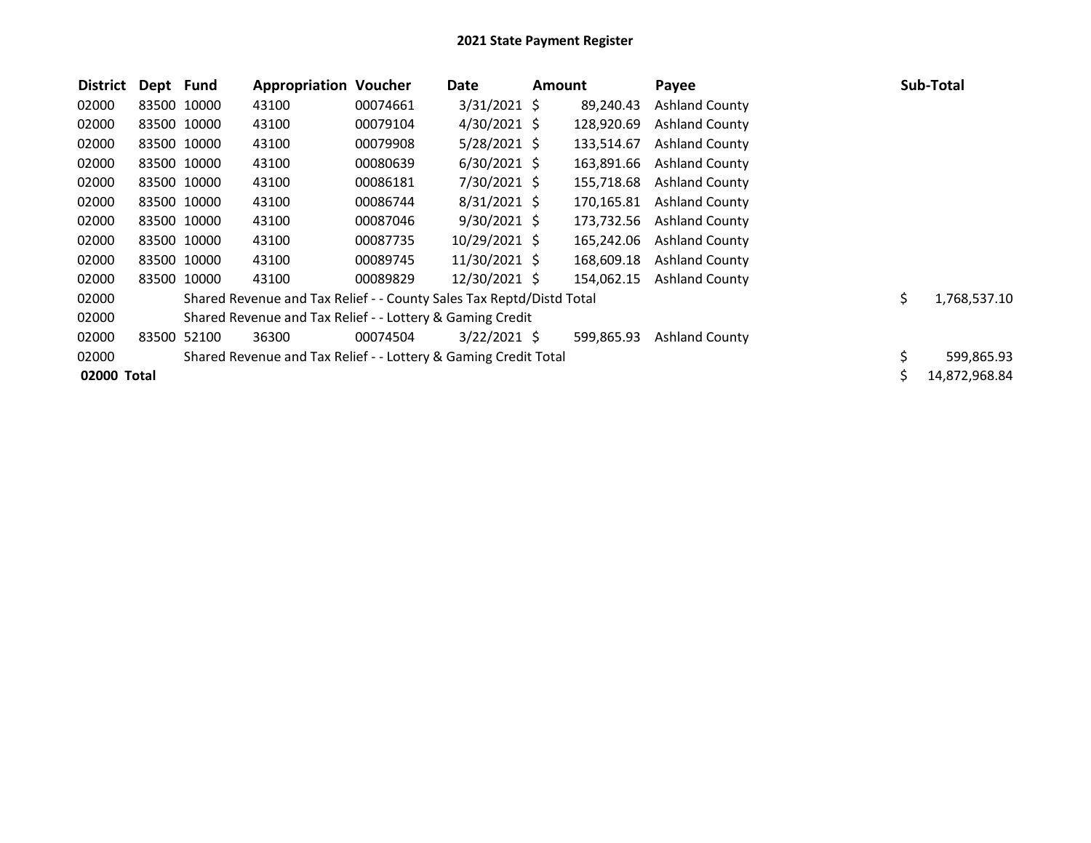| <b>District</b> | Dept Fund   |             | <b>Appropriation Voucher</b>                                         |          | Date           | <b>Amount</b> |            | Payee                 |     | <b>Sub-Total</b> |
|-----------------|-------------|-------------|----------------------------------------------------------------------|----------|----------------|---------------|------------|-----------------------|-----|------------------|
| 02000           |             | 83500 10000 | 43100                                                                | 00074661 | $3/31/2021$ \$ |               | 89,240.43  | <b>Ashland County</b> |     |                  |
| 02000           | 83500 10000 |             | 43100                                                                | 00079104 | $4/30/2021$ \$ |               | 128,920.69 | <b>Ashland County</b> |     |                  |
| 02000           |             | 83500 10000 | 43100                                                                | 00079908 | $5/28/2021$ \$ |               | 133,514.67 | <b>Ashland County</b> |     |                  |
| 02000           |             | 83500 10000 | 43100                                                                | 00080639 | $6/30/2021$ \$ |               | 163,891.66 | <b>Ashland County</b> |     |                  |
| 02000           |             | 83500 10000 | 43100                                                                | 00086181 | 7/30/2021 \$   |               | 155,718.68 | <b>Ashland County</b> |     |                  |
| 02000           |             | 83500 10000 | 43100                                                                | 00086744 | $8/31/2021$ \$ |               | 170,165.81 | <b>Ashland County</b> |     |                  |
| 02000           |             | 83500 10000 | 43100                                                                | 00087046 | $9/30/2021$ \$ |               | 173,732.56 | <b>Ashland County</b> |     |                  |
| 02000           | 83500 10000 |             | 43100                                                                | 00087735 | 10/29/2021 \$  |               | 165,242.06 | <b>Ashland County</b> |     |                  |
| 02000           |             | 83500 10000 | 43100                                                                | 00089745 | 11/30/2021 \$  |               | 168,609.18 | <b>Ashland County</b> |     |                  |
| 02000           |             | 83500 10000 | 43100                                                                | 00089829 | 12/30/2021 \$  |               | 154,062.15 | <b>Ashland County</b> |     |                  |
| 02000           |             |             | Shared Revenue and Tax Relief - - County Sales Tax Reptd/Distd Total |          |                |               |            |                       | \$. | 1,768,537.10     |
| 02000           |             |             | Shared Revenue and Tax Relief - - Lottery & Gaming Credit            |          |                |               |            |                       |     |                  |
| 02000           | 83500       | 52100       | 36300                                                                | 00074504 | $3/22/2021$ \$ |               | 599,865.93 | <b>Ashland County</b> |     |                  |
| 02000           |             |             | Shared Revenue and Tax Relief - - Lottery & Gaming Credit Total      |          |                |               |            |                       | \$  | 599,865.93       |
| 02000 Total     |             |             |                                                                      |          |                |               |            |                       |     | 14,872,968.84    |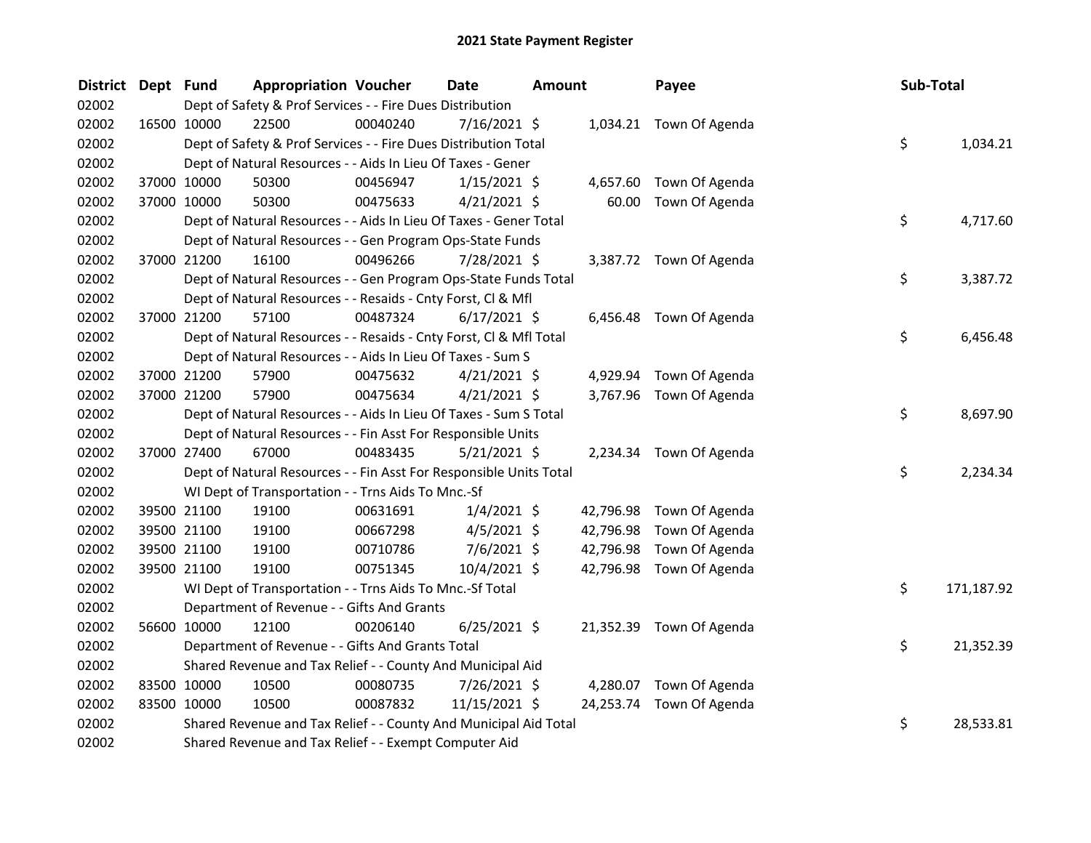| <b>District</b> | Dept Fund   |             | <b>Appropriation Voucher</b>                                       |          | <b>Date</b>    | <b>Amount</b> |           | Payee                    | Sub-Total |            |
|-----------------|-------------|-------------|--------------------------------------------------------------------|----------|----------------|---------------|-----------|--------------------------|-----------|------------|
| 02002           |             |             | Dept of Safety & Prof Services - - Fire Dues Distribution          |          |                |               |           |                          |           |            |
| 02002           | 16500 10000 |             | 22500                                                              | 00040240 | $7/16/2021$ \$ |               |           | 1,034.21 Town Of Agenda  |           |            |
| 02002           |             |             | Dept of Safety & Prof Services - - Fire Dues Distribution Total    |          |                |               |           |                          | \$        | 1,034.21   |
| 02002           |             |             | Dept of Natural Resources - - Aids In Lieu Of Taxes - Gener        |          |                |               |           |                          |           |            |
| 02002           |             | 37000 10000 | 50300                                                              | 00456947 | $1/15/2021$ \$ |               |           | 4,657.60 Town Of Agenda  |           |            |
| 02002           |             | 37000 10000 | 50300                                                              | 00475633 | $4/21/2021$ \$ |               | 60.00     | Town Of Agenda           |           |            |
| 02002           |             |             | Dept of Natural Resources - - Aids In Lieu Of Taxes - Gener Total  |          |                |               |           |                          | \$        | 4,717.60   |
| 02002           |             |             | Dept of Natural Resources - - Gen Program Ops-State Funds          |          |                |               |           |                          |           |            |
| 02002           |             | 37000 21200 | 16100                                                              | 00496266 | 7/28/2021 \$   |               |           | 3,387.72 Town Of Agenda  |           |            |
| 02002           |             |             | Dept of Natural Resources - - Gen Program Ops-State Funds Total    |          |                |               |           |                          | \$        | 3,387.72   |
| 02002           |             |             | Dept of Natural Resources - - Resaids - Cnty Forst, Cl & Mfl       |          |                |               |           |                          |           |            |
| 02002           |             | 37000 21200 | 57100                                                              | 00487324 | $6/17/2021$ \$ |               |           | 6,456.48 Town Of Agenda  |           |            |
| 02002           |             |             | Dept of Natural Resources - - Resaids - Cnty Forst, Cl & Mfl Total |          |                |               |           |                          | \$        | 6,456.48   |
| 02002           |             |             | Dept of Natural Resources - - Aids In Lieu Of Taxes - Sum S        |          |                |               |           |                          |           |            |
| 02002           |             | 37000 21200 | 57900                                                              | 00475632 | $4/21/2021$ \$ |               | 4,929.94  | Town Of Agenda           |           |            |
| 02002           |             | 37000 21200 | 57900                                                              | 00475634 | $4/21/2021$ \$ |               |           | 3,767.96 Town Of Agenda  |           |            |
| 02002           |             |             | Dept of Natural Resources - - Aids In Lieu Of Taxes - Sum S Total  |          |                |               |           |                          | \$        | 8,697.90   |
| 02002           |             |             | Dept of Natural Resources - - Fin Asst For Responsible Units       |          |                |               |           |                          |           |            |
| 02002           |             | 37000 27400 | 67000                                                              | 00483435 | $5/21/2021$ \$ |               |           | 2,234.34 Town Of Agenda  |           |            |
| 02002           |             |             | Dept of Natural Resources - - Fin Asst For Responsible Units Total |          |                |               |           |                          | \$        | 2,234.34   |
| 02002           |             |             | WI Dept of Transportation - - Trns Aids To Mnc.-Sf                 |          |                |               |           |                          |           |            |
| 02002           |             | 39500 21100 | 19100                                                              | 00631691 | $1/4/2021$ \$  |               | 42,796.98 | Town Of Agenda           |           |            |
| 02002           | 39500 21100 |             | 19100                                                              | 00667298 | $4/5/2021$ \$  |               | 42,796.98 | Town Of Agenda           |           |            |
| 02002           |             | 39500 21100 | 19100                                                              | 00710786 | $7/6/2021$ \$  |               | 42,796.98 | Town Of Agenda           |           |            |
| 02002           |             | 39500 21100 | 19100                                                              | 00751345 | 10/4/2021 \$   |               |           | 42,796.98 Town Of Agenda |           |            |
| 02002           |             |             | WI Dept of Transportation - - Trns Aids To Mnc.-Sf Total           |          |                |               |           |                          | \$        | 171,187.92 |
| 02002           |             |             | Department of Revenue - - Gifts And Grants                         |          |                |               |           |                          |           |            |
| 02002           |             | 56600 10000 | 12100                                                              | 00206140 | $6/25/2021$ \$ |               |           | 21,352.39 Town Of Agenda |           |            |
| 02002           |             |             | Department of Revenue - - Gifts And Grants Total                   |          |                |               |           |                          | \$        | 21,352.39  |
| 02002           |             |             | Shared Revenue and Tax Relief - - County And Municipal Aid         |          |                |               |           |                          |           |            |
| 02002           | 83500 10000 |             | 10500                                                              | 00080735 | 7/26/2021 \$   |               |           | 4,280.07 Town Of Agenda  |           |            |
| 02002           |             | 83500 10000 | 10500                                                              | 00087832 | 11/15/2021 \$  |               |           | 24,253.74 Town Of Agenda |           |            |
| 02002           |             |             | Shared Revenue and Tax Relief - - County And Municipal Aid Total   |          |                |               |           |                          | \$        | 28,533.81  |
| 02002           |             |             | Shared Revenue and Tax Relief - - Exempt Computer Aid              |          |                |               |           |                          |           |            |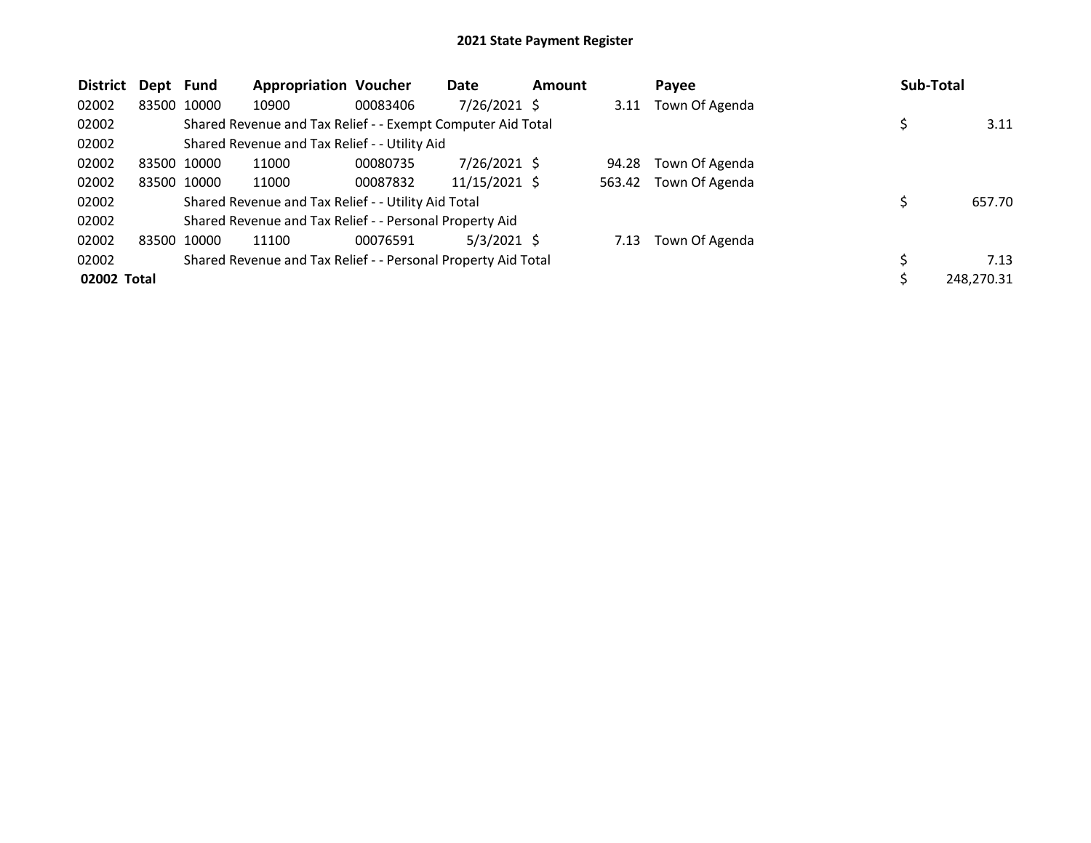| <b>District</b> | Dept Fund   |             | <b>Appropriation Voucher</b>                                  |          | Date            | <b>Amount</b> |        | Payee          | <b>Sub-Total</b> |
|-----------------|-------------|-------------|---------------------------------------------------------------|----------|-----------------|---------------|--------|----------------|------------------|
| 02002           |             | 83500 10000 | 10900                                                         | 00083406 | 7/26/2021 \$    |               | 3.11   | Town Of Agenda |                  |
| 02002           |             |             | Shared Revenue and Tax Relief - - Exempt Computer Aid Total   |          |                 |               |        |                | 3.11             |
| 02002           |             |             | Shared Revenue and Tax Relief - - Utility Aid                 |          |                 |               |        |                |                  |
| 02002           |             | 83500 10000 | 11000                                                         | 00080735 | 7/26/2021 \$    |               | 94.28  | Town Of Agenda |                  |
| 02002           |             | 83500 10000 | 11000                                                         | 00087832 | $11/15/2021$ \$ |               | 563.42 | Town Of Agenda |                  |
| 02002           |             |             | Shared Revenue and Tax Relief - - Utility Aid Total           |          |                 |               |        |                | 657.70           |
| 02002           |             |             | Shared Revenue and Tax Relief - - Personal Property Aid       |          |                 |               |        |                |                  |
| 02002           | 83500 10000 |             | 11100                                                         | 00076591 | $5/3/2021$ \$   |               | 7.13   | Town Of Agenda |                  |
| 02002           |             |             | Shared Revenue and Tax Relief - - Personal Property Aid Total |          |                 |               |        |                | 7.13             |
| 02002 Total     |             |             |                                                               |          |                 |               |        |                | 248,270.31       |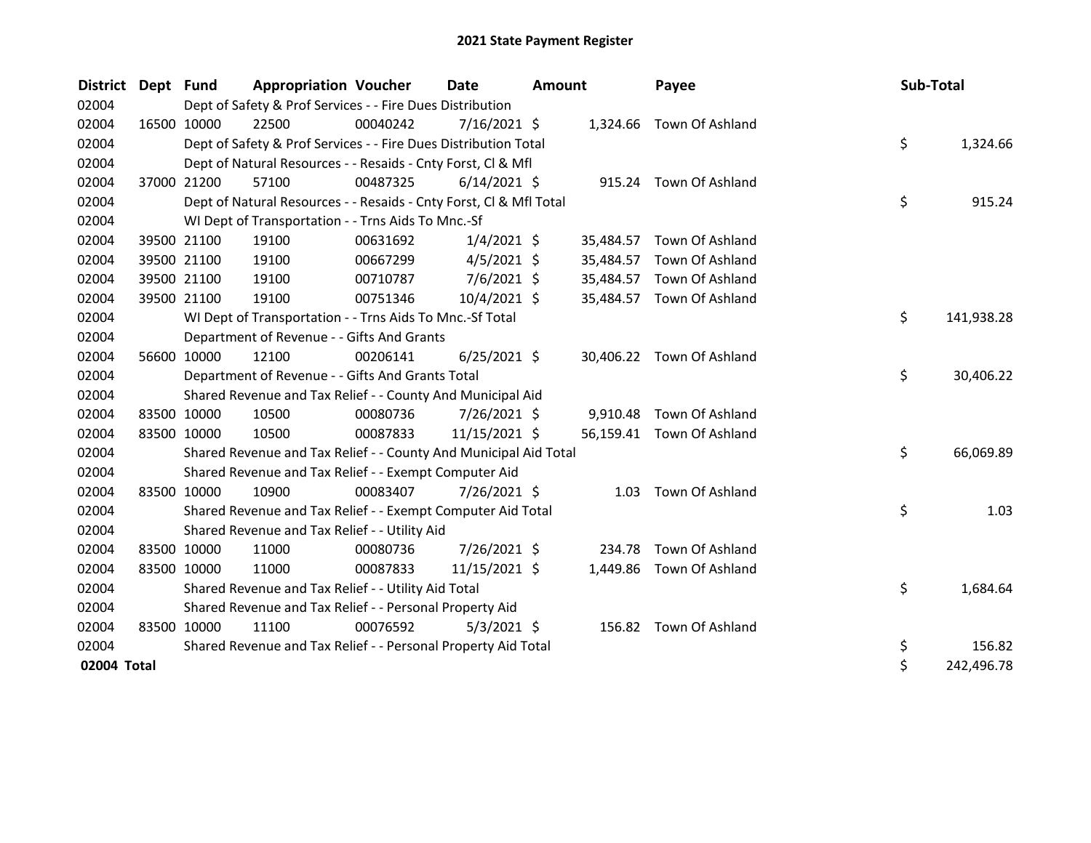| <b>District</b> | Dept Fund |             | <b>Appropriation Voucher</b>                                       |          | <b>Date</b>    | <b>Amount</b> |           | Payee                     | Sub-Total |            |
|-----------------|-----------|-------------|--------------------------------------------------------------------|----------|----------------|---------------|-----------|---------------------------|-----------|------------|
| 02004           |           |             | Dept of Safety & Prof Services - - Fire Dues Distribution          |          |                |               |           |                           |           |            |
| 02004           |           | 16500 10000 | 22500                                                              | 00040242 | $7/16/2021$ \$ |               |           | 1,324.66 Town Of Ashland  |           |            |
| 02004           |           |             | Dept of Safety & Prof Services - - Fire Dues Distribution Total    |          |                |               |           |                           | \$        | 1,324.66   |
| 02004           |           |             | Dept of Natural Resources - - Resaids - Cnty Forst, CI & Mfl       |          |                |               |           |                           |           |            |
| 02004           |           | 37000 21200 | 57100                                                              | 00487325 | $6/14/2021$ \$ |               |           | 915.24 Town Of Ashland    |           |            |
| 02004           |           |             | Dept of Natural Resources - - Resaids - Cnty Forst, CI & Mfl Total |          |                |               |           |                           | \$        | 915.24     |
| 02004           |           |             | WI Dept of Transportation - - Trns Aids To Mnc.-Sf                 |          |                |               |           |                           |           |            |
| 02004           |           | 39500 21100 | 19100                                                              | 00631692 | $1/4/2021$ \$  |               | 35,484.57 | Town Of Ashland           |           |            |
| 02004           |           | 39500 21100 | 19100                                                              | 00667299 | $4/5/2021$ \$  |               | 35,484.57 | Town Of Ashland           |           |            |
| 02004           |           | 39500 21100 | 19100                                                              | 00710787 | $7/6/2021$ \$  |               | 35,484.57 | Town Of Ashland           |           |            |
| 02004           |           | 39500 21100 | 19100                                                              | 00751346 | $10/4/2021$ \$ |               |           | 35,484.57 Town Of Ashland |           |            |
| 02004           |           |             | WI Dept of Transportation - - Trns Aids To Mnc.-Sf Total           |          |                |               |           |                           | \$        | 141,938.28 |
| 02004           |           |             | Department of Revenue - - Gifts And Grants                         |          |                |               |           |                           |           |            |
| 02004           |           | 56600 10000 | 12100                                                              | 00206141 | $6/25/2021$ \$ |               |           | 30,406.22 Town Of Ashland |           |            |
| 02004           |           |             | Department of Revenue - - Gifts And Grants Total                   |          |                |               |           |                           | \$        | 30,406.22  |
| 02004           |           |             | Shared Revenue and Tax Relief - - County And Municipal Aid         |          |                |               |           |                           |           |            |
| 02004           |           | 83500 10000 | 10500                                                              | 00080736 | 7/26/2021 \$   |               | 9,910.48  | Town Of Ashland           |           |            |
| 02004           |           | 83500 10000 | 10500                                                              | 00087833 | 11/15/2021 \$  |               |           | 56,159.41 Town Of Ashland |           |            |
| 02004           |           |             | Shared Revenue and Tax Relief - - County And Municipal Aid Total   |          |                |               |           |                           | \$        | 66,069.89  |
| 02004           |           |             | Shared Revenue and Tax Relief - - Exempt Computer Aid              |          |                |               |           |                           |           |            |
| 02004           |           | 83500 10000 | 10900                                                              | 00083407 | 7/26/2021 \$   |               | 1.03      | Town Of Ashland           |           |            |
| 02004           |           |             | Shared Revenue and Tax Relief - - Exempt Computer Aid Total        |          |                |               |           |                           | \$        | 1.03       |
| 02004           |           |             | Shared Revenue and Tax Relief - - Utility Aid                      |          |                |               |           |                           |           |            |
| 02004           |           | 83500 10000 | 11000                                                              | 00080736 | 7/26/2021 \$   |               | 234.78    | Town Of Ashland           |           |            |
| 02004           |           | 83500 10000 | 11000                                                              | 00087833 | 11/15/2021 \$  |               | 1,449.86  | Town Of Ashland           |           |            |
| 02004           |           |             | Shared Revenue and Tax Relief - - Utility Aid Total                |          |                |               |           |                           | \$        | 1,684.64   |
| 02004           |           |             | Shared Revenue and Tax Relief - - Personal Property Aid            |          |                |               |           |                           |           |            |
| 02004           |           | 83500 10000 | 11100                                                              | 00076592 | $5/3/2021$ \$  |               |           | 156.82 Town Of Ashland    |           |            |
| 02004           |           |             | Shared Revenue and Tax Relief - - Personal Property Aid Total      |          |                |               |           |                           | \$        | 156.82     |
| 02004 Total     |           |             |                                                                    |          |                |               |           |                           | \$        | 242,496.78 |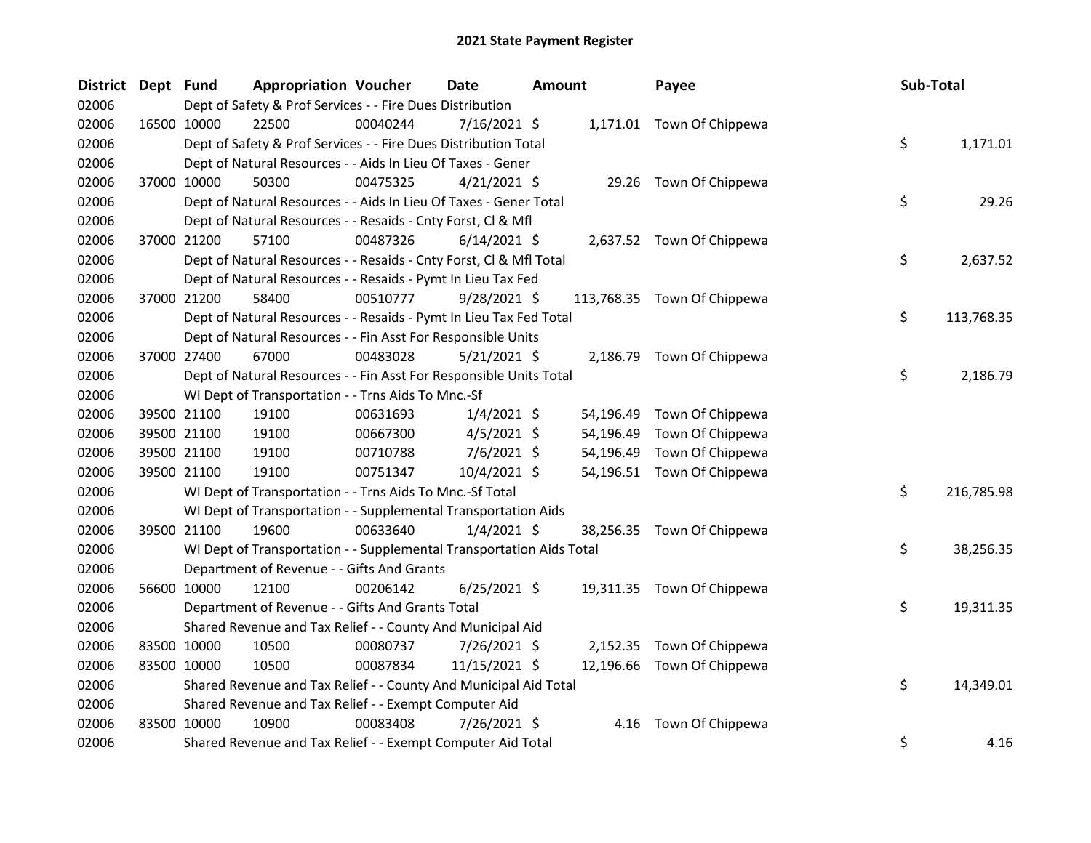| <b>District</b> | Dept Fund | <b>Appropriation Voucher</b>                                         |          | Date           | <b>Amount</b> |           | Payee                       | Sub-Total         |
|-----------------|-----------|----------------------------------------------------------------------|----------|----------------|---------------|-----------|-----------------------------|-------------------|
| 02006           |           | Dept of Safety & Prof Services - - Fire Dues Distribution            |          |                |               |           |                             |                   |
| 02006           |           | 16500 10000<br>22500                                                 | 00040244 | 7/16/2021 \$   |               |           | 1,171.01 Town Of Chippewa   |                   |
| 02006           |           | Dept of Safety & Prof Services - - Fire Dues Distribution Total      |          |                |               |           |                             | \$<br>1,171.01    |
| 02006           |           | Dept of Natural Resources - - Aids In Lieu Of Taxes - Gener          |          |                |               |           |                             |                   |
| 02006           |           | 37000 10000<br>50300                                                 | 00475325 | $4/21/2021$ \$ |               |           | 29.26 Town Of Chippewa      |                   |
| 02006           |           | Dept of Natural Resources - - Aids In Lieu Of Taxes - Gener Total    |          |                |               |           |                             | \$<br>29.26       |
| 02006           |           | Dept of Natural Resources - - Resaids - Cnty Forst, Cl & Mfl         |          |                |               |           |                             |                   |
| 02006           |           | 37000 21200<br>57100                                                 | 00487326 | $6/14/2021$ \$ |               |           | 2,637.52 Town Of Chippewa   |                   |
| 02006           |           | Dept of Natural Resources - - Resaids - Cnty Forst, Cl & Mfl Total   |          |                |               |           |                             | \$<br>2,637.52    |
| 02006           |           | Dept of Natural Resources - - Resaids - Pymt In Lieu Tax Fed         |          |                |               |           |                             |                   |
| 02006           |           | 37000 21200<br>58400                                                 | 00510777 | $9/28/2021$ \$ |               |           | 113,768.35 Town Of Chippewa |                   |
| 02006           |           | Dept of Natural Resources - - Resaids - Pymt In Lieu Tax Fed Total   |          |                |               |           |                             | \$<br>113,768.35  |
| 02006           |           | Dept of Natural Resources - - Fin Asst For Responsible Units         |          |                |               |           |                             |                   |
| 02006           |           | 37000 27400<br>67000                                                 | 00483028 | $5/21/2021$ \$ |               |           | 2,186.79 Town Of Chippewa   |                   |
| 02006           |           | Dept of Natural Resources - - Fin Asst For Responsible Units Total   |          |                |               |           |                             | \$.<br>2,186.79   |
| 02006           |           | WI Dept of Transportation - - Trns Aids To Mnc.-Sf                   |          |                |               |           |                             |                   |
| 02006           |           | 19100<br>39500 21100                                                 | 00631693 | $1/4/2021$ \$  |               |           | 54,196.49 Town Of Chippewa  |                   |
| 02006           |           | 39500 21100<br>19100                                                 | 00667300 | $4/5/2021$ \$  |               | 54,196.49 | Town Of Chippewa            |                   |
| 02006           |           | 39500 21100<br>19100                                                 | 00710788 | $7/6/2021$ \$  |               | 54,196.49 | Town Of Chippewa            |                   |
| 02006           |           | 19100<br>39500 21100                                                 | 00751347 | 10/4/2021 \$   |               |           | 54,196.51 Town Of Chippewa  |                   |
| 02006           |           | WI Dept of Transportation - - Trns Aids To Mnc.-Sf Total             |          |                |               |           |                             | \$.<br>216,785.98 |
| 02006           |           | WI Dept of Transportation - - Supplemental Transportation Aids       |          |                |               |           |                             |                   |
| 02006           |           | 19600<br>39500 21100                                                 | 00633640 | $1/4/2021$ \$  |               |           | 38,256.35 Town Of Chippewa  |                   |
| 02006           |           | WI Dept of Transportation - - Supplemental Transportation Aids Total |          |                |               |           |                             | \$.<br>38,256.35  |
| 02006           |           | Department of Revenue - - Gifts And Grants                           |          |                |               |           |                             |                   |
| 02006           |           | 56600 10000<br>12100                                                 | 00206142 | $6/25/2021$ \$ |               |           | 19,311.35 Town Of Chippewa  |                   |
| 02006           |           | Department of Revenue - - Gifts And Grants Total                     |          |                |               |           |                             | \$<br>19,311.35   |
| 02006           |           | Shared Revenue and Tax Relief - - County And Municipal Aid           |          |                |               |           |                             |                   |
| 02006           |           | 83500 10000<br>10500                                                 | 00080737 | 7/26/2021 \$   |               |           | 2,152.35 Town Of Chippewa   |                   |
| 02006           |           | 83500 10000<br>10500                                                 | 00087834 | 11/15/2021 \$  |               |           | 12,196.66 Town Of Chippewa  |                   |
| 02006           |           | Shared Revenue and Tax Relief - - County And Municipal Aid Total     |          |                |               |           |                             | \$.<br>14,349.01  |
| 02006           |           | Shared Revenue and Tax Relief - - Exempt Computer Aid                |          |                |               |           |                             |                   |
| 02006           |           | 83500 10000<br>10900                                                 | 00083408 | 7/26/2021 \$   |               | 4.16      | Town Of Chippewa            |                   |
| 02006           |           | Shared Revenue and Tax Relief - - Exempt Computer Aid Total          |          |                |               |           |                             | \$<br>4.16        |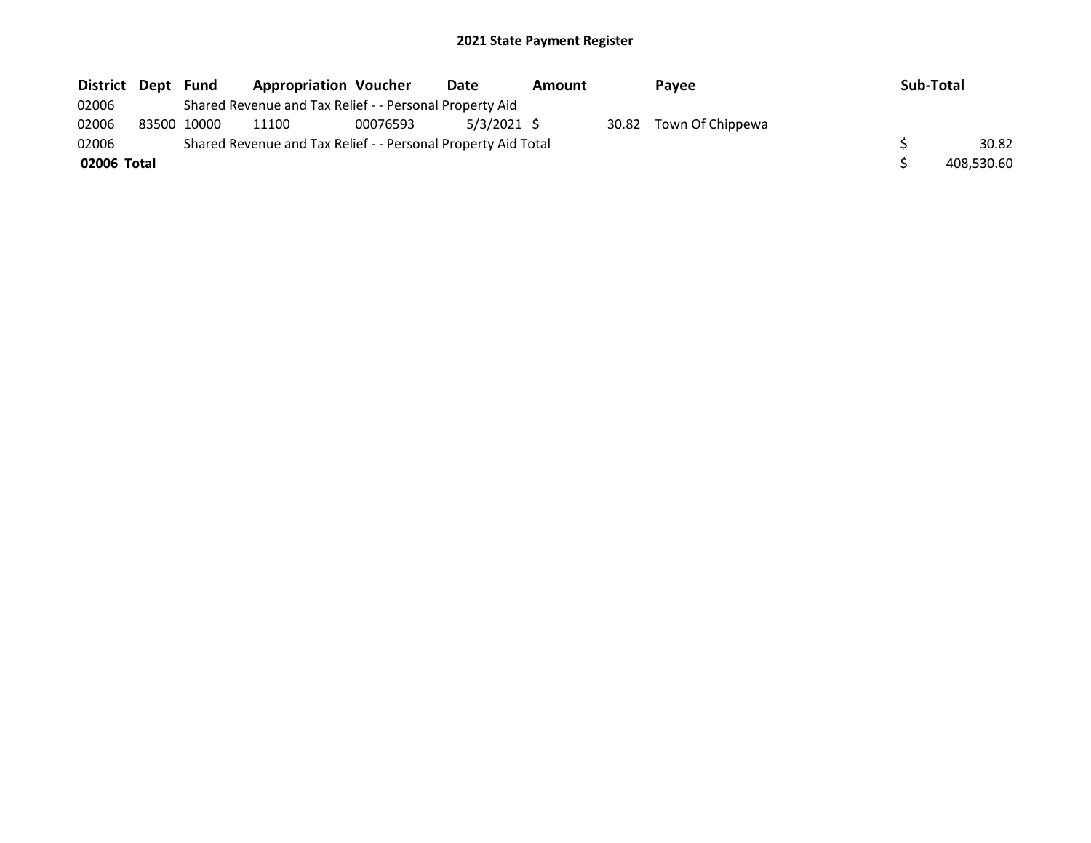| District Dept | Fund        | <b>Appropriation Voucher</b>                                  |          | Date          | <b>Amount</b> |       | <b>Pavee</b>     | <b>Sub-Total</b> |            |
|---------------|-------------|---------------------------------------------------------------|----------|---------------|---------------|-------|------------------|------------------|------------|
| 02006         |             | Shared Revenue and Tax Relief - - Personal Property Aid       |          |               |               |       |                  |                  |            |
| 02006         | 83500 10000 | 11100                                                         | 00076593 | $5/3/2021$ \$ |               | 30.82 | Town Of Chippewa |                  |            |
| 02006         |             | Shared Revenue and Tax Relief - - Personal Property Aid Total |          |               |               |       |                  |                  | 30.82      |
| 02006 Total   |             |                                                               |          |               |               |       |                  |                  | 408.530.60 |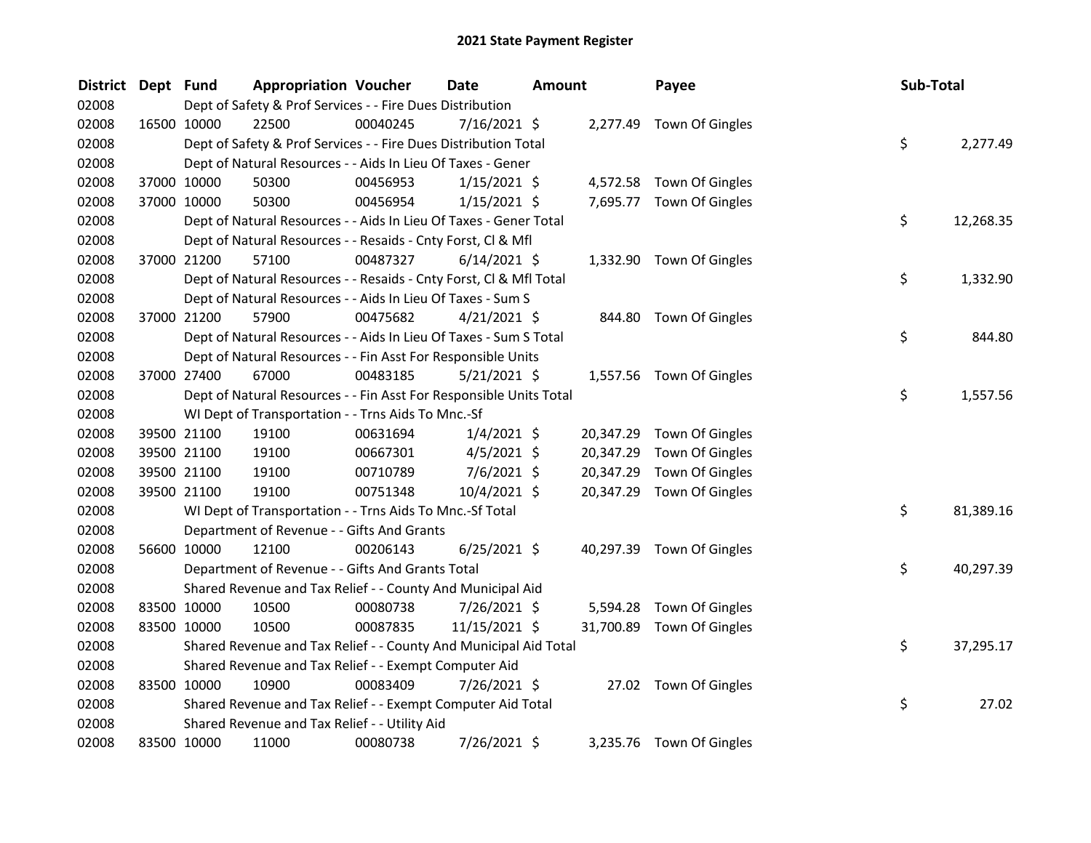| <b>District</b> | Dept Fund |             | <b>Appropriation Voucher</b>                                       |          | <b>Date</b>    | <b>Amount</b> |           | Payee                     | Sub-Total |           |
|-----------------|-----------|-------------|--------------------------------------------------------------------|----------|----------------|---------------|-----------|---------------------------|-----------|-----------|
| 02008           |           |             | Dept of Safety & Prof Services - - Fire Dues Distribution          |          |                |               |           |                           |           |           |
| 02008           |           | 16500 10000 | 22500                                                              | 00040245 | $7/16/2021$ \$ |               |           | 2,277.49 Town Of Gingles  |           |           |
| 02008           |           |             | Dept of Safety & Prof Services - - Fire Dues Distribution Total    |          |                |               |           |                           | \$        | 2,277.49  |
| 02008           |           |             | Dept of Natural Resources - - Aids In Lieu Of Taxes - Gener        |          |                |               |           |                           |           |           |
| 02008           |           | 37000 10000 | 50300                                                              | 00456953 | $1/15/2021$ \$ |               |           | 4,572.58 Town Of Gingles  |           |           |
| 02008           |           | 37000 10000 | 50300                                                              | 00456954 | $1/15/2021$ \$ |               |           | 7,695.77 Town Of Gingles  |           |           |
| 02008           |           |             | Dept of Natural Resources - - Aids In Lieu Of Taxes - Gener Total  |          |                |               |           |                           | \$        | 12,268.35 |
| 02008           |           |             | Dept of Natural Resources - - Resaids - Cnty Forst, Cl & Mfl       |          |                |               |           |                           |           |           |
| 02008           |           | 37000 21200 | 57100                                                              | 00487327 | $6/14/2021$ \$ |               |           | 1,332.90 Town Of Gingles  |           |           |
| 02008           |           |             | Dept of Natural Resources - - Resaids - Cnty Forst, CI & Mfl Total |          |                |               |           |                           | \$        | 1,332.90  |
| 02008           |           |             | Dept of Natural Resources - - Aids In Lieu Of Taxes - Sum S        |          |                |               |           |                           |           |           |
| 02008           |           | 37000 21200 | 57900                                                              | 00475682 | $4/21/2021$ \$ |               |           | 844.80 Town Of Gingles    |           |           |
| 02008           |           |             | Dept of Natural Resources - - Aids In Lieu Of Taxes - Sum S Total  |          |                |               |           |                           | \$        | 844.80    |
| 02008           |           |             | Dept of Natural Resources - - Fin Asst For Responsible Units       |          |                |               |           |                           |           |           |
| 02008           |           | 37000 27400 | 67000                                                              | 00483185 | $5/21/2021$ \$ |               |           | 1,557.56 Town Of Gingles  |           |           |
| 02008           |           |             | Dept of Natural Resources - - Fin Asst For Responsible Units Total |          |                |               |           |                           | \$        | 1,557.56  |
| 02008           |           |             | WI Dept of Transportation - - Trns Aids To Mnc.-Sf                 |          |                |               |           |                           |           |           |
| 02008           |           | 39500 21100 | 19100                                                              | 00631694 | $1/4/2021$ \$  |               | 20,347.29 | Town Of Gingles           |           |           |
| 02008           |           | 39500 21100 | 19100                                                              | 00667301 | $4/5/2021$ \$  |               | 20,347.29 | Town Of Gingles           |           |           |
| 02008           |           | 39500 21100 | 19100                                                              | 00710789 | $7/6/2021$ \$  |               | 20,347.29 | Town Of Gingles           |           |           |
| 02008           |           | 39500 21100 | 19100                                                              | 00751348 | 10/4/2021 \$   |               | 20,347.29 | Town Of Gingles           |           |           |
| 02008           |           |             | WI Dept of Transportation - - Trns Aids To Mnc.-Sf Total           |          |                |               |           |                           | \$        | 81,389.16 |
| 02008           |           |             | Department of Revenue - - Gifts And Grants                         |          |                |               |           |                           |           |           |
| 02008           |           | 56600 10000 | 12100                                                              | 00206143 | $6/25/2021$ \$ |               |           | 40,297.39 Town Of Gingles |           |           |
| 02008           |           |             | Department of Revenue - - Gifts And Grants Total                   |          |                |               |           |                           | \$        | 40,297.39 |
| 02008           |           |             | Shared Revenue and Tax Relief - - County And Municipal Aid         |          |                |               |           |                           |           |           |
| 02008           |           | 83500 10000 | 10500                                                              | 00080738 | 7/26/2021 \$   |               | 5,594.28  | Town Of Gingles           |           |           |
| 02008           |           | 83500 10000 | 10500                                                              | 00087835 | 11/15/2021 \$  |               | 31,700.89 | Town Of Gingles           |           |           |
| 02008           |           |             | Shared Revenue and Tax Relief - - County And Municipal Aid Total   |          |                |               |           |                           | \$        | 37,295.17 |
| 02008           |           |             | Shared Revenue and Tax Relief - - Exempt Computer Aid              |          |                |               |           |                           |           |           |
| 02008           |           | 83500 10000 | 10900                                                              | 00083409 | 7/26/2021 \$   |               |           | 27.02 Town Of Gingles     |           |           |
| 02008           |           |             | Shared Revenue and Tax Relief - - Exempt Computer Aid Total        |          |                |               |           |                           | \$        | 27.02     |
| 02008           |           |             | Shared Revenue and Tax Relief - - Utility Aid                      |          |                |               |           |                           |           |           |
| 02008           |           | 83500 10000 | 11000                                                              | 00080738 | 7/26/2021 \$   |               |           | 3,235.76 Town Of Gingles  |           |           |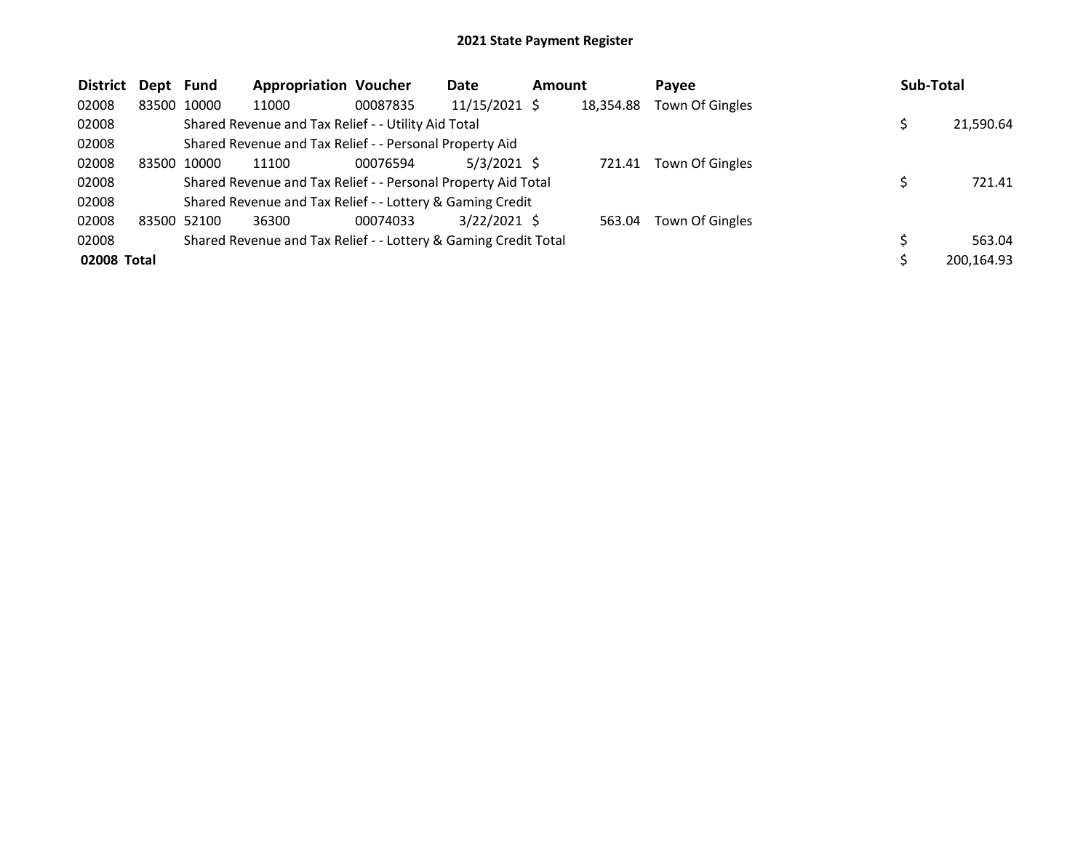| <b>District</b> | Dept Fund |             | <b>Appropriation Voucher</b>                                    |          | Date            | <b>Amount</b> |           | Payee           | <b>Sub-Total</b> |
|-----------------|-----------|-------------|-----------------------------------------------------------------|----------|-----------------|---------------|-----------|-----------------|------------------|
| 02008           | 83500     | 10000       | 11000                                                           | 00087835 | $11/15/2021$ \$ |               | 18,354.88 | Town Of Gingles |                  |
| 02008           |           |             | Shared Revenue and Tax Relief - - Utility Aid Total             |          |                 |               |           |                 | 21,590.64        |
| 02008           |           |             | Shared Revenue and Tax Relief - - Personal Property Aid         |          |                 |               |           |                 |                  |
| 02008           |           | 83500 10000 | 11100                                                           | 00076594 | $5/3/2021$ \$   |               | 721.41    | Town Of Gingles |                  |
| 02008           |           |             | Shared Revenue and Tax Relief - - Personal Property Aid Total   |          |                 |               |           |                 | 721.41           |
| 02008           |           |             | Shared Revenue and Tax Relief - - Lottery & Gaming Credit       |          |                 |               |           |                 |                  |
| 02008           |           | 83500 52100 | 36300                                                           | 00074033 | $3/22/2021$ \$  |               | 563.04    | Town Of Gingles |                  |
| 02008           |           |             | Shared Revenue and Tax Relief - - Lottery & Gaming Credit Total |          |                 |               |           |                 | 563.04           |
| 02008 Total     |           |             |                                                                 |          |                 |               |           |                 | 200,164.93       |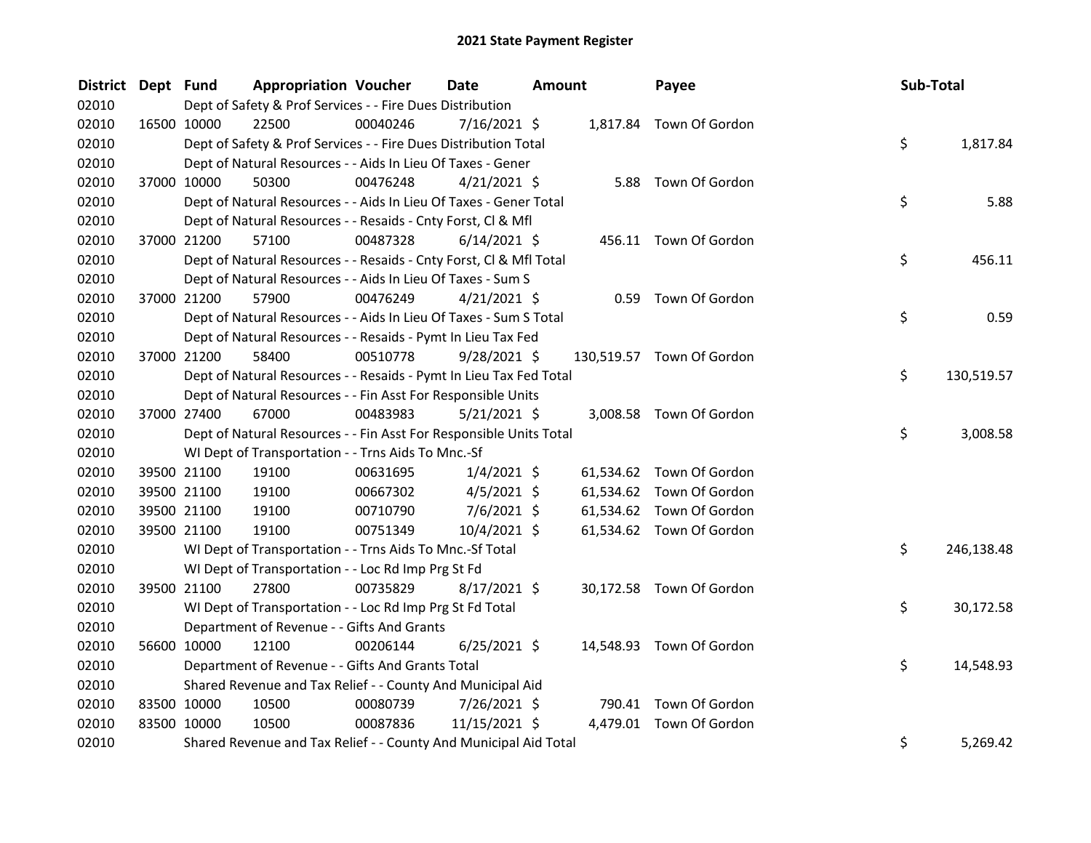| <b>District</b> | Dept Fund |             | <b>Appropriation Voucher</b>                                       |          | <b>Date</b>    | <b>Amount</b> | Payee                     | Sub-Total |            |
|-----------------|-----------|-------------|--------------------------------------------------------------------|----------|----------------|---------------|---------------------------|-----------|------------|
| 02010           |           |             | Dept of Safety & Prof Services - - Fire Dues Distribution          |          |                |               |                           |           |            |
| 02010           |           | 16500 10000 | 22500                                                              | 00040246 | $7/16/2021$ \$ |               | 1,817.84 Town Of Gordon   |           |            |
| 02010           |           |             | Dept of Safety & Prof Services - - Fire Dues Distribution Total    |          |                |               |                           | \$        | 1,817.84   |
| 02010           |           |             | Dept of Natural Resources - - Aids In Lieu Of Taxes - Gener        |          |                |               |                           |           |            |
| 02010           |           | 37000 10000 | 50300                                                              | 00476248 | $4/21/2021$ \$ |               | 5.88 Town Of Gordon       |           |            |
| 02010           |           |             | Dept of Natural Resources - - Aids In Lieu Of Taxes - Gener Total  |          |                |               |                           | \$        | 5.88       |
| 02010           |           |             | Dept of Natural Resources - - Resaids - Cnty Forst, Cl & Mfl       |          |                |               |                           |           |            |
| 02010           |           | 37000 21200 | 57100                                                              | 00487328 | $6/14/2021$ \$ |               | 456.11 Town Of Gordon     |           |            |
| 02010           |           |             | Dept of Natural Resources - - Resaids - Cnty Forst, CI & Mfl Total |          |                |               |                           | \$        | 456.11     |
| 02010           |           |             | Dept of Natural Resources - - Aids In Lieu Of Taxes - Sum S        |          |                |               |                           |           |            |
| 02010           |           | 37000 21200 | 57900                                                              | 00476249 | $4/21/2021$ \$ |               | 0.59 Town Of Gordon       |           |            |
| 02010           |           |             | Dept of Natural Resources - - Aids In Lieu Of Taxes - Sum S Total  |          |                |               |                           | \$        | 0.59       |
| 02010           |           |             | Dept of Natural Resources - - Resaids - Pymt In Lieu Tax Fed       |          |                |               |                           |           |            |
| 02010           |           | 37000 21200 | 58400                                                              | 00510778 | $9/28/2021$ \$ |               | 130,519.57 Town Of Gordon |           |            |
| 02010           |           |             | Dept of Natural Resources - - Resaids - Pymt In Lieu Tax Fed Total |          |                |               |                           | \$        | 130,519.57 |
| 02010           |           |             | Dept of Natural Resources - - Fin Asst For Responsible Units       |          |                |               |                           |           |            |
| 02010           |           | 37000 27400 | 67000                                                              | 00483983 | $5/21/2021$ \$ |               | 3,008.58 Town Of Gordon   |           |            |
| 02010           |           |             | Dept of Natural Resources - - Fin Asst For Responsible Units Total |          |                |               |                           | \$        | 3,008.58   |
| 02010           |           |             | WI Dept of Transportation - - Trns Aids To Mnc.-Sf                 |          |                |               |                           |           |            |
| 02010           |           | 39500 21100 | 19100                                                              | 00631695 | $1/4/2021$ \$  |               | 61,534.62 Town Of Gordon  |           |            |
| 02010           |           | 39500 21100 | 19100                                                              | 00667302 | $4/5/2021$ \$  |               | 61,534.62 Town Of Gordon  |           |            |
| 02010           |           | 39500 21100 | 19100                                                              | 00710790 | $7/6/2021$ \$  |               | 61,534.62 Town Of Gordon  |           |            |
| 02010           |           | 39500 21100 | 19100                                                              | 00751349 | $10/4/2021$ \$ |               | 61,534.62 Town Of Gordon  |           |            |
| 02010           |           |             | WI Dept of Transportation - - Trns Aids To Mnc.-Sf Total           |          |                |               |                           | \$        | 246,138.48 |
| 02010           |           |             | WI Dept of Transportation - - Loc Rd Imp Prg St Fd                 |          |                |               |                           |           |            |
| 02010           |           | 39500 21100 | 27800                                                              | 00735829 | $8/17/2021$ \$ |               | 30,172.58 Town Of Gordon  |           |            |
| 02010           |           |             | WI Dept of Transportation - - Loc Rd Imp Prg St Fd Total           |          |                |               |                           | \$        | 30,172.58  |
| 02010           |           |             | Department of Revenue - - Gifts And Grants                         |          |                |               |                           |           |            |
| 02010           |           | 56600 10000 | 12100                                                              | 00206144 | $6/25/2021$ \$ |               | 14,548.93 Town Of Gordon  |           |            |
| 02010           |           |             | Department of Revenue - - Gifts And Grants Total                   |          |                |               |                           | \$        | 14,548.93  |
| 02010           |           |             | Shared Revenue and Tax Relief - - County And Municipal Aid         |          |                |               |                           |           |            |
| 02010           |           | 83500 10000 | 10500                                                              | 00080739 | 7/26/2021 \$   |               | 790.41 Town Of Gordon     |           |            |
| 02010           |           | 83500 10000 | 10500                                                              | 00087836 | 11/15/2021 \$  |               | 4,479.01 Town Of Gordon   |           |            |
| 02010           |           |             | Shared Revenue and Tax Relief - - County And Municipal Aid Total   |          |                |               |                           | \$        | 5,269.42   |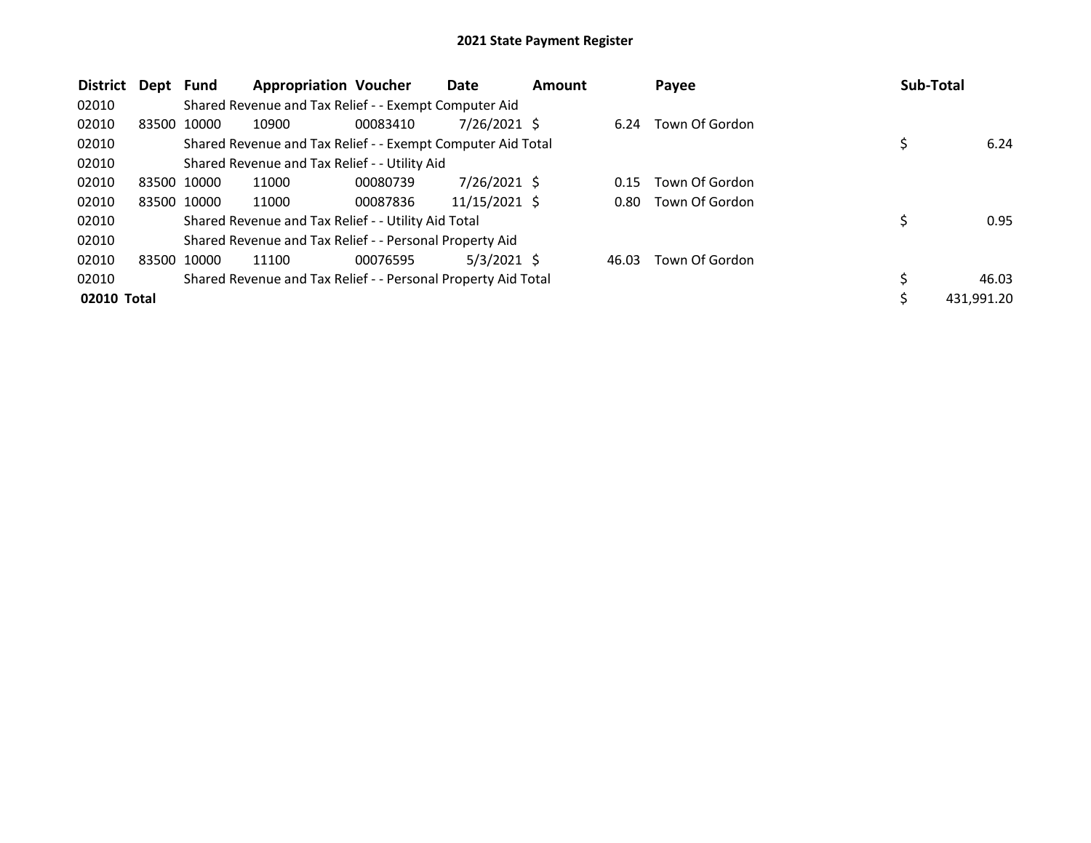| <b>District</b> | Dept Fund |             | <b>Appropriation Voucher</b>                                  |          | Date            | <b>Amount</b> |       | Payee               |   | Sub-Total  |
|-----------------|-----------|-------------|---------------------------------------------------------------|----------|-----------------|---------------|-------|---------------------|---|------------|
| 02010           |           |             | Shared Revenue and Tax Relief - - Exempt Computer Aid         |          |                 |               |       |                     |   |            |
| 02010           |           | 83500 10000 | 10900                                                         | 00083410 | $7/26/2021$ \$  |               | 6.24  | Town Of Gordon      |   |            |
| 02010           |           |             | Shared Revenue and Tax Relief - - Exempt Computer Aid Total   |          |                 |               |       |                     |   | 6.24       |
| 02010           |           |             | Shared Revenue and Tax Relief - - Utility Aid                 |          |                 |               |       |                     |   |            |
| 02010           |           | 83500 10000 | 11000                                                         | 00080739 | $7/26/2021$ \$  |               | 0.15  | Town Of Gordon      |   |            |
| 02010           |           | 83500 10000 | 11000                                                         | 00087836 | $11/15/2021$ \$ |               |       | 0.80 Town Of Gordon |   |            |
| 02010           |           |             | Shared Revenue and Tax Relief - - Utility Aid Total           |          |                 |               |       |                     |   | 0.95       |
| 02010           |           |             | Shared Revenue and Tax Relief - - Personal Property Aid       |          |                 |               |       |                     |   |            |
| 02010           |           | 83500 10000 | 11100                                                         | 00076595 | $5/3/2021$ \$   |               | 46.03 | Town Of Gordon      |   |            |
| 02010           |           |             | Shared Revenue and Tax Relief - - Personal Property Aid Total |          |                 |               |       |                     | Ś | 46.03      |
| 02010 Total     |           |             |                                                               |          |                 |               |       |                     |   | 431.991.20 |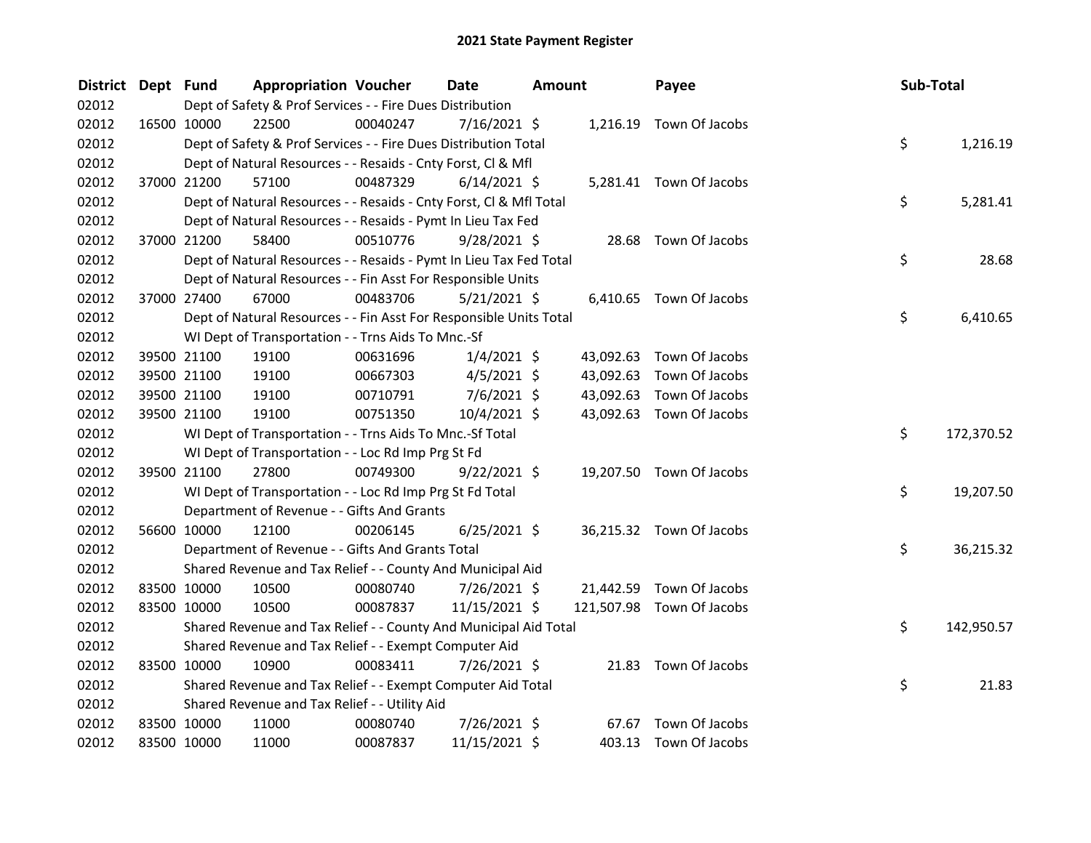| <b>District</b> | Dept Fund |             | <b>Appropriation Voucher</b>                                       |          | Date           | Amount |           | Payee                     | Sub-Total |            |
|-----------------|-----------|-------------|--------------------------------------------------------------------|----------|----------------|--------|-----------|---------------------------|-----------|------------|
| 02012           |           |             | Dept of Safety & Prof Services - - Fire Dues Distribution          |          |                |        |           |                           |           |            |
| 02012           |           | 16500 10000 | 22500                                                              | 00040247 | 7/16/2021 \$   |        |           | 1,216.19 Town Of Jacobs   |           |            |
| 02012           |           |             | Dept of Safety & Prof Services - - Fire Dues Distribution Total    |          |                |        |           |                           | \$        | 1,216.19   |
| 02012           |           |             | Dept of Natural Resources - - Resaids - Cnty Forst, Cl & Mfl       |          |                |        |           |                           |           |            |
| 02012           |           | 37000 21200 | 57100                                                              | 00487329 | $6/14/2021$ \$ |        |           | 5,281.41 Town Of Jacobs   |           |            |
| 02012           |           |             | Dept of Natural Resources - - Resaids - Cnty Forst, Cl & Mfl Total |          |                |        |           |                           | \$        | 5,281.41   |
| 02012           |           |             | Dept of Natural Resources - - Resaids - Pymt In Lieu Tax Fed       |          |                |        |           |                           |           |            |
| 02012           |           | 37000 21200 | 58400                                                              | 00510776 | $9/28/2021$ \$ |        |           | 28.68 Town Of Jacobs      |           |            |
| 02012           |           |             | Dept of Natural Resources - - Resaids - Pymt In Lieu Tax Fed Total |          |                |        |           |                           | \$        | 28.68      |
| 02012           |           |             | Dept of Natural Resources - - Fin Asst For Responsible Units       |          |                |        |           |                           |           |            |
| 02012           |           | 37000 27400 | 67000                                                              | 00483706 | 5/21/2021 \$   |        |           | 6,410.65 Town Of Jacobs   |           |            |
| 02012           |           |             | Dept of Natural Resources - - Fin Asst For Responsible Units Total |          |                |        |           |                           | \$        | 6,410.65   |
| 02012           |           |             | WI Dept of Transportation - - Trns Aids To Mnc.-Sf                 |          |                |        |           |                           |           |            |
| 02012           |           | 39500 21100 | 19100                                                              | 00631696 | $1/4/2021$ \$  |        | 43,092.63 | Town Of Jacobs            |           |            |
| 02012           |           | 39500 21100 | 19100                                                              | 00667303 | $4/5/2021$ \$  |        | 43,092.63 | Town Of Jacobs            |           |            |
| 02012           |           | 39500 21100 | 19100                                                              | 00710791 | $7/6/2021$ \$  |        | 43,092.63 | Town Of Jacobs            |           |            |
| 02012           |           | 39500 21100 | 19100                                                              | 00751350 | 10/4/2021 \$   |        |           | 43,092.63 Town Of Jacobs  |           |            |
| 02012           |           |             | WI Dept of Transportation - - Trns Aids To Mnc.-Sf Total           |          |                |        |           |                           | \$        | 172,370.52 |
| 02012           |           |             | WI Dept of Transportation - - Loc Rd Imp Prg St Fd                 |          |                |        |           |                           |           |            |
| 02012           |           | 39500 21100 | 27800                                                              | 00749300 | 9/22/2021 \$   |        |           | 19,207.50 Town Of Jacobs  |           |            |
| 02012           |           |             | WI Dept of Transportation - - Loc Rd Imp Prg St Fd Total           |          |                |        |           |                           | \$        | 19,207.50  |
| 02012           |           |             | Department of Revenue - - Gifts And Grants                         |          |                |        |           |                           |           |            |
| 02012           |           | 56600 10000 | 12100                                                              | 00206145 | $6/25/2021$ \$ |        |           | 36,215.32 Town Of Jacobs  |           |            |
| 02012           |           |             | Department of Revenue - - Gifts And Grants Total                   |          |                |        |           |                           | \$        | 36,215.32  |
| 02012           |           |             | Shared Revenue and Tax Relief - - County And Municipal Aid         |          |                |        |           |                           |           |            |
| 02012           |           | 83500 10000 | 10500                                                              | 00080740 | 7/26/2021 \$   |        |           | 21,442.59 Town Of Jacobs  |           |            |
| 02012           |           | 83500 10000 | 10500                                                              | 00087837 | 11/15/2021 \$  |        |           | 121,507.98 Town Of Jacobs |           |            |
| 02012           |           |             | Shared Revenue and Tax Relief - - County And Municipal Aid Total   |          |                |        |           |                           | \$        | 142,950.57 |
| 02012           |           |             | Shared Revenue and Tax Relief - - Exempt Computer Aid              |          |                |        |           |                           |           |            |
| 02012           |           | 83500 10000 | 10900                                                              | 00083411 | 7/26/2021 \$   |        |           | 21.83 Town Of Jacobs      |           |            |
| 02012           |           |             | Shared Revenue and Tax Relief - - Exempt Computer Aid Total        |          |                |        |           |                           | \$        | 21.83      |
| 02012           |           |             | Shared Revenue and Tax Relief - - Utility Aid                      |          |                |        |           |                           |           |            |
| 02012           |           | 83500 10000 | 11000                                                              | 00080740 | 7/26/2021 \$   |        |           | 67.67 Town Of Jacobs      |           |            |
| 02012           |           | 83500 10000 | 11000                                                              | 00087837 | 11/15/2021 \$  |        |           | 403.13 Town Of Jacobs     |           |            |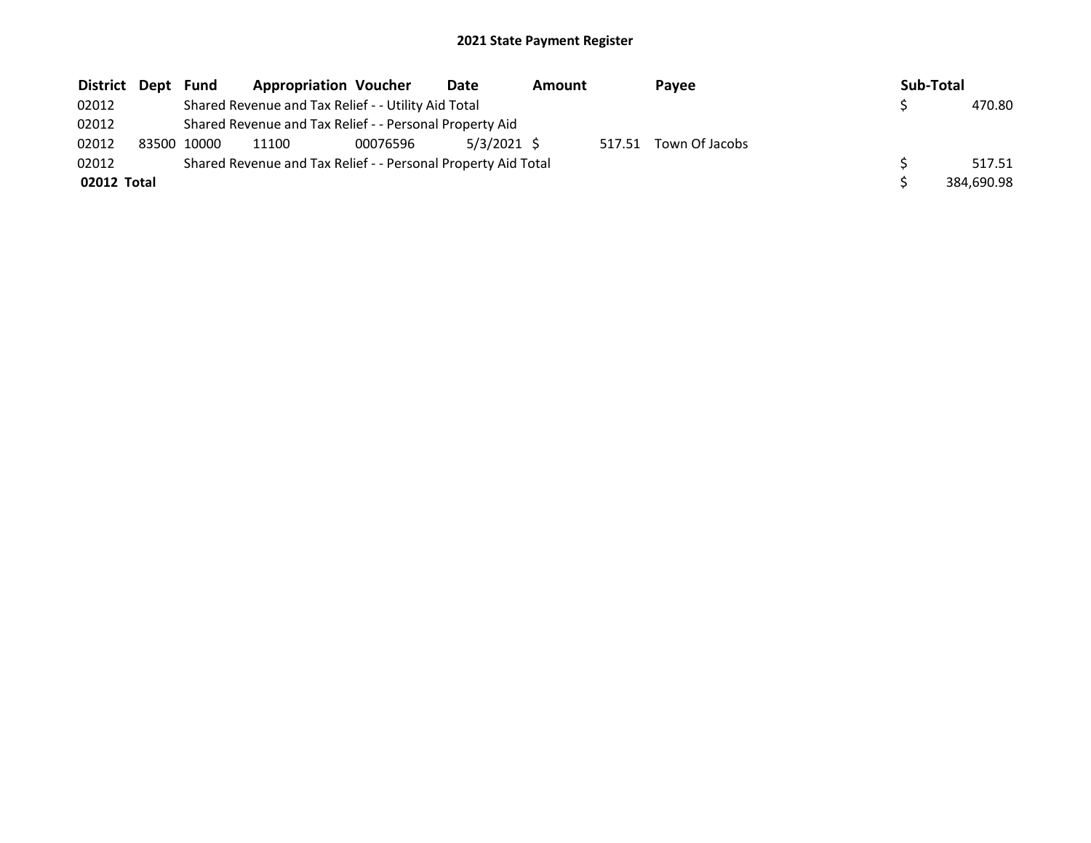| District Dept | Fund        | <b>Appropriation Voucher</b>                                  |          | Date          | Amount |        | Payee          | Sub-Total |            |
|---------------|-------------|---------------------------------------------------------------|----------|---------------|--------|--------|----------------|-----------|------------|
| 02012         |             | Shared Revenue and Tax Relief - - Utility Aid Total           |          |               |        |        |                |           | 470.80     |
| 02012         |             | Shared Revenue and Tax Relief - - Personal Property Aid       |          |               |        |        |                |           |            |
| 02012         | 83500 10000 | 11100                                                         | 00076596 | $5/3/2021$ \$ |        | 517.51 | Town Of Jacobs |           |            |
| 02012         |             | Shared Revenue and Tax Relief - - Personal Property Aid Total |          |               |        |        |                |           | 517.51     |
| 02012 Total   |             |                                                               |          |               |        |        |                |           | 384.690.98 |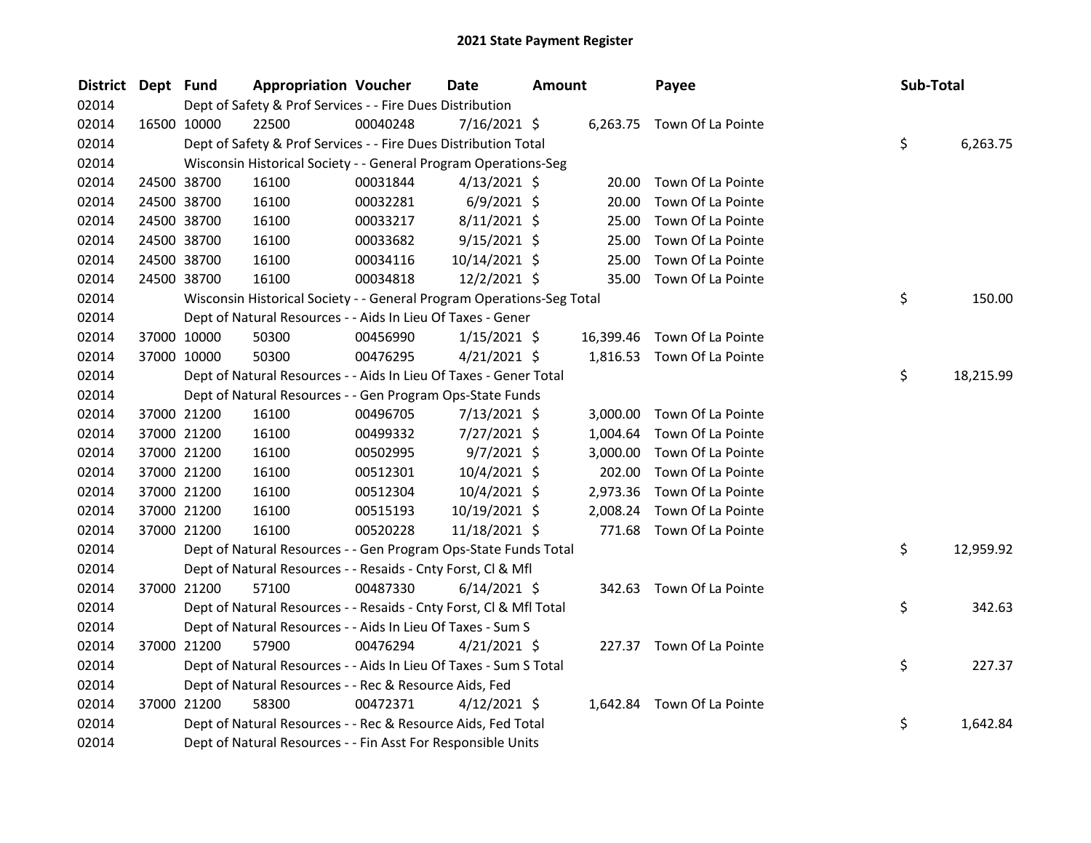| District Dept Fund |             |                      | <b>Appropriation Voucher</b>                                          | Date           | <b>Amount</b> |           | Payee                      | Sub-Total |           |
|--------------------|-------------|----------------------|-----------------------------------------------------------------------|----------------|---------------|-----------|----------------------------|-----------|-----------|
| 02014              |             |                      | Dept of Safety & Prof Services - - Fire Dues Distribution             |                |               |           |                            |           |           |
| 02014              |             | 22500<br>16500 10000 | 00040248                                                              | 7/16/2021 \$   |               |           | 6,263.75 Town Of La Pointe |           |           |
| 02014              |             |                      | Dept of Safety & Prof Services - - Fire Dues Distribution Total       |                |               |           |                            | \$        | 6,263.75  |
| 02014              |             |                      | Wisconsin Historical Society - - General Program Operations-Seg       |                |               |           |                            |           |           |
| 02014              |             | 24500 38700<br>16100 | 00031844                                                              | $4/13/2021$ \$ |               | 20.00     | Town Of La Pointe          |           |           |
| 02014              |             | 24500 38700<br>16100 | 00032281                                                              | $6/9/2021$ \$  |               | 20.00     | Town Of La Pointe          |           |           |
| 02014              | 24500 38700 | 16100                | 00033217                                                              | $8/11/2021$ \$ |               | 25.00     | Town Of La Pointe          |           |           |
| 02014              |             | 24500 38700<br>16100 | 00033682                                                              | $9/15/2021$ \$ |               | 25.00     | Town Of La Pointe          |           |           |
| 02014              |             | 24500 38700<br>16100 | 00034116                                                              | 10/14/2021 \$  |               | 25.00     | Town Of La Pointe          |           |           |
| 02014              |             | 24500 38700<br>16100 | 00034818                                                              | 12/2/2021 \$   |               | 35.00     | Town Of La Pointe          |           |           |
| 02014              |             |                      | Wisconsin Historical Society - - General Program Operations-Seg Total |                |               |           |                            | \$        | 150.00    |
| 02014              |             |                      | Dept of Natural Resources - - Aids In Lieu Of Taxes - Gener           |                |               |           |                            |           |           |
| 02014              |             | 37000 10000<br>50300 | 00456990                                                              | $1/15/2021$ \$ |               | 16,399.46 | Town Of La Pointe          |           |           |
| 02014              |             | 37000 10000<br>50300 | 00476295                                                              | $4/21/2021$ \$ |               |           | 1,816.53 Town Of La Pointe |           |           |
| 02014              |             |                      | Dept of Natural Resources - - Aids In Lieu Of Taxes - Gener Total     |                |               |           |                            | \$        | 18,215.99 |
| 02014              |             |                      | Dept of Natural Resources - - Gen Program Ops-State Funds             |                |               |           |                            |           |           |
| 02014              |             | 16100<br>37000 21200 | 00496705                                                              | $7/13/2021$ \$ |               | 3,000.00  | Town Of La Pointe          |           |           |
| 02014              |             | 37000 21200<br>16100 | 00499332                                                              | 7/27/2021 \$   |               | 1,004.64  | Town Of La Pointe          |           |           |
| 02014              |             | 37000 21200<br>16100 | 00502995                                                              | $9/7/2021$ \$  |               | 3,000.00  | Town Of La Pointe          |           |           |
| 02014              |             | 37000 21200<br>16100 | 00512301                                                              | 10/4/2021 \$   |               | 202.00    | Town Of La Pointe          |           |           |
| 02014              |             | 37000 21200<br>16100 | 00512304                                                              | 10/4/2021 \$   |               | 2,973.36  | Town Of La Pointe          |           |           |
| 02014              |             | 37000 21200<br>16100 | 00515193                                                              | 10/19/2021 \$  |               | 2,008.24  | Town Of La Pointe          |           |           |
| 02014              |             | 37000 21200<br>16100 | 00520228                                                              | 11/18/2021 \$  |               |           | 771.68 Town Of La Pointe   |           |           |
| 02014              |             |                      | Dept of Natural Resources - - Gen Program Ops-State Funds Total       |                |               |           |                            | \$        | 12,959.92 |
| 02014              |             |                      | Dept of Natural Resources - - Resaids - Cnty Forst, Cl & Mfl          |                |               |           |                            |           |           |
| 02014              |             | 37000 21200<br>57100 | 00487330                                                              | $6/14/2021$ \$ |               |           | 342.63 Town Of La Pointe   |           |           |
| 02014              |             |                      | Dept of Natural Resources - - Resaids - Cnty Forst, Cl & Mfl Total    |                |               |           |                            | \$        | 342.63    |
| 02014              |             |                      | Dept of Natural Resources - - Aids In Lieu Of Taxes - Sum S           |                |               |           |                            |           |           |
| 02014              |             | 37000 21200<br>57900 | 00476294                                                              | $4/21/2021$ \$ |               |           | 227.37 Town Of La Pointe   |           |           |
| 02014              |             |                      | Dept of Natural Resources - - Aids In Lieu Of Taxes - Sum S Total     |                |               |           |                            | \$        | 227.37    |
| 02014              |             |                      | Dept of Natural Resources - - Rec & Resource Aids, Fed                |                |               |           |                            |           |           |
| 02014              |             | 37000 21200<br>58300 | 00472371                                                              | $4/12/2021$ \$ |               |           | 1,642.84 Town Of La Pointe |           |           |
| 02014              |             |                      | Dept of Natural Resources - - Rec & Resource Aids, Fed Total          |                |               |           |                            | \$        | 1,642.84  |
| 02014              |             |                      | Dept of Natural Resources - - Fin Asst For Responsible Units          |                |               |           |                            |           |           |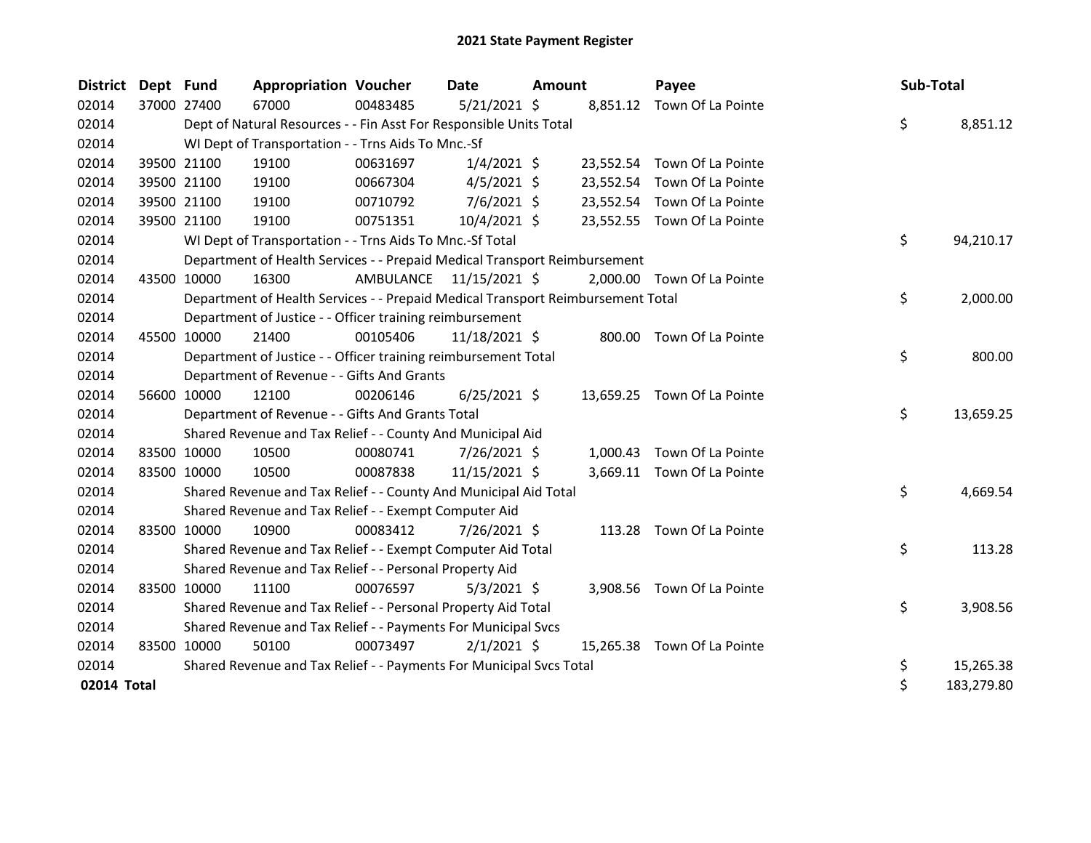| <b>District</b> | Dept Fund |             | <b>Appropriation Voucher</b>                                                    |                         | <b>Date</b>    | <b>Amount</b> | Payee                       | Sub-Total |            |
|-----------------|-----------|-------------|---------------------------------------------------------------------------------|-------------------------|----------------|---------------|-----------------------------|-----------|------------|
| 02014           |           | 37000 27400 | 67000                                                                           | 00483485                | $5/21/2021$ \$ |               | 8,851.12 Town Of La Pointe  |           |            |
| 02014           |           |             | Dept of Natural Resources - - Fin Asst For Responsible Units Total              |                         |                |               |                             | \$        | 8,851.12   |
| 02014           |           |             | WI Dept of Transportation - - Trns Aids To Mnc.-Sf                              |                         |                |               |                             |           |            |
| 02014           |           | 39500 21100 | 19100                                                                           | 00631697                | $1/4/2021$ \$  |               | 23,552.54 Town Of La Pointe |           |            |
| 02014           |           | 39500 21100 | 19100                                                                           | 00667304                | $4/5/2021$ \$  |               | 23,552.54 Town Of La Pointe |           |            |
| 02014           |           | 39500 21100 | 19100                                                                           | 00710792                | $7/6/2021$ \$  |               | 23,552.54 Town Of La Pointe |           |            |
| 02014           |           | 39500 21100 | 19100                                                                           | 00751351                | 10/4/2021 \$   |               | 23,552.55 Town Of La Pointe |           |            |
| 02014           |           |             | WI Dept of Transportation - - Trns Aids To Mnc.-Sf Total                        |                         |                |               |                             | \$        | 94,210.17  |
| 02014           |           |             | Department of Health Services - - Prepaid Medical Transport Reimbursement       |                         |                |               |                             |           |            |
| 02014           |           | 43500 10000 | 16300                                                                           | AMBULANCE 11/15/2021 \$ |                |               | 2,000.00 Town Of La Pointe  |           |            |
| 02014           |           |             | Department of Health Services - - Prepaid Medical Transport Reimbursement Total |                         |                |               |                             | \$        | 2,000.00   |
| 02014           |           |             | Department of Justice - - Officer training reimbursement                        |                         |                |               |                             |           |            |
| 02014           |           | 45500 10000 | 21400                                                                           | 00105406                | 11/18/2021 \$  |               | 800.00 Town Of La Pointe    |           |            |
| 02014           |           |             | Department of Justice - - Officer training reimbursement Total                  |                         |                |               |                             | \$        | 800.00     |
| 02014           |           |             | Department of Revenue - - Gifts And Grants                                      |                         |                |               |                             |           |            |
| 02014           |           | 56600 10000 | 12100                                                                           | 00206146                | $6/25/2021$ \$ |               | 13,659.25 Town Of La Pointe |           |            |
| 02014           |           |             | Department of Revenue - - Gifts And Grants Total                                |                         |                |               |                             | \$        | 13,659.25  |
| 02014           |           |             | Shared Revenue and Tax Relief - - County And Municipal Aid                      |                         |                |               |                             |           |            |
| 02014           |           | 83500 10000 | 10500                                                                           | 00080741                | 7/26/2021 \$   |               | 1,000.43 Town Of La Pointe  |           |            |
| 02014           |           | 83500 10000 | 10500                                                                           | 00087838                | 11/15/2021 \$  |               | 3,669.11 Town Of La Pointe  |           |            |
| 02014           |           |             | Shared Revenue and Tax Relief - - County And Municipal Aid Total                |                         |                |               |                             | \$        | 4,669.54   |
| 02014           |           |             | Shared Revenue and Tax Relief - - Exempt Computer Aid                           |                         |                |               |                             |           |            |
| 02014           |           | 83500 10000 | 10900                                                                           | 00083412                | 7/26/2021 \$   |               | 113.28 Town Of La Pointe    |           |            |
| 02014           |           |             | Shared Revenue and Tax Relief - - Exempt Computer Aid Total                     |                         |                |               |                             | \$        | 113.28     |
| 02014           |           |             | Shared Revenue and Tax Relief - - Personal Property Aid                         |                         |                |               |                             |           |            |
| 02014           |           | 83500 10000 | 11100                                                                           | 00076597                | $5/3/2021$ \$  |               | 3,908.56 Town Of La Pointe  |           |            |
| 02014           |           |             | Shared Revenue and Tax Relief - - Personal Property Aid Total                   |                         |                |               |                             | \$        | 3,908.56   |
| 02014           |           |             | Shared Revenue and Tax Relief - - Payments For Municipal Svcs                   |                         |                |               |                             |           |            |
| 02014           |           | 83500 10000 | 50100                                                                           | 00073497                | $2/1/2021$ \$  |               | 15,265.38 Town Of La Pointe |           |            |
| 02014           |           |             | Shared Revenue and Tax Relief - - Payments For Municipal Svcs Total             |                         |                |               |                             | \$        | 15,265.38  |
| 02014 Total     |           |             |                                                                                 |                         |                |               |                             | \$        | 183,279.80 |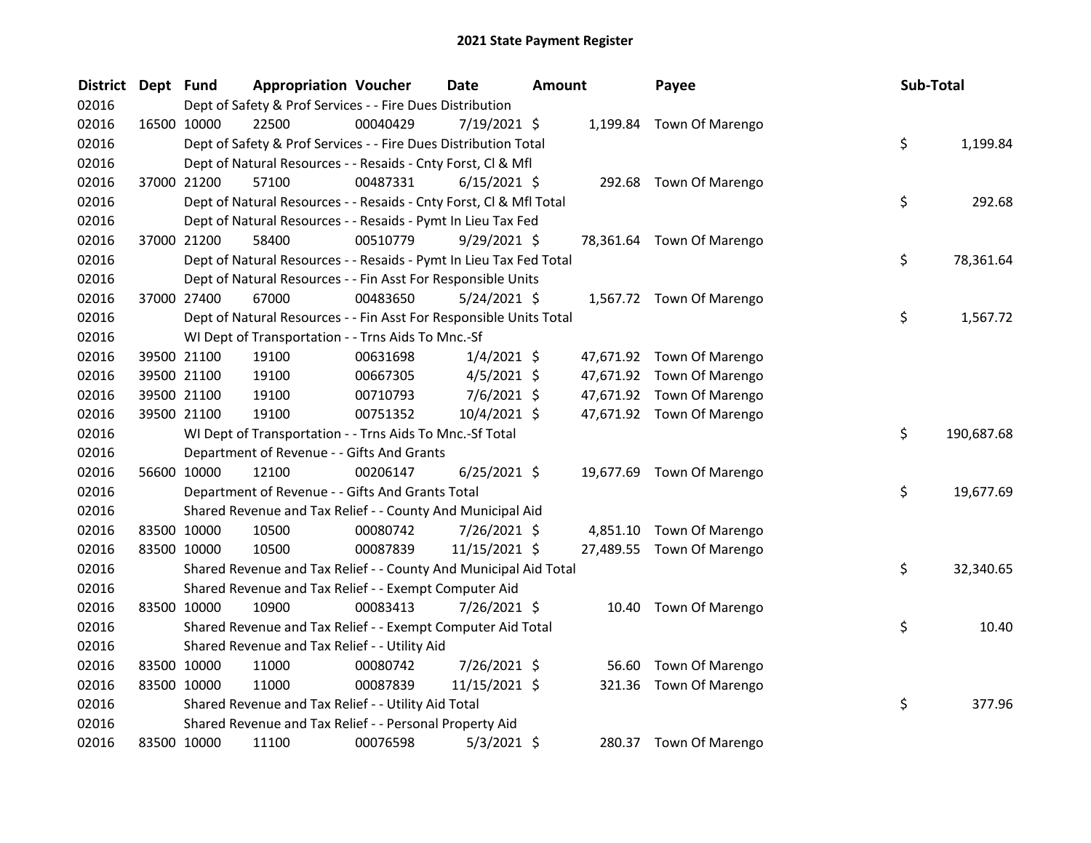| <b>District</b> | Dept Fund |             | <b>Appropriation Voucher</b>                                       |          | Date           | <b>Amount</b> |        | Payee                     | Sub-Total |            |
|-----------------|-----------|-------------|--------------------------------------------------------------------|----------|----------------|---------------|--------|---------------------------|-----------|------------|
| 02016           |           |             | Dept of Safety & Prof Services - - Fire Dues Distribution          |          |                |               |        |                           |           |            |
| 02016           |           | 16500 10000 | 22500                                                              | 00040429 | 7/19/2021 \$   |               |        | 1,199.84 Town Of Marengo  |           |            |
| 02016           |           |             | Dept of Safety & Prof Services - - Fire Dues Distribution Total    |          |                |               |        |                           | \$        | 1,199.84   |
| 02016           |           |             | Dept of Natural Resources - - Resaids - Cnty Forst, Cl & Mfl       |          |                |               |        |                           |           |            |
| 02016           |           | 37000 21200 | 57100                                                              | 00487331 | $6/15/2021$ \$ |               |        | 292.68 Town Of Marengo    |           |            |
| 02016           |           |             | Dept of Natural Resources - - Resaids - Cnty Forst, Cl & Mfl Total |          |                |               |        |                           | \$        | 292.68     |
| 02016           |           |             | Dept of Natural Resources - - Resaids - Pymt In Lieu Tax Fed       |          |                |               |        |                           |           |            |
| 02016           |           | 37000 21200 | 58400                                                              | 00510779 | $9/29/2021$ \$ |               |        | 78,361.64 Town Of Marengo |           |            |
| 02016           |           |             | Dept of Natural Resources - - Resaids - Pymt In Lieu Tax Fed Total |          |                |               |        |                           | \$        | 78,361.64  |
| 02016           |           |             | Dept of Natural Resources - - Fin Asst For Responsible Units       |          |                |               |        |                           |           |            |
| 02016           |           | 37000 27400 | 67000                                                              | 00483650 | $5/24/2021$ \$ |               |        | 1,567.72 Town Of Marengo  |           |            |
| 02016           |           |             | Dept of Natural Resources - - Fin Asst For Responsible Units Total |          |                |               |        |                           | \$.       | 1,567.72   |
| 02016           |           |             | WI Dept of Transportation - - Trns Aids To Mnc.-Sf                 |          |                |               |        |                           |           |            |
| 02016           |           | 39500 21100 | 19100                                                              | 00631698 | $1/4/2021$ \$  |               |        | 47,671.92 Town Of Marengo |           |            |
| 02016           |           | 39500 21100 | 19100                                                              | 00667305 | $4/5/2021$ \$  |               |        | 47,671.92 Town Of Marengo |           |            |
| 02016           |           | 39500 21100 | 19100                                                              | 00710793 | $7/6/2021$ \$  |               |        | 47,671.92 Town Of Marengo |           |            |
| 02016           |           | 39500 21100 | 19100                                                              | 00751352 | 10/4/2021 \$   |               |        | 47,671.92 Town Of Marengo |           |            |
| 02016           |           |             | WI Dept of Transportation - - Trns Aids To Mnc.-Sf Total           |          |                |               |        |                           | \$        | 190,687.68 |
| 02016           |           |             | Department of Revenue - - Gifts And Grants                         |          |                |               |        |                           |           |            |
| 02016           |           | 56600 10000 | 12100                                                              | 00206147 | $6/25/2021$ \$ |               |        | 19,677.69 Town Of Marengo |           |            |
| 02016           |           |             | Department of Revenue - - Gifts And Grants Total                   |          |                |               |        |                           | \$.       | 19,677.69  |
| 02016           |           |             | Shared Revenue and Tax Relief - - County And Municipal Aid         |          |                |               |        |                           |           |            |
| 02016           |           | 83500 10000 | 10500                                                              | 00080742 | 7/26/2021 \$   |               |        | 4,851.10 Town Of Marengo  |           |            |
| 02016           |           | 83500 10000 | 10500                                                              | 00087839 | 11/15/2021 \$  |               |        | 27,489.55 Town Of Marengo |           |            |
| 02016           |           |             | Shared Revenue and Tax Relief - - County And Municipal Aid Total   |          |                |               |        |                           | \$        | 32,340.65  |
| 02016           |           |             | Shared Revenue and Tax Relief - - Exempt Computer Aid              |          |                |               |        |                           |           |            |
| 02016           |           | 83500 10000 | 10900                                                              | 00083413 | 7/26/2021 \$   |               |        | 10.40 Town Of Marengo     |           |            |
| 02016           |           |             | Shared Revenue and Tax Relief - - Exempt Computer Aid Total        |          |                |               |        |                           | \$        | 10.40      |
| 02016           |           |             | Shared Revenue and Tax Relief - - Utility Aid                      |          |                |               |        |                           |           |            |
| 02016           |           | 83500 10000 | 11000                                                              | 00080742 | 7/26/2021 \$   |               |        | 56.60 Town Of Marengo     |           |            |
| 02016           |           | 83500 10000 | 11000                                                              | 00087839 | 11/15/2021 \$  |               | 321.36 | Town Of Marengo           |           |            |
| 02016           |           |             | Shared Revenue and Tax Relief - - Utility Aid Total                |          |                |               |        |                           | \$        | 377.96     |
| 02016           |           |             | Shared Revenue and Tax Relief - - Personal Property Aid            |          |                |               |        |                           |           |            |
| 02016           |           | 83500 10000 | 11100                                                              | 00076598 | $5/3/2021$ \$  |               |        | 280.37 Town Of Marengo    |           |            |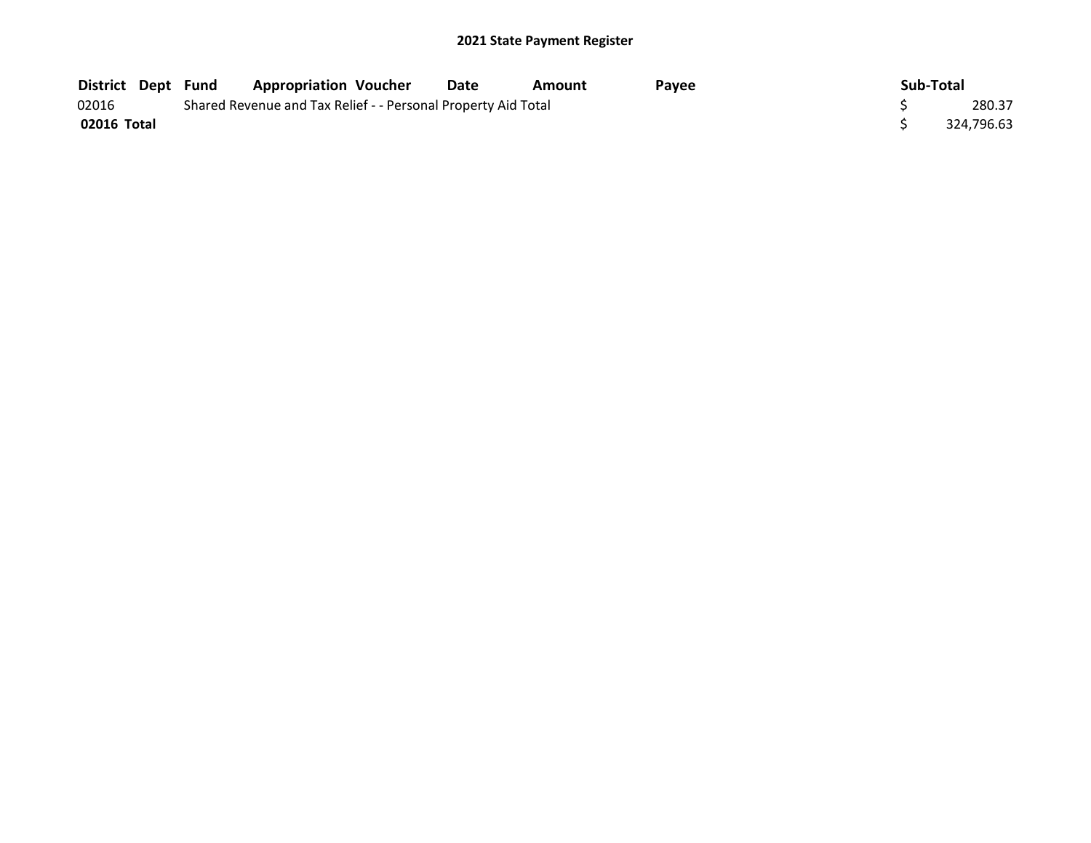| <b>District Dept Fund</b> |  | <b>Appropriation Voucher</b>                                  | <b>Date</b> | Amount | Pavee | Sub-Total |            |
|---------------------------|--|---------------------------------------------------------------|-------------|--------|-------|-----------|------------|
| 02016                     |  | Shared Revenue and Tax Relief - - Personal Property Aid Total |             |        |       |           | 280.37     |
| 02016 Total               |  |                                                               |             |        |       |           | 324,796.63 |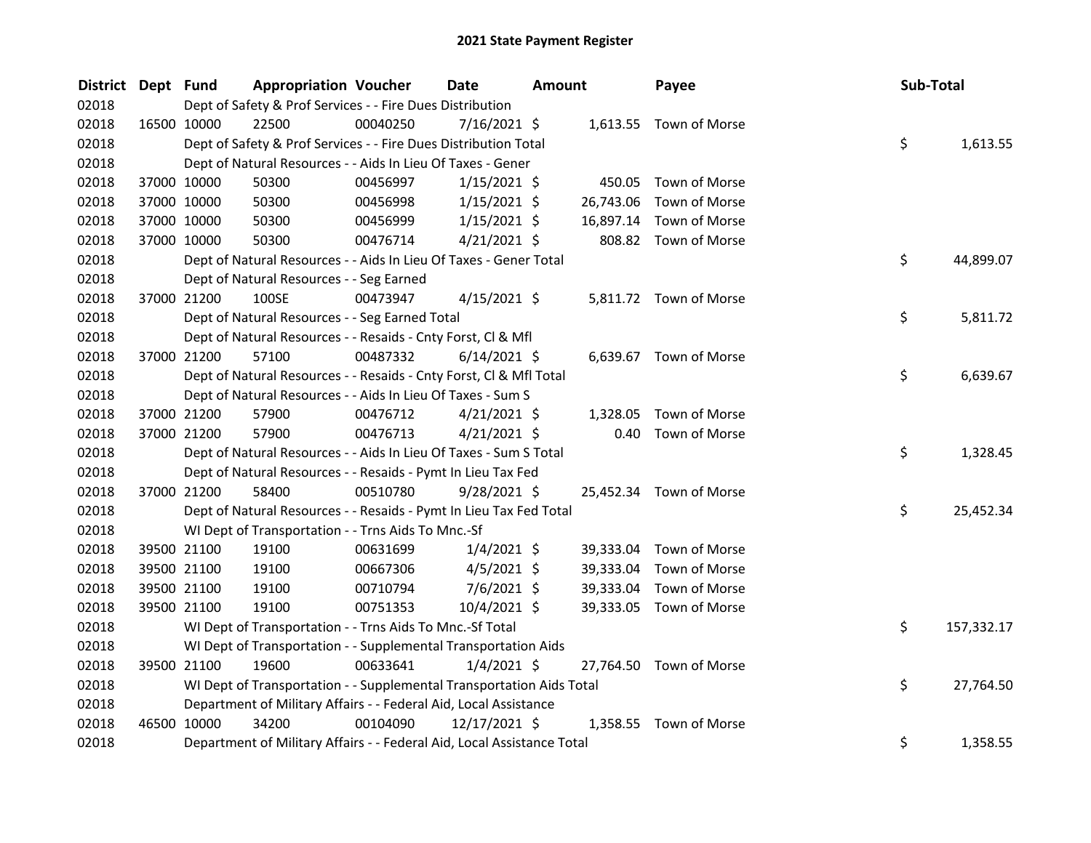| <b>District</b> | Dept Fund |             | <b>Appropriation Voucher</b>                                           |          | Date           | <b>Amount</b> |           | Payee                   | Sub-Total |            |
|-----------------|-----------|-------------|------------------------------------------------------------------------|----------|----------------|---------------|-----------|-------------------------|-----------|------------|
| 02018           |           |             | Dept of Safety & Prof Services - - Fire Dues Distribution              |          |                |               |           |                         |           |            |
| 02018           |           | 16500 10000 | 22500                                                                  | 00040250 | 7/16/2021 \$   |               |           | 1,613.55 Town of Morse  |           |            |
| 02018           |           |             | Dept of Safety & Prof Services - - Fire Dues Distribution Total        |          |                |               |           |                         | \$        | 1,613.55   |
| 02018           |           |             | Dept of Natural Resources - - Aids In Lieu Of Taxes - Gener            |          |                |               |           |                         |           |            |
| 02018           |           | 37000 10000 | 50300                                                                  | 00456997 | $1/15/2021$ \$ |               |           | 450.05 Town of Morse    |           |            |
| 02018           |           | 37000 10000 | 50300                                                                  | 00456998 | $1/15/2021$ \$ |               | 26,743.06 | Town of Morse           |           |            |
| 02018           |           | 37000 10000 | 50300                                                                  | 00456999 | $1/15/2021$ \$ |               |           | 16,897.14 Town of Morse |           |            |
| 02018           |           | 37000 10000 | 50300                                                                  | 00476714 | $4/21/2021$ \$ |               |           | 808.82 Town of Morse    |           |            |
| 02018           |           |             | Dept of Natural Resources - - Aids In Lieu Of Taxes - Gener Total      |          |                |               |           |                         | \$        | 44,899.07  |
| 02018           |           |             | Dept of Natural Resources - - Seg Earned                               |          |                |               |           |                         |           |            |
| 02018           |           | 37000 21200 | 100SE                                                                  | 00473947 | $4/15/2021$ \$ |               |           | 5,811.72 Town of Morse  |           |            |
| 02018           |           |             | Dept of Natural Resources - - Seg Earned Total                         |          |                |               |           |                         | \$        | 5,811.72   |
| 02018           |           |             | Dept of Natural Resources - - Resaids - Cnty Forst, Cl & Mfl           |          |                |               |           |                         |           |            |
| 02018           |           | 37000 21200 | 57100                                                                  | 00487332 | $6/14/2021$ \$ |               |           | 6,639.67 Town of Morse  |           |            |
| 02018           |           |             | Dept of Natural Resources - - Resaids - Cnty Forst, Cl & Mfl Total     |          |                |               |           |                         | \$        | 6,639.67   |
| 02018           |           |             | Dept of Natural Resources - - Aids In Lieu Of Taxes - Sum S            |          |                |               |           |                         |           |            |
| 02018           |           | 37000 21200 | 57900                                                                  | 00476712 | $4/21/2021$ \$ |               | 1,328.05  | Town of Morse           |           |            |
| 02018           |           | 37000 21200 | 57900                                                                  | 00476713 | $4/21/2021$ \$ |               | 0.40      | Town of Morse           |           |            |
| 02018           |           |             | Dept of Natural Resources - - Aids In Lieu Of Taxes - Sum S Total      |          |                |               |           |                         | \$        | 1,328.45   |
| 02018           |           |             | Dept of Natural Resources - - Resaids - Pymt In Lieu Tax Fed           |          |                |               |           |                         |           |            |
| 02018           |           | 37000 21200 | 58400                                                                  | 00510780 | $9/28/2021$ \$ |               |           | 25,452.34 Town of Morse |           |            |
| 02018           |           |             | Dept of Natural Resources - - Resaids - Pymt In Lieu Tax Fed Total     |          |                |               |           |                         | \$        | 25,452.34  |
| 02018           |           |             | WI Dept of Transportation - - Trns Aids To Mnc.-Sf                     |          |                |               |           |                         |           |            |
| 02018           |           | 39500 21100 | 19100                                                                  | 00631699 | $1/4/2021$ \$  |               |           | 39,333.04 Town of Morse |           |            |
| 02018           |           | 39500 21100 | 19100                                                                  | 00667306 | $4/5/2021$ \$  |               |           | 39,333.04 Town of Morse |           |            |
| 02018           |           | 39500 21100 | 19100                                                                  | 00710794 | $7/6/2021$ \$  |               | 39,333.04 | Town of Morse           |           |            |
| 02018           |           | 39500 21100 | 19100                                                                  | 00751353 | 10/4/2021 \$   |               |           | 39,333.05 Town of Morse |           |            |
| 02018           |           |             | WI Dept of Transportation - - Trns Aids To Mnc.-Sf Total               |          |                |               |           |                         | \$        | 157,332.17 |
| 02018           |           |             | WI Dept of Transportation - - Supplemental Transportation Aids         |          |                |               |           |                         |           |            |
| 02018           |           | 39500 21100 | 19600                                                                  | 00633641 | $1/4/2021$ \$  |               |           | 27,764.50 Town of Morse |           |            |
| 02018           |           |             | WI Dept of Transportation - - Supplemental Transportation Aids Total   |          |                |               |           |                         | \$        | 27,764.50  |
| 02018           |           |             | Department of Military Affairs - - Federal Aid, Local Assistance       |          |                |               |           |                         |           |            |
| 02018           |           | 46500 10000 | 34200                                                                  | 00104090 | 12/17/2021 \$  |               |           | 1,358.55 Town of Morse  |           |            |
| 02018           |           |             | Department of Military Affairs - - Federal Aid, Local Assistance Total |          |                |               |           |                         | \$        | 1,358.55   |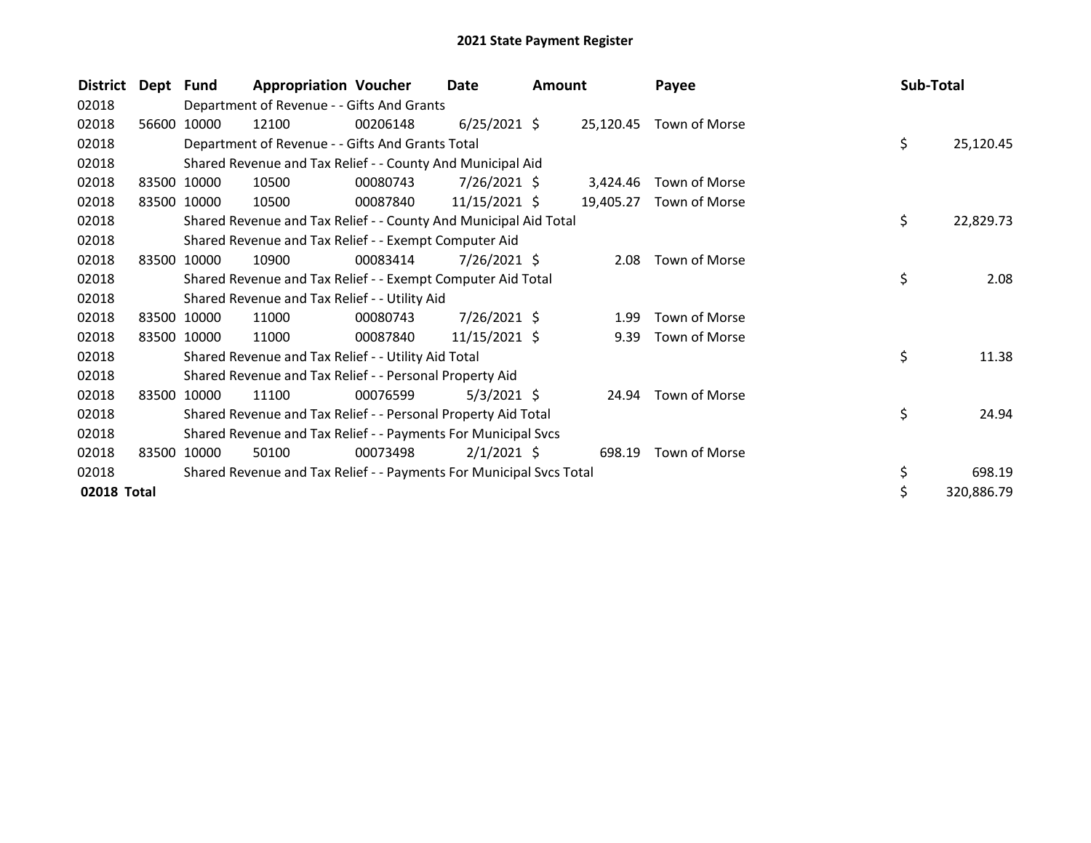| <b>District</b> | Dept Fund |             | <b>Appropriation Voucher</b>                                        |          | <b>Date</b>     | <b>Amount</b> |           | Payee         | Sub-Total |            |
|-----------------|-----------|-------------|---------------------------------------------------------------------|----------|-----------------|---------------|-----------|---------------|-----------|------------|
| 02018           |           |             | Department of Revenue - - Gifts And Grants                          |          |                 |               |           |               |           |            |
| 02018           | 56600     | 10000       | 12100                                                               | 00206148 | $6/25/2021$ \$  |               | 25,120.45 | Town of Morse |           |            |
| 02018           |           |             | Department of Revenue - - Gifts And Grants Total                    |          |                 |               |           |               | \$        | 25,120.45  |
| 02018           |           |             | Shared Revenue and Tax Relief - - County And Municipal Aid          |          |                 |               |           |               |           |            |
| 02018           |           | 83500 10000 | 10500                                                               | 00080743 | $7/26/2021$ \$  |               | 3.424.46  | Town of Morse |           |            |
| 02018           | 83500     | 10000       | 10500                                                               | 00087840 | $11/15/2021$ \$ |               | 19,405.27 | Town of Morse |           |            |
| 02018           |           |             | Shared Revenue and Tax Relief - - County And Municipal Aid Total    |          |                 |               |           |               | \$        | 22,829.73  |
| 02018           |           |             | Shared Revenue and Tax Relief - - Exempt Computer Aid               |          |                 |               |           |               |           |            |
| 02018           |           | 83500 10000 | 10900                                                               | 00083414 | 7/26/2021 \$    |               | 2.08      | Town of Morse |           |            |
| 02018           |           |             | Shared Revenue and Tax Relief - - Exempt Computer Aid Total         |          |                 |               |           |               | \$        | 2.08       |
| 02018           |           |             | Shared Revenue and Tax Relief - - Utility Aid                       |          |                 |               |           |               |           |            |
| 02018           |           | 83500 10000 | 11000                                                               | 00080743 | 7/26/2021 \$    |               | 1.99      | Town of Morse |           |            |
| 02018           |           | 83500 10000 | 11000                                                               | 00087840 | 11/15/2021 \$   |               | 9.39      | Town of Morse |           |            |
| 02018           |           |             | Shared Revenue and Tax Relief - - Utility Aid Total                 |          |                 |               |           |               | \$        | 11.38      |
| 02018           |           |             | Shared Revenue and Tax Relief - - Personal Property Aid             |          |                 |               |           |               |           |            |
| 02018           |           | 83500 10000 | 11100                                                               | 00076599 | $5/3/2021$ \$   |               | 24.94     | Town of Morse |           |            |
| 02018           |           |             | Shared Revenue and Tax Relief - - Personal Property Aid Total       |          |                 |               |           |               | \$        | 24.94      |
| 02018           |           |             | Shared Revenue and Tax Relief - - Payments For Municipal Svcs       |          |                 |               |           |               |           |            |
| 02018           |           | 83500 10000 | 50100                                                               | 00073498 | $2/1/2021$ \$   |               | 698.19    | Town of Morse |           |            |
| 02018           |           |             | Shared Revenue and Tax Relief - - Payments For Municipal Svcs Total |          |                 |               |           |               | \$        | 698.19     |
| 02018 Total     |           |             |                                                                     |          |                 |               |           |               | \$        | 320,886.79 |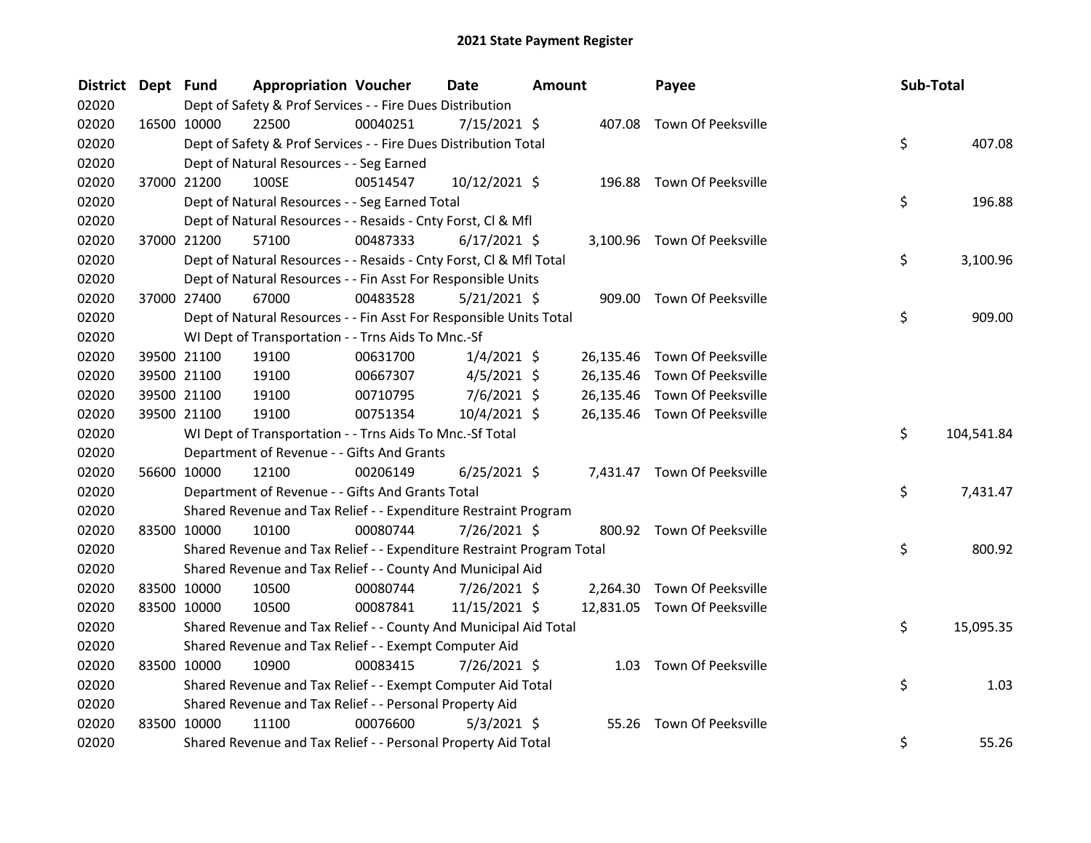| <b>District</b> | Dept Fund |             | <b>Appropriation Voucher</b>                                          |          | <b>Date</b>    | <b>Amount</b> |           | Payee                        | Sub-Total |            |
|-----------------|-----------|-------------|-----------------------------------------------------------------------|----------|----------------|---------------|-----------|------------------------------|-----------|------------|
| 02020           |           |             | Dept of Safety & Prof Services - - Fire Dues Distribution             |          |                |               |           |                              |           |            |
| 02020           |           | 16500 10000 | 22500                                                                 | 00040251 | 7/15/2021 \$   |               |           | 407.08 Town Of Peeksville    |           |            |
| 02020           |           |             | Dept of Safety & Prof Services - - Fire Dues Distribution Total       |          |                |               |           |                              | \$        | 407.08     |
| 02020           |           |             | Dept of Natural Resources - - Seg Earned                              |          |                |               |           |                              |           |            |
| 02020           |           | 37000 21200 | 100SE                                                                 | 00514547 | 10/12/2021 \$  |               |           | 196.88 Town Of Peeksville    |           |            |
| 02020           |           |             | Dept of Natural Resources - - Seg Earned Total                        |          |                |               |           |                              | \$        | 196.88     |
| 02020           |           |             | Dept of Natural Resources - - Resaids - Cnty Forst, Cl & Mfl          |          |                |               |           |                              |           |            |
| 02020           |           | 37000 21200 | 57100                                                                 | 00487333 | $6/17/2021$ \$ |               |           | 3,100.96 Town Of Peeksville  |           |            |
| 02020           |           |             | Dept of Natural Resources - - Resaids - Cnty Forst, Cl & Mfl Total    |          |                |               |           |                              | \$        | 3,100.96   |
| 02020           |           |             | Dept of Natural Resources - - Fin Asst For Responsible Units          |          |                |               |           |                              |           |            |
| 02020           |           | 37000 27400 | 67000                                                                 | 00483528 | $5/21/2021$ \$ |               |           | 909.00 Town Of Peeksville    |           |            |
| 02020           |           |             | Dept of Natural Resources - - Fin Asst For Responsible Units Total    |          |                |               |           |                              | \$        | 909.00     |
| 02020           |           |             | WI Dept of Transportation - - Trns Aids To Mnc.-Sf                    |          |                |               |           |                              |           |            |
| 02020           |           | 39500 21100 | 19100                                                                 | 00631700 | $1/4/2021$ \$  |               |           | 26,135.46 Town Of Peeksville |           |            |
| 02020           |           | 39500 21100 | 19100                                                                 | 00667307 | $4/5/2021$ \$  |               | 26,135.46 | Town Of Peeksville           |           |            |
| 02020           |           | 39500 21100 | 19100                                                                 | 00710795 | $7/6/2021$ \$  |               |           | 26,135.46 Town Of Peeksville |           |            |
| 02020           |           | 39500 21100 | 19100                                                                 | 00751354 | 10/4/2021 \$   |               |           | 26,135.46 Town Of Peeksville |           |            |
| 02020           |           |             | WI Dept of Transportation - - Trns Aids To Mnc.-Sf Total              |          |                |               |           |                              | \$.       | 104,541.84 |
| 02020           |           |             | Department of Revenue - - Gifts And Grants                            |          |                |               |           |                              |           |            |
| 02020           |           | 56600 10000 | 12100                                                                 | 00206149 | $6/25/2021$ \$ |               |           | 7,431.47 Town Of Peeksville  |           |            |
| 02020           |           |             | Department of Revenue - - Gifts And Grants Total                      |          |                |               |           |                              | \$        | 7,431.47   |
| 02020           |           |             | Shared Revenue and Tax Relief - - Expenditure Restraint Program       |          |                |               |           |                              |           |            |
| 02020           |           | 83500 10000 | 10100                                                                 | 00080744 | 7/26/2021 \$   |               |           | 800.92 Town Of Peeksville    |           |            |
| 02020           |           |             | Shared Revenue and Tax Relief - - Expenditure Restraint Program Total |          |                |               |           |                              | \$        | 800.92     |
| 02020           |           |             | Shared Revenue and Tax Relief - - County And Municipal Aid            |          |                |               |           |                              |           |            |
| 02020           |           | 83500 10000 | 10500                                                                 | 00080744 | 7/26/2021 \$   |               |           | 2,264.30 Town Of Peeksville  |           |            |
| 02020           |           | 83500 10000 | 10500                                                                 | 00087841 | 11/15/2021 \$  |               |           | 12,831.05 Town Of Peeksville |           |            |
| 02020           |           |             | Shared Revenue and Tax Relief - - County And Municipal Aid Total      |          |                |               |           |                              | \$        | 15,095.35  |
| 02020           |           |             | Shared Revenue and Tax Relief - - Exempt Computer Aid                 |          |                |               |           |                              |           |            |
| 02020           |           | 83500 10000 | 10900                                                                 | 00083415 | 7/26/2021 \$   |               |           | 1.03 Town Of Peeksville      |           |            |
| 02020           |           |             | Shared Revenue and Tax Relief - - Exempt Computer Aid Total           |          |                |               |           |                              | \$        | 1.03       |
| 02020           |           |             | Shared Revenue and Tax Relief - - Personal Property Aid               |          |                |               |           |                              |           |            |
| 02020           |           | 83500 10000 | 11100                                                                 | 00076600 | $5/3/2021$ \$  |               | 55.26     | Town Of Peeksville           |           |            |
| 02020           |           |             | Shared Revenue and Tax Relief - - Personal Property Aid Total         |          |                |               |           |                              | \$        | 55.26      |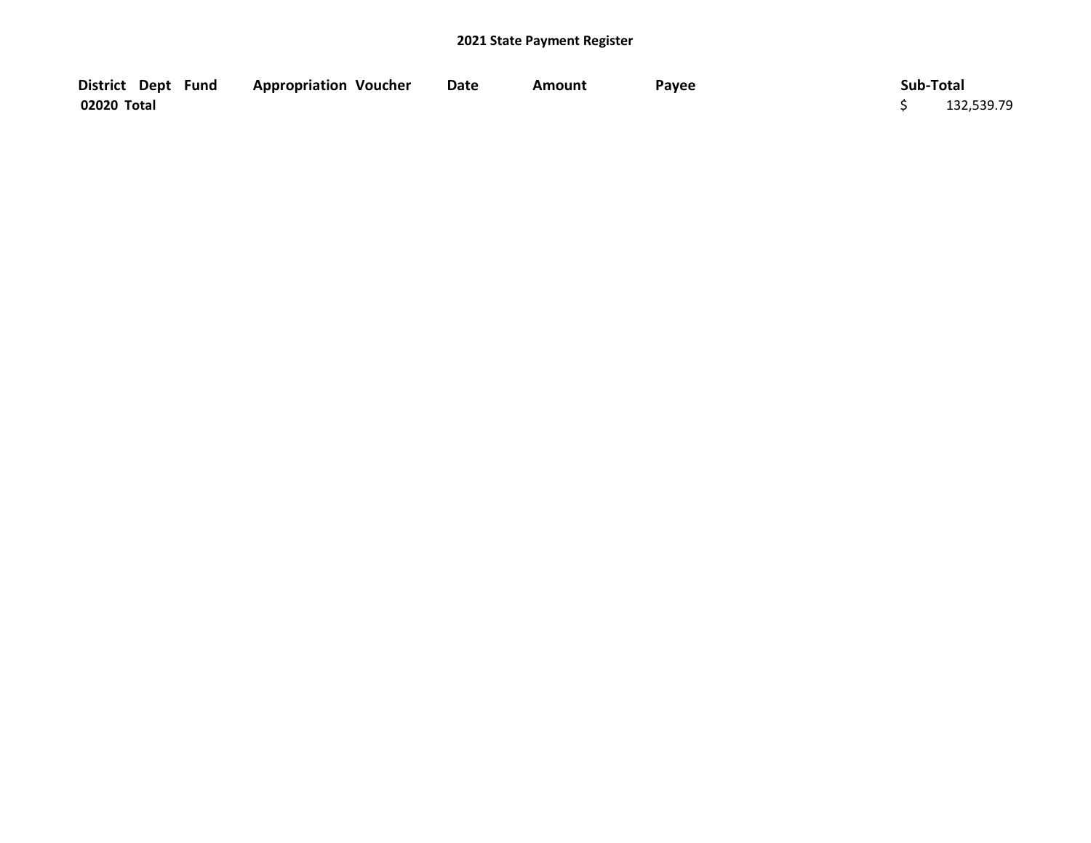| District Dept Fund | <b>Appropriation Voucher</b> | <b>Date</b> | Amount | Payee | Sub-Total  |
|--------------------|------------------------------|-------------|--------|-------|------------|
| 02020 Total        |                              |             |        |       | 132,539.79 |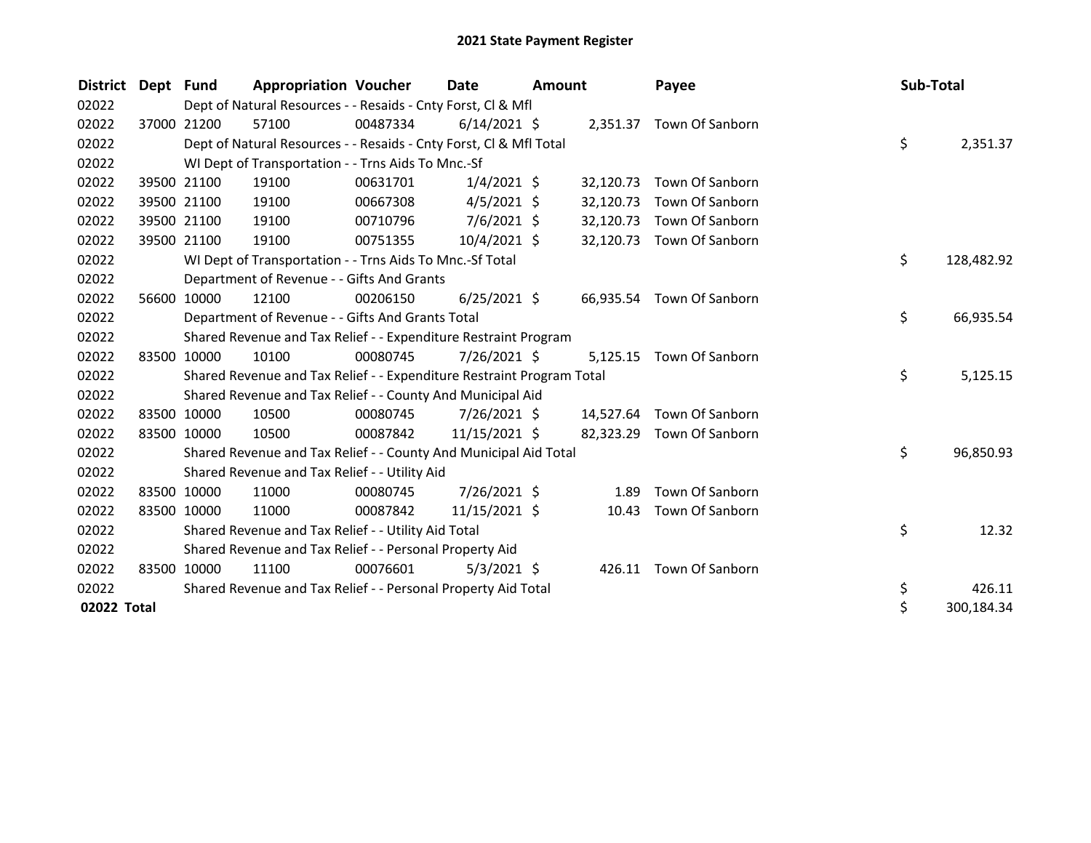| District Dept Fund |             | <b>Appropriation Voucher</b>                                          |          | <b>Date</b>    | <b>Amount</b> |           | Payee                     | Sub-Total |            |
|--------------------|-------------|-----------------------------------------------------------------------|----------|----------------|---------------|-----------|---------------------------|-----------|------------|
| 02022              |             | Dept of Natural Resources - - Resaids - Cnty Forst, CI & Mfl          |          |                |               |           |                           |           |            |
| 02022              | 37000 21200 | 57100                                                                 | 00487334 | $6/14/2021$ \$ |               |           | 2,351.37 Town Of Sanborn  |           |            |
| 02022              |             | Dept of Natural Resources - - Resaids - Cnty Forst, CI & Mfl Total    |          |                |               |           |                           | \$        | 2,351.37   |
| 02022              |             | WI Dept of Transportation - - Trns Aids To Mnc.-Sf                    |          |                |               |           |                           |           |            |
| 02022              | 39500 21100 | 19100                                                                 | 00631701 | $1/4/2021$ \$  |               | 32,120.73 | Town Of Sanborn           |           |            |
| 02022              | 39500 21100 | 19100                                                                 | 00667308 | $4/5/2021$ \$  |               | 32,120.73 | Town Of Sanborn           |           |            |
| 02022              | 39500 21100 | 19100                                                                 | 00710796 | $7/6/2021$ \$  |               | 32,120.73 | Town Of Sanborn           |           |            |
| 02022              | 39500 21100 | 19100                                                                 | 00751355 | 10/4/2021 \$   |               |           | 32,120.73 Town Of Sanborn |           |            |
| 02022              |             | WI Dept of Transportation - - Trns Aids To Mnc.-Sf Total              |          |                |               |           |                           | \$        | 128,482.92 |
| 02022              |             | Department of Revenue - - Gifts And Grants                            |          |                |               |           |                           |           |            |
| 02022              | 56600 10000 | 12100                                                                 | 00206150 | $6/25/2021$ \$ |               | 66,935.54 | Town Of Sanborn           |           |            |
| 02022              |             | Department of Revenue - - Gifts And Grants Total                      |          |                |               |           |                           | \$        | 66,935.54  |
| 02022              |             | Shared Revenue and Tax Relief - - Expenditure Restraint Program       |          |                |               |           |                           |           |            |
| 02022              | 83500 10000 | 10100                                                                 | 00080745 | $7/26/2021$ \$ |               | 5,125.15  | Town Of Sanborn           |           |            |
| 02022              |             | Shared Revenue and Tax Relief - - Expenditure Restraint Program Total |          |                |               |           |                           | \$        | 5,125.15   |
| 02022              |             | Shared Revenue and Tax Relief - - County And Municipal Aid            |          |                |               |           |                           |           |            |
| 02022              | 83500 10000 | 10500                                                                 | 00080745 | $7/26/2021$ \$ |               | 14,527.64 | Town Of Sanborn           |           |            |
| 02022              | 83500 10000 | 10500                                                                 | 00087842 | 11/15/2021 \$  |               |           | 82,323.29 Town Of Sanborn |           |            |
| 02022              |             | Shared Revenue and Tax Relief - - County And Municipal Aid Total      |          |                |               |           |                           | \$        | 96,850.93  |
| 02022              |             | Shared Revenue and Tax Relief - - Utility Aid                         |          |                |               |           |                           |           |            |
| 02022              | 83500 10000 | 11000                                                                 | 00080745 | 7/26/2021 \$   |               | 1.89      | Town Of Sanborn           |           |            |
| 02022              | 83500 10000 | 11000                                                                 | 00087842 | 11/15/2021 \$  |               | 10.43     | Town Of Sanborn           |           |            |
| 02022              |             | Shared Revenue and Tax Relief - - Utility Aid Total                   |          |                |               |           |                           | \$        | 12.32      |
| 02022              |             | Shared Revenue and Tax Relief - - Personal Property Aid               |          |                |               |           |                           |           |            |
| 02022              | 83500 10000 | 11100                                                                 | 00076601 | $5/3/2021$ \$  |               | 426.11    | Town Of Sanborn           |           |            |
| 02022              |             | Shared Revenue and Tax Relief - - Personal Property Aid Total         |          |                |               |           |                           | \$        | 426.11     |
| 02022 Total        |             |                                                                       |          |                |               |           |                           | \$        | 300,184.34 |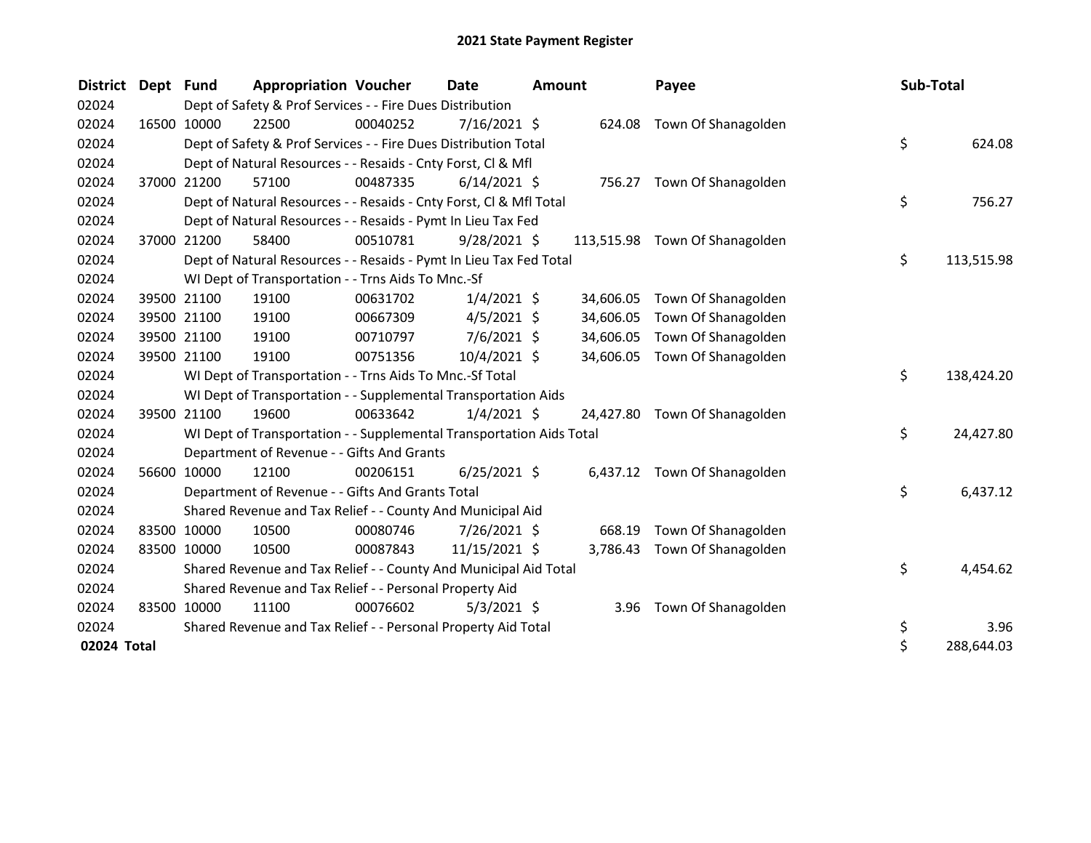| <b>District</b> | Dept Fund |             | <b>Appropriation Voucher</b>                                         |          | Date           | Amount |           | Payee                          | Sub-Total |            |
|-----------------|-----------|-------------|----------------------------------------------------------------------|----------|----------------|--------|-----------|--------------------------------|-----------|------------|
| 02024           |           |             | Dept of Safety & Prof Services - - Fire Dues Distribution            |          |                |        |           |                                |           |            |
| 02024           |           | 16500 10000 | 22500                                                                | 00040252 | 7/16/2021 \$   |        | 624.08    | Town Of Shanagolden            |           |            |
| 02024           |           |             | Dept of Safety & Prof Services - - Fire Dues Distribution Total      |          |                |        |           |                                | \$        | 624.08     |
| 02024           |           |             | Dept of Natural Resources - - Resaids - Cnty Forst, Cl & Mfl         |          |                |        |           |                                |           |            |
| 02024           |           | 37000 21200 | 57100                                                                | 00487335 | $6/14/2021$ \$ |        |           | 756.27 Town Of Shanagolden     |           |            |
| 02024           |           |             | Dept of Natural Resources - - Resaids - Cnty Forst, Cl & Mfl Total   |          |                |        |           |                                | \$.       | 756.27     |
| 02024           |           |             | Dept of Natural Resources - - Resaids - Pymt In Lieu Tax Fed         |          |                |        |           |                                |           |            |
| 02024           |           | 37000 21200 | 58400                                                                | 00510781 | $9/28/2021$ \$ |        |           | 113,515.98 Town Of Shanagolden |           |            |
| 02024           |           |             | Dept of Natural Resources - - Resaids - Pymt In Lieu Tax Fed Total   |          |                |        |           |                                | \$        | 113,515.98 |
| 02024           |           |             | WI Dept of Transportation - - Trns Aids To Mnc.-Sf                   |          |                |        |           |                                |           |            |
| 02024           |           | 39500 21100 | 19100                                                                | 00631702 | $1/4/2021$ \$  |        | 34,606.05 | Town Of Shanagolden            |           |            |
| 02024           |           | 39500 21100 | 19100                                                                | 00667309 | $4/5/2021$ \$  |        | 34,606.05 | Town Of Shanagolden            |           |            |
| 02024           |           | 39500 21100 | 19100                                                                | 00710797 | $7/6/2021$ \$  |        | 34,606.05 | Town Of Shanagolden            |           |            |
| 02024           |           | 39500 21100 | 19100                                                                | 00751356 | 10/4/2021 \$   |        | 34,606.05 | Town Of Shanagolden            |           |            |
| 02024           |           |             | WI Dept of Transportation - - Trns Aids To Mnc.-Sf Total             |          |                |        |           |                                | \$        | 138,424.20 |
| 02024           |           |             | WI Dept of Transportation - - Supplemental Transportation Aids       |          |                |        |           |                                |           |            |
| 02024           |           | 39500 21100 | 19600                                                                | 00633642 | $1/4/2021$ \$  |        |           | 24,427.80 Town Of Shanagolden  |           |            |
| 02024           |           |             | WI Dept of Transportation - - Supplemental Transportation Aids Total |          |                |        |           |                                | \$.       | 24,427.80  |
| 02024           |           |             | Department of Revenue - - Gifts And Grants                           |          |                |        |           |                                |           |            |
| 02024           |           | 56600 10000 | 12100                                                                | 00206151 | $6/25/2021$ \$ |        |           | 6,437.12 Town Of Shanagolden   |           |            |
| 02024           |           |             | Department of Revenue - - Gifts And Grants Total                     |          |                |        |           |                                | \$        | 6,437.12   |
| 02024           |           |             | Shared Revenue and Tax Relief - - County And Municipal Aid           |          |                |        |           |                                |           |            |
| 02024           |           | 83500 10000 | 10500                                                                | 00080746 | 7/26/2021 \$   |        | 668.19    | Town Of Shanagolden            |           |            |
| 02024           |           | 83500 10000 | 10500                                                                | 00087843 | 11/15/2021 \$  |        | 3,786.43  | Town Of Shanagolden            |           |            |
| 02024           |           |             | Shared Revenue and Tax Relief - - County And Municipal Aid Total     |          |                |        |           |                                | \$        | 4,454.62   |
| 02024           |           |             | Shared Revenue and Tax Relief - - Personal Property Aid              |          |                |        |           |                                |           |            |
| 02024           |           | 83500 10000 | 11100                                                                | 00076602 | $5/3/2021$ \$  |        |           | 3.96 Town Of Shanagolden       |           |            |
| 02024           |           |             | Shared Revenue and Tax Relief - - Personal Property Aid Total        |          |                |        |           |                                | \$        | 3.96       |
| 02024 Total     |           |             |                                                                      |          |                |        |           |                                | \$        | 288,644.03 |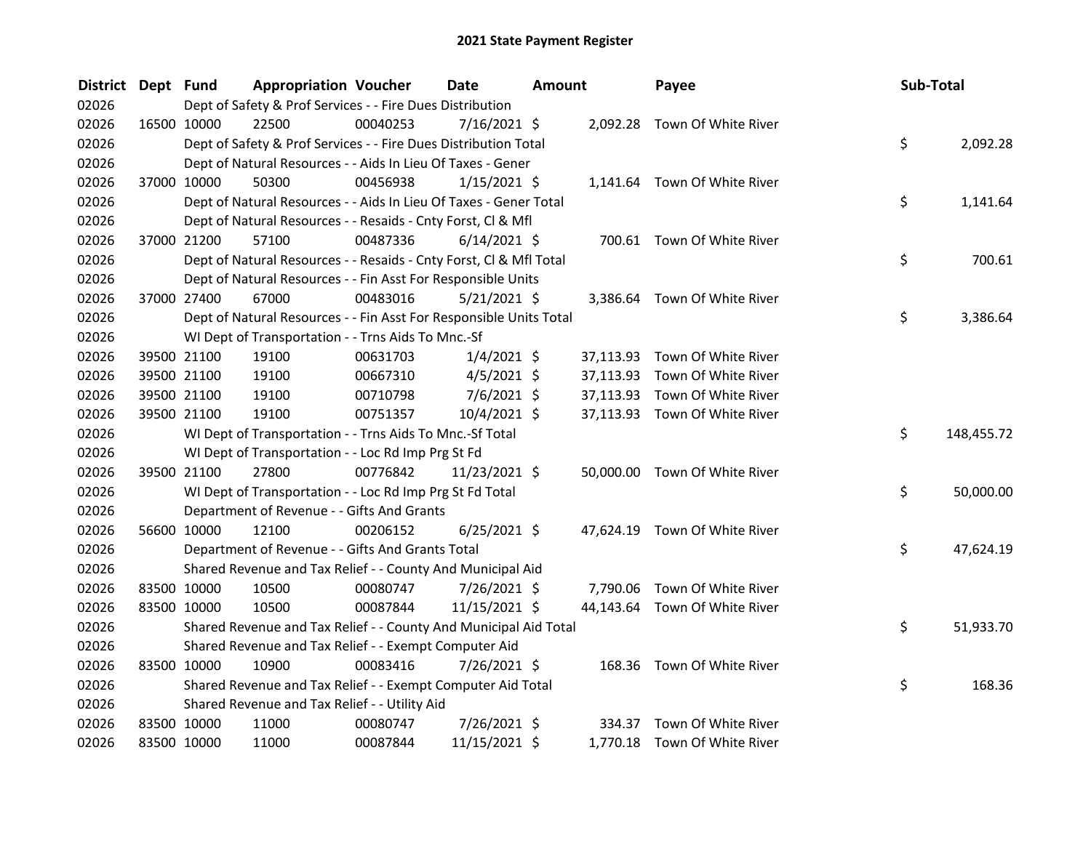| <b>District</b> | Dept Fund |             | <b>Appropriation Voucher</b>                                       |          | <b>Date</b>    | Amount |           | Payee                         | Sub-Total |            |
|-----------------|-----------|-------------|--------------------------------------------------------------------|----------|----------------|--------|-----------|-------------------------------|-----------|------------|
| 02026           |           |             | Dept of Safety & Prof Services - - Fire Dues Distribution          |          |                |        |           |                               |           |            |
| 02026           |           | 16500 10000 | 22500                                                              | 00040253 | 7/16/2021 \$   |        |           | 2,092.28 Town Of White River  |           |            |
| 02026           |           |             | Dept of Safety & Prof Services - - Fire Dues Distribution Total    |          |                |        |           |                               | \$        | 2,092.28   |
| 02026           |           |             | Dept of Natural Resources - - Aids In Lieu Of Taxes - Gener        |          |                |        |           |                               |           |            |
| 02026           |           | 37000 10000 | 50300                                                              | 00456938 | $1/15/2021$ \$ |        |           | 1,141.64 Town Of White River  |           |            |
| 02026           |           |             | Dept of Natural Resources - - Aids In Lieu Of Taxes - Gener Total  |          |                |        |           |                               | \$        | 1,141.64   |
| 02026           |           |             | Dept of Natural Resources - - Resaids - Cnty Forst, Cl & Mfl       |          |                |        |           |                               |           |            |
| 02026           |           | 37000 21200 | 57100                                                              | 00487336 | $6/14/2021$ \$ |        |           | 700.61 Town Of White River    |           |            |
| 02026           |           |             | Dept of Natural Resources - - Resaids - Cnty Forst, Cl & Mfl Total |          |                |        |           |                               | \$        | 700.61     |
| 02026           |           |             | Dept of Natural Resources - - Fin Asst For Responsible Units       |          |                |        |           |                               |           |            |
| 02026           |           | 37000 27400 | 67000                                                              | 00483016 | 5/21/2021 \$   |        |           | 3,386.64 Town Of White River  |           |            |
| 02026           |           |             | Dept of Natural Resources - - Fin Asst For Responsible Units Total |          |                |        |           |                               | \$.       | 3,386.64   |
| 02026           |           |             | WI Dept of Transportation - - Trns Aids To Mnc.-Sf                 |          |                |        |           |                               |           |            |
| 02026           |           | 39500 21100 | 19100                                                              | 00631703 | $1/4/2021$ \$  |        | 37,113.93 | Town Of White River           |           |            |
| 02026           |           | 39500 21100 | 19100                                                              | 00667310 | $4/5/2021$ \$  |        | 37,113.93 | Town Of White River           |           |            |
| 02026           |           | 39500 21100 | 19100                                                              | 00710798 | 7/6/2021 \$    |        | 37,113.93 | Town Of White River           |           |            |
| 02026           |           | 39500 21100 | 19100                                                              | 00751357 | 10/4/2021 \$   |        |           | 37,113.93 Town Of White River |           |            |
| 02026           |           |             | WI Dept of Transportation - - Trns Aids To Mnc.-Sf Total           |          |                |        |           |                               | \$        | 148,455.72 |
| 02026           |           |             | WI Dept of Transportation - - Loc Rd Imp Prg St Fd                 |          |                |        |           |                               |           |            |
| 02026           |           | 39500 21100 | 27800                                                              | 00776842 | 11/23/2021 \$  |        |           | 50,000.00 Town Of White River |           |            |
| 02026           |           |             | WI Dept of Transportation - - Loc Rd Imp Prg St Fd Total           |          |                |        |           |                               | \$.       | 50,000.00  |
| 02026           |           |             | Department of Revenue - - Gifts And Grants                         |          |                |        |           |                               |           |            |
| 02026           |           | 56600 10000 | 12100                                                              | 00206152 | $6/25/2021$ \$ |        |           | 47,624.19 Town Of White River |           |            |
| 02026           |           |             | Department of Revenue - - Gifts And Grants Total                   |          |                |        |           |                               | \$.       | 47,624.19  |
| 02026           |           |             | Shared Revenue and Tax Relief - - County And Municipal Aid         |          |                |        |           |                               |           |            |
| 02026           |           | 83500 10000 | 10500                                                              | 00080747 | 7/26/2021 \$   |        |           | 7,790.06 Town Of White River  |           |            |
| 02026           |           | 83500 10000 | 10500                                                              | 00087844 | 11/15/2021 \$  |        |           | 44,143.64 Town Of White River |           |            |
| 02026           |           |             | Shared Revenue and Tax Relief - - County And Municipal Aid Total   |          |                |        |           |                               | \$        | 51,933.70  |
| 02026           |           |             | Shared Revenue and Tax Relief - - Exempt Computer Aid              |          |                |        |           |                               |           |            |
| 02026           |           | 83500 10000 | 10900                                                              | 00083416 | 7/26/2021 \$   |        |           | 168.36 Town Of White River    |           |            |
| 02026           |           |             | Shared Revenue and Tax Relief - - Exempt Computer Aid Total        |          |                |        |           |                               | \$        | 168.36     |
| 02026           |           |             | Shared Revenue and Tax Relief - - Utility Aid                      |          |                |        |           |                               |           |            |
| 02026           |           | 83500 10000 | 11000                                                              | 00080747 | 7/26/2021 \$   |        | 334.37    | Town Of White River           |           |            |
| 02026           |           | 83500 10000 | 11000                                                              | 00087844 | 11/15/2021 \$  |        |           | 1,770.18 Town Of White River  |           |            |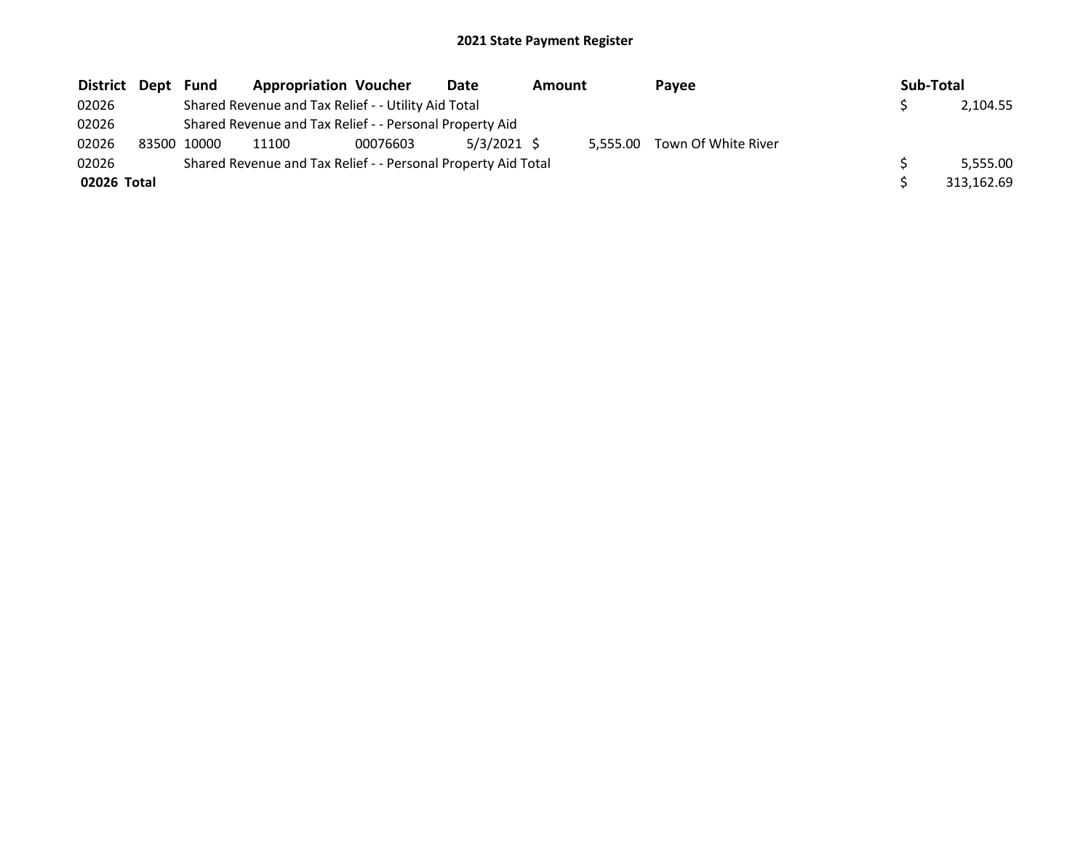| District Dept Fund |             | <b>Appropriation Voucher</b>                                  |          | Date          | <b>Amount</b> |          | <b>Pavee</b>        | Sub-Total |            |
|--------------------|-------------|---------------------------------------------------------------|----------|---------------|---------------|----------|---------------------|-----------|------------|
| 02026              |             | Shared Revenue and Tax Relief - - Utility Aid Total           |          |               |               |          |                     |           | 2,104.55   |
| 02026              |             | Shared Revenue and Tax Relief - - Personal Property Aid       |          |               |               |          |                     |           |            |
| 02026              | 83500 10000 | 11100                                                         | 00076603 | $5/3/2021$ \$ |               | 5.555.00 | Town Of White River |           |            |
| 02026              |             | Shared Revenue and Tax Relief - - Personal Property Aid Total |          |               |               |          |                     |           | 5.555.00   |
| 02026 Total        |             |                                                               |          |               |               |          |                     |           | 313.162.69 |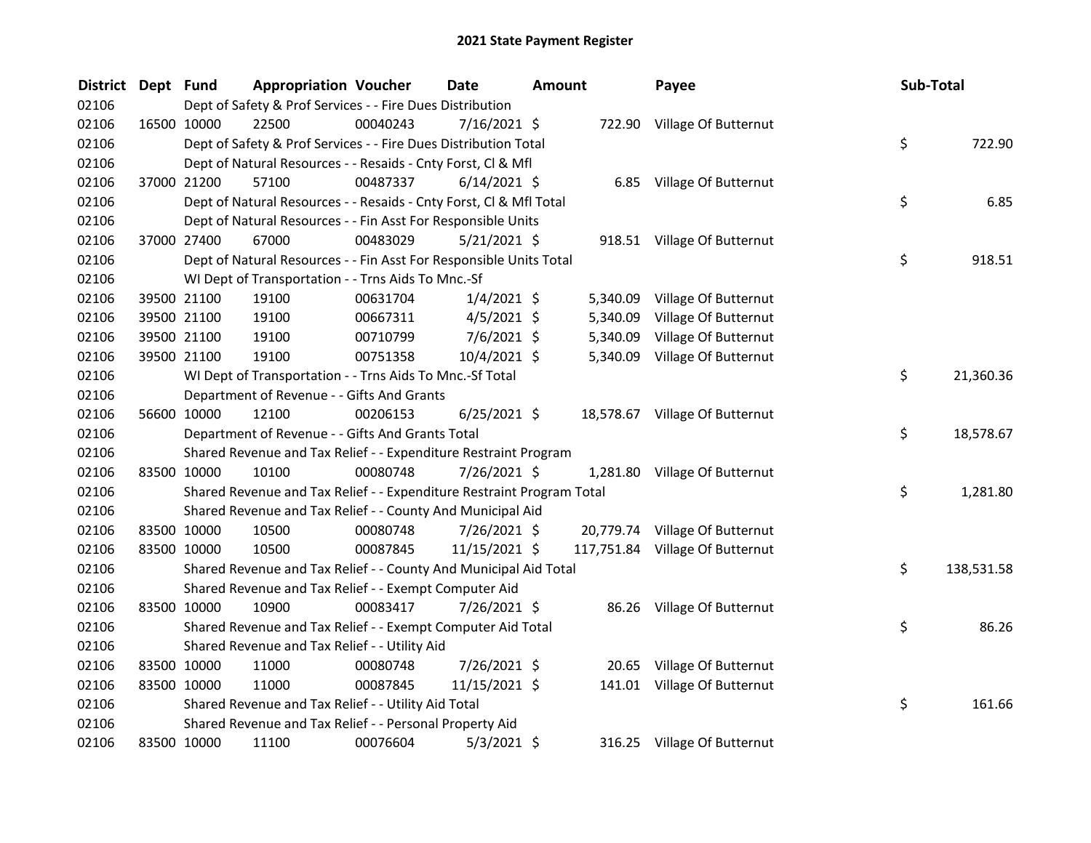| <b>District</b> | Dept Fund |                                                              | <b>Appropriation Voucher</b>                                          |          | <b>Date</b>    | Amount |          | Payee                           | Sub-Total |            |
|-----------------|-----------|--------------------------------------------------------------|-----------------------------------------------------------------------|----------|----------------|--------|----------|---------------------------------|-----------|------------|
| 02106           |           |                                                              | Dept of Safety & Prof Services - - Fire Dues Distribution             |          |                |        |          |                                 |           |            |
| 02106           |           | 16500 10000                                                  | 22500                                                                 | 00040243 | $7/16/2021$ \$ |        |          | 722.90 Village Of Butternut     |           |            |
| 02106           |           |                                                              | Dept of Safety & Prof Services - - Fire Dues Distribution Total       |          |                |        |          |                                 | \$        | 722.90     |
| 02106           |           |                                                              | Dept of Natural Resources - - Resaids - Cnty Forst, Cl & Mfl          |          |                |        |          |                                 |           |            |
| 02106           |           | 37000 21200                                                  | 57100                                                                 | 00487337 | $6/14/2021$ \$ |        |          | 6.85 Village Of Butternut       |           |            |
| 02106           |           |                                                              | Dept of Natural Resources - - Resaids - Cnty Forst, Cl & Mfl Total    |          |                |        |          |                                 | \$        | 6.85       |
| 02106           |           | Dept of Natural Resources - - Fin Asst For Responsible Units |                                                                       |          |                |        |          |                                 |           |            |
| 02106           |           | 37000 27400                                                  | 67000                                                                 | 00483029 | $5/21/2021$ \$ |        |          | 918.51 Village Of Butternut     |           |            |
| 02106           |           |                                                              | Dept of Natural Resources - - Fin Asst For Responsible Units Total    |          |                |        |          |                                 | \$        | 918.51     |
| 02106           |           |                                                              | WI Dept of Transportation - - Trns Aids To Mnc.-Sf                    |          |                |        |          |                                 |           |            |
| 02106           |           | 39500 21100                                                  | 19100                                                                 | 00631704 | $1/4/2021$ \$  |        | 5,340.09 | Village Of Butternut            |           |            |
| 02106           |           | 39500 21100                                                  | 19100                                                                 | 00667311 | $4/5/2021$ \$  |        | 5,340.09 | Village Of Butternut            |           |            |
| 02106           |           | 39500 21100                                                  | 19100                                                                 | 00710799 | $7/6/2021$ \$  |        | 5,340.09 | Village Of Butternut            |           |            |
| 02106           |           | 39500 21100                                                  | 19100                                                                 | 00751358 | 10/4/2021 \$   |        | 5,340.09 | Village Of Butternut            |           |            |
| 02106           |           |                                                              | WI Dept of Transportation - - Trns Aids To Mnc.-Sf Total              |          |                |        |          |                                 | \$        | 21,360.36  |
| 02106           |           |                                                              | Department of Revenue - - Gifts And Grants                            |          |                |        |          |                                 |           |            |
| 02106           |           | 56600 10000                                                  | 12100                                                                 | 00206153 | $6/25/2021$ \$ |        |          | 18,578.67 Village Of Butternut  |           |            |
| 02106           |           |                                                              | Department of Revenue - - Gifts And Grants Total                      |          |                |        |          |                                 | \$        | 18,578.67  |
| 02106           |           |                                                              | Shared Revenue and Tax Relief - - Expenditure Restraint Program       |          |                |        |          |                                 |           |            |
| 02106           |           | 83500 10000                                                  | 10100                                                                 | 00080748 | 7/26/2021 \$   |        |          | 1,281.80 Village Of Butternut   |           |            |
| 02106           |           |                                                              | Shared Revenue and Tax Relief - - Expenditure Restraint Program Total |          |                |        |          |                                 | \$        | 1,281.80   |
| 02106           |           |                                                              | Shared Revenue and Tax Relief - - County And Municipal Aid            |          |                |        |          |                                 |           |            |
| 02106           |           | 83500 10000                                                  | 10500                                                                 | 00080748 | 7/26/2021 \$   |        |          | 20,779.74 Village Of Butternut  |           |            |
| 02106           |           | 83500 10000                                                  | 10500                                                                 | 00087845 | 11/15/2021 \$  |        |          | 117,751.84 Village Of Butternut |           |            |
| 02106           |           |                                                              | Shared Revenue and Tax Relief - - County And Municipal Aid Total      |          |                |        |          |                                 | \$        | 138,531.58 |
| 02106           |           |                                                              | Shared Revenue and Tax Relief - - Exempt Computer Aid                 |          |                |        |          |                                 |           |            |
| 02106           |           | 83500 10000                                                  | 10900                                                                 | 00083417 | 7/26/2021 \$   |        |          | 86.26 Village Of Butternut      |           |            |
| 02106           |           |                                                              | Shared Revenue and Tax Relief - - Exempt Computer Aid Total           |          |                |        |          |                                 | \$        | 86.26      |
| 02106           |           |                                                              | Shared Revenue and Tax Relief - - Utility Aid                         |          |                |        |          |                                 |           |            |
| 02106           |           | 83500 10000                                                  | 11000                                                                 | 00080748 | 7/26/2021 \$   |        |          | 20.65 Village Of Butternut      |           |            |
| 02106           |           | 83500 10000                                                  | 11000                                                                 | 00087845 | 11/15/2021 \$  |        |          | 141.01 Village Of Butternut     |           |            |
| 02106           |           |                                                              | Shared Revenue and Tax Relief - - Utility Aid Total                   |          |                |        |          |                                 | \$        | 161.66     |
| 02106           |           |                                                              | Shared Revenue and Tax Relief - - Personal Property Aid               |          |                |        |          |                                 |           |            |
| 02106           |           | 83500 10000                                                  | 11100                                                                 | 00076604 | 5/3/2021 \$    |        |          | 316.25 Village Of Butternut     |           |            |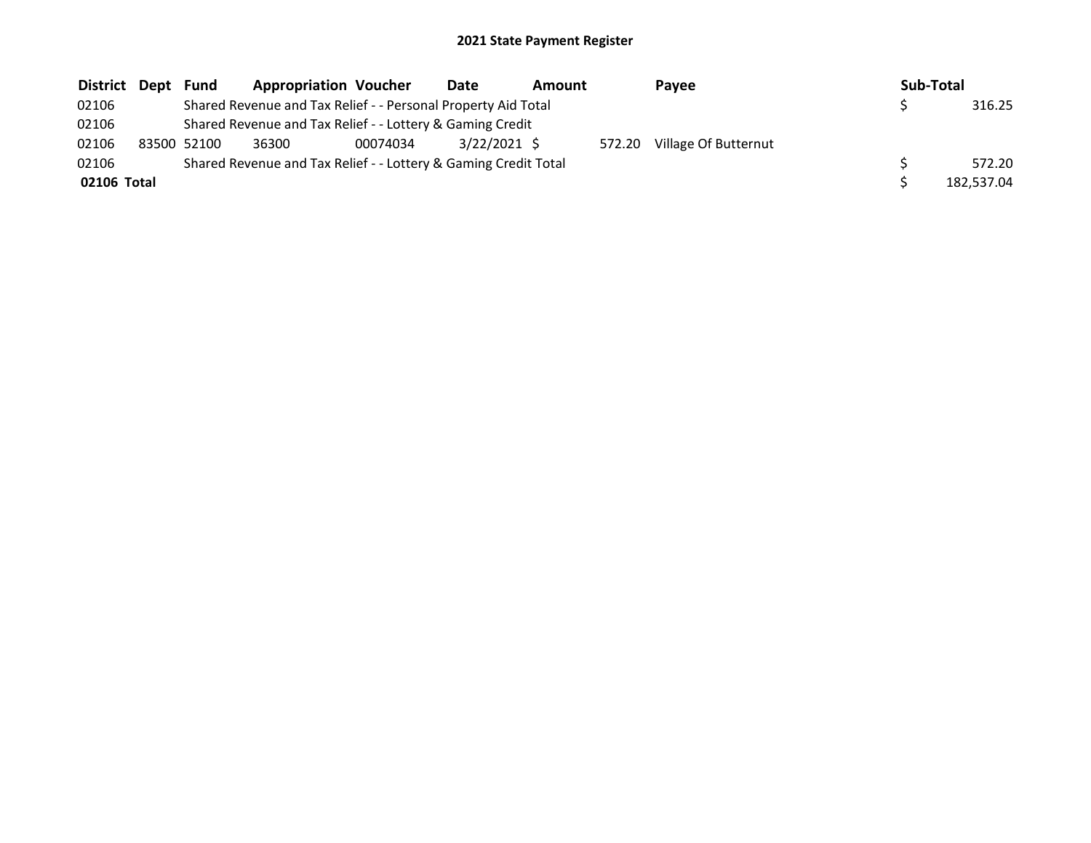| District Dept |                                                                 | Fund                                                          | <b>Appropriation Voucher</b>                              |          | <b>Date</b>  | <b>Amount</b> |        | Pavee                |            | Sub-Total |        |
|---------------|-----------------------------------------------------------------|---------------------------------------------------------------|-----------------------------------------------------------|----------|--------------|---------------|--------|----------------------|------------|-----------|--------|
| 02106         |                                                                 | Shared Revenue and Tax Relief - - Personal Property Aid Total |                                                           |          |              |               |        |                      |            |           | 316.25 |
| 02106         |                                                                 |                                                               | Shared Revenue and Tax Relief - - Lottery & Gaming Credit |          |              |               |        |                      |            |           |        |
| 02106         |                                                                 | 83500 52100                                                   | 36300                                                     | 00074034 | 3/22/2021 \$ |               | 572.20 | Village Of Butternut |            |           |        |
| 02106         | Shared Revenue and Tax Relief - - Lottery & Gaming Credit Total |                                                               |                                                           |          |              |               |        |                      |            | 572.20    |        |
| 02106 Total   |                                                                 |                                                               |                                                           |          |              |               |        |                      | 182.537.04 |           |        |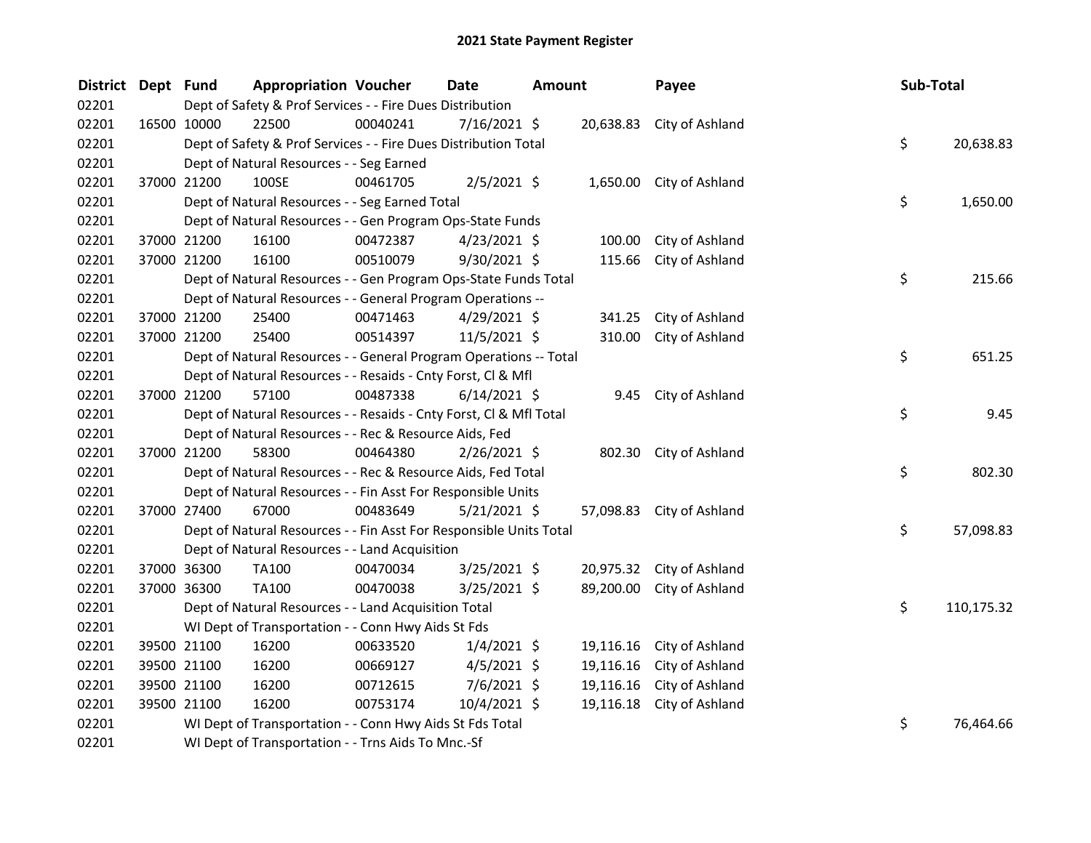| <b>District</b> | Dept Fund |                                                                 | <b>Appropriation Voucher</b>                                       |          | Date           | Amount |           | Payee                     |  | Sub-Total |            |
|-----------------|-----------|-----------------------------------------------------------------|--------------------------------------------------------------------|----------|----------------|--------|-----------|---------------------------|--|-----------|------------|
| 02201           |           |                                                                 | Dept of Safety & Prof Services - - Fire Dues Distribution          |          |                |        |           |                           |  |           |            |
| 02201           |           | 16500 10000                                                     | 22500                                                              | 00040241 | 7/16/2021 \$   |        | 20,638.83 | City of Ashland           |  |           |            |
| 02201           |           | Dept of Safety & Prof Services - - Fire Dues Distribution Total |                                                                    |          |                |        |           |                           |  |           | 20,638.83  |
| 02201           |           |                                                                 | Dept of Natural Resources - - Seg Earned                           |          |                |        |           |                           |  |           |            |
| 02201           |           | 37000 21200                                                     | 100SE                                                              | 00461705 | $2/5/2021$ \$  |        |           | 1,650.00 City of Ashland  |  |           |            |
| 02201           |           |                                                                 | Dept of Natural Resources - - Seg Earned Total                     |          |                |        |           |                           |  | \$        | 1,650.00   |
| 02201           |           |                                                                 | Dept of Natural Resources - - Gen Program Ops-State Funds          |          |                |        |           |                           |  |           |            |
| 02201           |           | 37000 21200                                                     | 16100                                                              | 00472387 | $4/23/2021$ \$ |        | 100.00    | City of Ashland           |  |           |            |
| 02201           |           | 37000 21200                                                     | 16100                                                              | 00510079 | 9/30/2021 \$   |        | 115.66    | City of Ashland           |  |           |            |
| 02201           |           |                                                                 | Dept of Natural Resources - - Gen Program Ops-State Funds Total    |          |                |        |           |                           |  | \$        | 215.66     |
| 02201           |           |                                                                 | Dept of Natural Resources - - General Program Operations --        |          |                |        |           |                           |  |           |            |
| 02201           |           | 37000 21200                                                     | 25400                                                              | 00471463 | $4/29/2021$ \$ |        | 341.25    | City of Ashland           |  |           |            |
| 02201           |           | 37000 21200                                                     | 25400                                                              | 00514397 | $11/5/2021$ \$ |        | 310.00    | City of Ashland           |  |           |            |
| 02201           |           |                                                                 | Dept of Natural Resources - - General Program Operations -- Total  |          |                |        |           |                           |  | \$        | 651.25     |
| 02201           |           |                                                                 | Dept of Natural Resources - - Resaids - Cnty Forst, Cl & Mfl       |          |                |        |           |                           |  |           |            |
| 02201           |           | 37000 21200                                                     | 57100                                                              | 00487338 | $6/14/2021$ \$ |        |           | 9.45 City of Ashland      |  |           |            |
| 02201           |           |                                                                 | Dept of Natural Resources - - Resaids - Cnty Forst, Cl & Mfl Total |          |                |        |           |                           |  | \$        | 9.45       |
| 02201           |           |                                                                 | Dept of Natural Resources - - Rec & Resource Aids, Fed             |          |                |        |           |                           |  |           |            |
| 02201           |           | 37000 21200                                                     | 58300                                                              | 00464380 | $2/26/2021$ \$ |        |           | 802.30 City of Ashland    |  |           |            |
| 02201           |           |                                                                 | Dept of Natural Resources - - Rec & Resource Aids, Fed Total       |          |                |        |           |                           |  | \$        | 802.30     |
| 02201           |           |                                                                 | Dept of Natural Resources - - Fin Asst For Responsible Units       |          |                |        |           |                           |  |           |            |
| 02201           |           | 37000 27400                                                     | 67000                                                              | 00483649 | $5/21/2021$ \$ |        |           | 57,098.83 City of Ashland |  |           |            |
| 02201           |           |                                                                 | Dept of Natural Resources - - Fin Asst For Responsible Units Total |          |                |        |           |                           |  | \$        | 57,098.83  |
| 02201           |           |                                                                 | Dept of Natural Resources - - Land Acquisition                     |          |                |        |           |                           |  |           |            |
| 02201           |           | 37000 36300                                                     | TA100                                                              | 00470034 | $3/25/2021$ \$ |        | 20,975.32 | City of Ashland           |  |           |            |
| 02201           |           | 37000 36300                                                     | TA100                                                              | 00470038 | 3/25/2021 \$   |        | 89,200.00 | City of Ashland           |  |           |            |
| 02201           |           |                                                                 | Dept of Natural Resources - - Land Acquisition Total               |          |                |        |           |                           |  | \$        | 110,175.32 |
| 02201           |           |                                                                 | WI Dept of Transportation - - Conn Hwy Aids St Fds                 |          |                |        |           |                           |  |           |            |
| 02201           |           | 39500 21100                                                     | 16200                                                              | 00633520 | $1/4/2021$ \$  |        | 19,116.16 | City of Ashland           |  |           |            |
| 02201           |           | 39500 21100                                                     | 16200                                                              | 00669127 | $4/5/2021$ \$  |        | 19,116.16 | City of Ashland           |  |           |            |
| 02201           |           | 39500 21100                                                     | 16200                                                              | 00712615 | 7/6/2021 \$    |        | 19,116.16 | City of Ashland           |  |           |            |
| 02201           |           | 39500 21100                                                     | 16200                                                              | 00753174 | 10/4/2021 \$   |        | 19,116.18 | City of Ashland           |  |           |            |
| 02201           |           |                                                                 | WI Dept of Transportation - - Conn Hwy Aids St Fds Total           |          |                |        |           |                           |  | \$        | 76,464.66  |
| 02201           |           |                                                                 | WI Dept of Transportation - - Trns Aids To Mnc.-Sf                 |          |                |        |           |                           |  |           |            |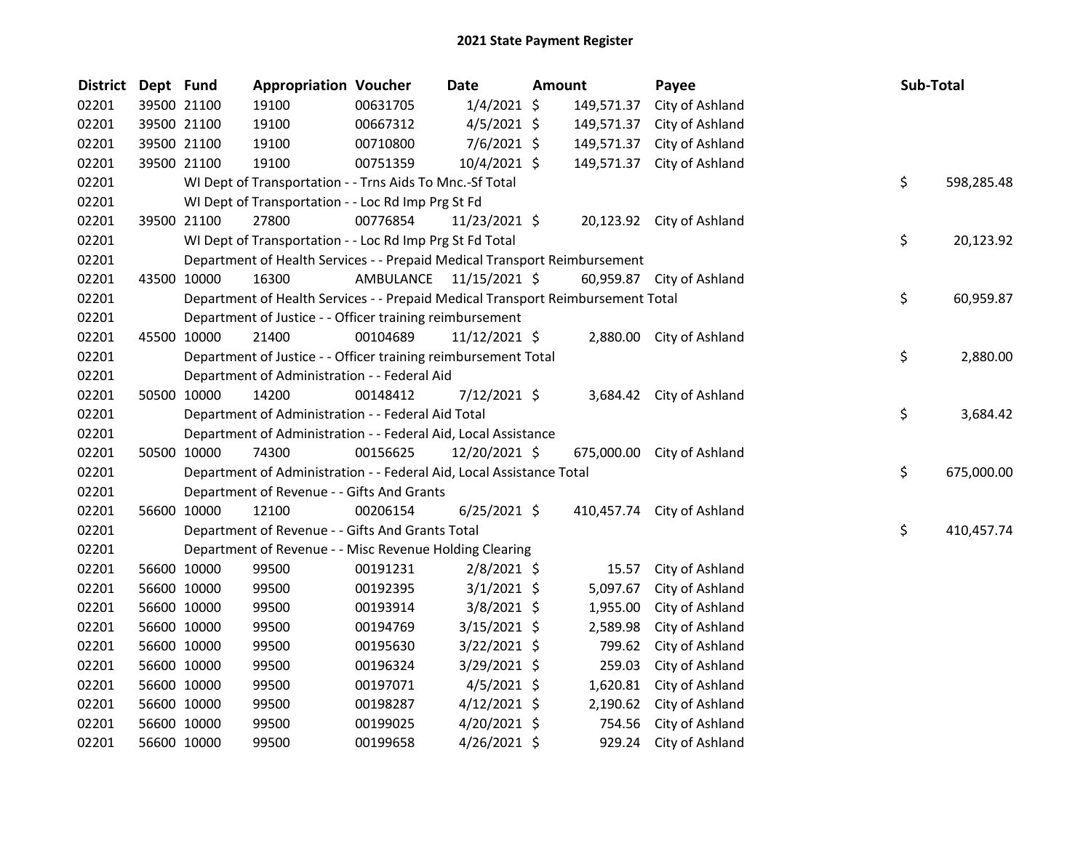| District | Dept Fund |             | <b>Appropriation Voucher</b>                                                    |                         | Date            | Amount |            | Payee                      | Sub-Total |            |
|----------|-----------|-------------|---------------------------------------------------------------------------------|-------------------------|-----------------|--------|------------|----------------------------|-----------|------------|
| 02201    |           | 39500 21100 | 19100                                                                           | 00631705                | $1/4/2021$ \$   |        | 149,571.37 | City of Ashland            |           |            |
| 02201    |           | 39500 21100 | 19100                                                                           | 00667312                | $4/5/2021$ \$   |        | 149,571.37 | City of Ashland            |           |            |
| 02201    |           | 39500 21100 | 19100                                                                           | 00710800                | $7/6/2021$ \$   |        | 149,571.37 | City of Ashland            |           |            |
| 02201    |           | 39500 21100 | 19100                                                                           | 00751359                | $10/4/2021$ \$  |        |            | 149,571.37 City of Ashland |           |            |
| 02201    |           |             | WI Dept of Transportation - - Trns Aids To Mnc.-Sf Total                        |                         |                 |        |            |                            | \$        | 598,285.48 |
| 02201    |           |             | WI Dept of Transportation - - Loc Rd Imp Prg St Fd                              |                         |                 |        |            |                            |           |            |
| 02201    |           | 39500 21100 | 27800                                                                           | 00776854                | 11/23/2021 \$   |        |            | 20,123.92 City of Ashland  |           |            |
| 02201    |           |             | WI Dept of Transportation - - Loc Rd Imp Prg St Fd Total                        |                         |                 |        |            |                            | \$        | 20,123.92  |
| 02201    |           |             | Department of Health Services - - Prepaid Medical Transport Reimbursement       |                         |                 |        |            |                            |           |            |
| 02201    |           | 43500 10000 | 16300                                                                           | AMBULANCE 11/15/2021 \$ |                 |        |            | 60,959.87 City of Ashland  |           |            |
| 02201    |           |             | Department of Health Services - - Prepaid Medical Transport Reimbursement Total |                         |                 |        |            |                            | \$        | 60,959.87  |
| 02201    |           |             | Department of Justice - - Officer training reimbursement                        |                         |                 |        |            |                            |           |            |
| 02201    |           | 45500 10000 | 21400                                                                           | 00104689                | $11/12/2021$ \$ |        |            | 2,880.00 City of Ashland   |           |            |
| 02201    |           |             | Department of Justice - - Officer training reimbursement Total                  |                         |                 |        |            |                            | \$        | 2,880.00   |
| 02201    |           |             | Department of Administration - - Federal Aid                                    |                         |                 |        |            |                            |           |            |
| 02201    |           | 50500 10000 | 14200                                                                           | 00148412                | $7/12/2021$ \$  |        |            | 3,684.42 City of Ashland   |           |            |
| 02201    |           |             | Department of Administration - - Federal Aid Total                              |                         |                 |        |            |                            | \$        | 3,684.42   |
| 02201    |           |             | Department of Administration - - Federal Aid, Local Assistance                  |                         |                 |        |            |                            |           |            |
| 02201    |           | 50500 10000 | 74300                                                                           | 00156625                | 12/20/2021 \$   |        |            | 675,000.00 City of Ashland |           |            |
| 02201    |           |             | Department of Administration - - Federal Aid, Local Assistance Total            |                         |                 |        |            |                            | \$        | 675,000.00 |
| 02201    |           |             | Department of Revenue - - Gifts And Grants                                      |                         |                 |        |            |                            |           |            |
| 02201    |           | 56600 10000 | 12100                                                                           | 00206154                | $6/25/2021$ \$  |        |            | 410,457.74 City of Ashland |           |            |
| 02201    |           |             | Department of Revenue - - Gifts And Grants Total                                |                         |                 |        |            |                            | \$        | 410,457.74 |
| 02201    |           |             | Department of Revenue - - Misc Revenue Holding Clearing                         |                         |                 |        |            |                            |           |            |
| 02201    |           | 56600 10000 | 99500                                                                           | 00191231                | $2/8/2021$ \$   |        | 15.57      | City of Ashland            |           |            |
| 02201    |           | 56600 10000 | 99500                                                                           | 00192395                | $3/1/2021$ \$   |        | 5,097.67   | City of Ashland            |           |            |
| 02201    |           | 56600 10000 | 99500                                                                           | 00193914                | $3/8/2021$ \$   |        | 1,955.00   | City of Ashland            |           |            |
| 02201    |           | 56600 10000 | 99500                                                                           | 00194769                | $3/15/2021$ \$  |        | 2,589.98   | City of Ashland            |           |            |
| 02201    |           | 56600 10000 | 99500                                                                           | 00195630                | $3/22/2021$ \$  |        | 799.62     | City of Ashland            |           |            |
| 02201    |           | 56600 10000 | 99500                                                                           | 00196324                | $3/29/2021$ \$  |        | 259.03     | City of Ashland            |           |            |
| 02201    |           | 56600 10000 | 99500                                                                           | 00197071                | $4/5/2021$ \$   |        | 1,620.81   | City of Ashland            |           |            |
| 02201    |           | 56600 10000 | 99500                                                                           | 00198287                | $4/12/2021$ \$  |        | 2,190.62   | City of Ashland            |           |            |
| 02201    |           | 56600 10000 | 99500                                                                           | 00199025                | 4/20/2021 \$    |        | 754.56     | City of Ashland            |           |            |
| 02201    |           | 56600 10000 | 99500                                                                           | 00199658                | 4/26/2021 \$    |        | 929.24     | City of Ashland            |           |            |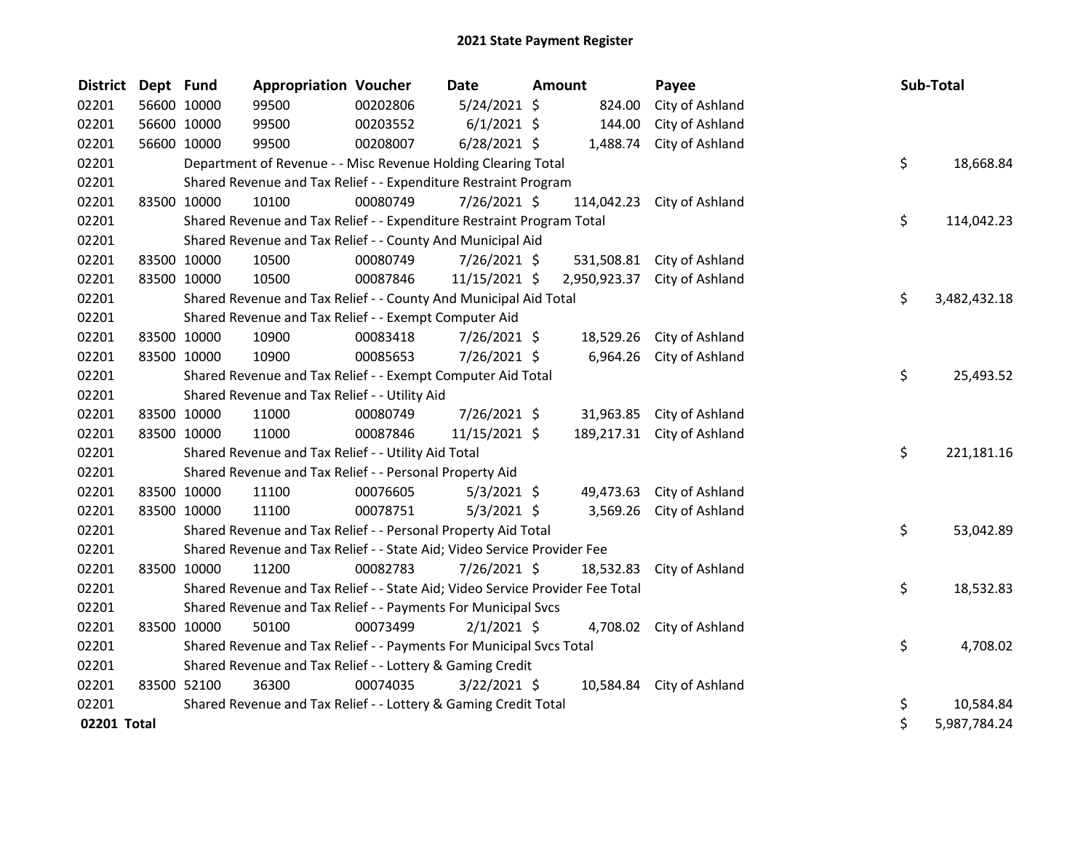| <b>District</b> | Dept Fund   |                                                                             | <b>Appropriation Voucher</b>                                                  |          | <b>Date</b>    | <b>Amount</b> |              | Payee                      |  | Sub-Total |              |
|-----------------|-------------|-----------------------------------------------------------------------------|-------------------------------------------------------------------------------|----------|----------------|---------------|--------------|----------------------------|--|-----------|--------------|
| 02201           |             | 56600 10000                                                                 | 99500                                                                         | 00202806 | 5/24/2021 \$   |               | 824.00       | City of Ashland            |  |           |              |
| 02201           |             | 56600 10000                                                                 | 99500                                                                         | 00203552 | $6/1/2021$ \$  |               | 144.00       | City of Ashland            |  |           |              |
| 02201           |             | 56600 10000                                                                 | 99500                                                                         | 00208007 | $6/28/2021$ \$ |               | 1,488.74     | City of Ashland            |  |           |              |
| 02201           |             |                                                                             | Department of Revenue - - Misc Revenue Holding Clearing Total                 |          |                |               |              |                            |  | \$        | 18,668.84    |
| 02201           |             | Shared Revenue and Tax Relief - - Expenditure Restraint Program             |                                                                               |          |                |               |              |                            |  |           |              |
| 02201           |             | 83500 10000                                                                 | 10100                                                                         | 00080749 | 7/26/2021 \$   |               | 114,042.23   | City of Ashland            |  |           |              |
| 02201           |             | \$<br>Shared Revenue and Tax Relief - - Expenditure Restraint Program Total |                                                                               |          |                |               |              |                            |  |           | 114,042.23   |
| 02201           |             |                                                                             | Shared Revenue and Tax Relief - - County And Municipal Aid                    |          |                |               |              |                            |  |           |              |
| 02201           |             | 83500 10000                                                                 | 10500                                                                         | 00080749 | $7/26/2021$ \$ |               |              | 531,508.81 City of Ashland |  |           |              |
| 02201           |             | 83500 10000                                                                 | 10500                                                                         | 00087846 | 11/15/2021 \$  |               | 2,950,923.37 | City of Ashland            |  |           |              |
| 02201           |             |                                                                             | Shared Revenue and Tax Relief - - County And Municipal Aid Total              |          |                |               |              |                            |  | \$        | 3,482,432.18 |
| 02201           |             |                                                                             | Shared Revenue and Tax Relief - - Exempt Computer Aid                         |          |                |               |              |                            |  |           |              |
| 02201           | 83500 10000 |                                                                             | 10900                                                                         | 00083418 | 7/26/2021 \$   |               | 18,529.26    | City of Ashland            |  |           |              |
| 02201           |             | 83500 10000                                                                 | 10900                                                                         | 00085653 | 7/26/2021 \$   |               | 6,964.26     | City of Ashland            |  |           |              |
| 02201           |             |                                                                             | Shared Revenue and Tax Relief - - Exempt Computer Aid Total                   |          |                |               |              |                            |  | \$        | 25,493.52    |
| 02201           |             |                                                                             | Shared Revenue and Tax Relief - - Utility Aid                                 |          |                |               |              |                            |  |           |              |
| 02201           |             | 83500 10000                                                                 | 11000                                                                         | 00080749 | 7/26/2021 \$   |               | 31,963.85    | City of Ashland            |  |           |              |
| 02201           |             | 83500 10000                                                                 | 11000                                                                         | 00087846 | 11/15/2021 \$  |               |              | 189,217.31 City of Ashland |  |           |              |
| 02201           |             |                                                                             | Shared Revenue and Tax Relief - - Utility Aid Total                           |          |                |               |              |                            |  | \$        | 221,181.16   |
| 02201           |             |                                                                             | Shared Revenue and Tax Relief - - Personal Property Aid                       |          |                |               |              |                            |  |           |              |
| 02201           |             | 83500 10000                                                                 | 11100                                                                         | 00076605 | $5/3/2021$ \$  |               | 49,473.63    | City of Ashland            |  |           |              |
| 02201           |             | 83500 10000                                                                 | 11100                                                                         | 00078751 | $5/3/2021$ \$  |               | 3,569.26     | City of Ashland            |  |           |              |
| 02201           |             |                                                                             | Shared Revenue and Tax Relief - - Personal Property Aid Total                 |          |                |               |              |                            |  | \$        | 53,042.89    |
| 02201           |             |                                                                             | Shared Revenue and Tax Relief - - State Aid; Video Service Provider Fee       |          |                |               |              |                            |  |           |              |
| 02201           |             | 83500 10000                                                                 | 11200                                                                         | 00082783 | 7/26/2021 \$   |               | 18,532.83    | City of Ashland            |  |           |              |
| 02201           |             |                                                                             | Shared Revenue and Tax Relief - - State Aid; Video Service Provider Fee Total |          |                |               |              |                            |  | \$        | 18,532.83    |
| 02201           |             |                                                                             | Shared Revenue and Tax Relief - - Payments For Municipal Svcs                 |          |                |               |              |                            |  |           |              |
| 02201           |             | 83500 10000                                                                 | 50100                                                                         | 00073499 | $2/1/2021$ \$  |               |              | 4,708.02 City of Ashland   |  |           |              |
| 02201           |             |                                                                             | Shared Revenue and Tax Relief - - Payments For Municipal Svcs Total           |          |                |               |              |                            |  | \$        | 4,708.02     |
| 02201           |             |                                                                             | Shared Revenue and Tax Relief - - Lottery & Gaming Credit                     |          |                |               |              |                            |  |           |              |
| 02201           |             | 83500 52100                                                                 | 36300                                                                         | 00074035 | $3/22/2021$ \$ |               |              | 10,584.84 City of Ashland  |  |           |              |
| 02201           |             |                                                                             | Shared Revenue and Tax Relief - - Lottery & Gaming Credit Total               |          |                |               |              |                            |  | \$        | 10,584.84    |
| 02201 Total     |             |                                                                             |                                                                               |          |                |               |              |                            |  | \$        | 5,987,784.24 |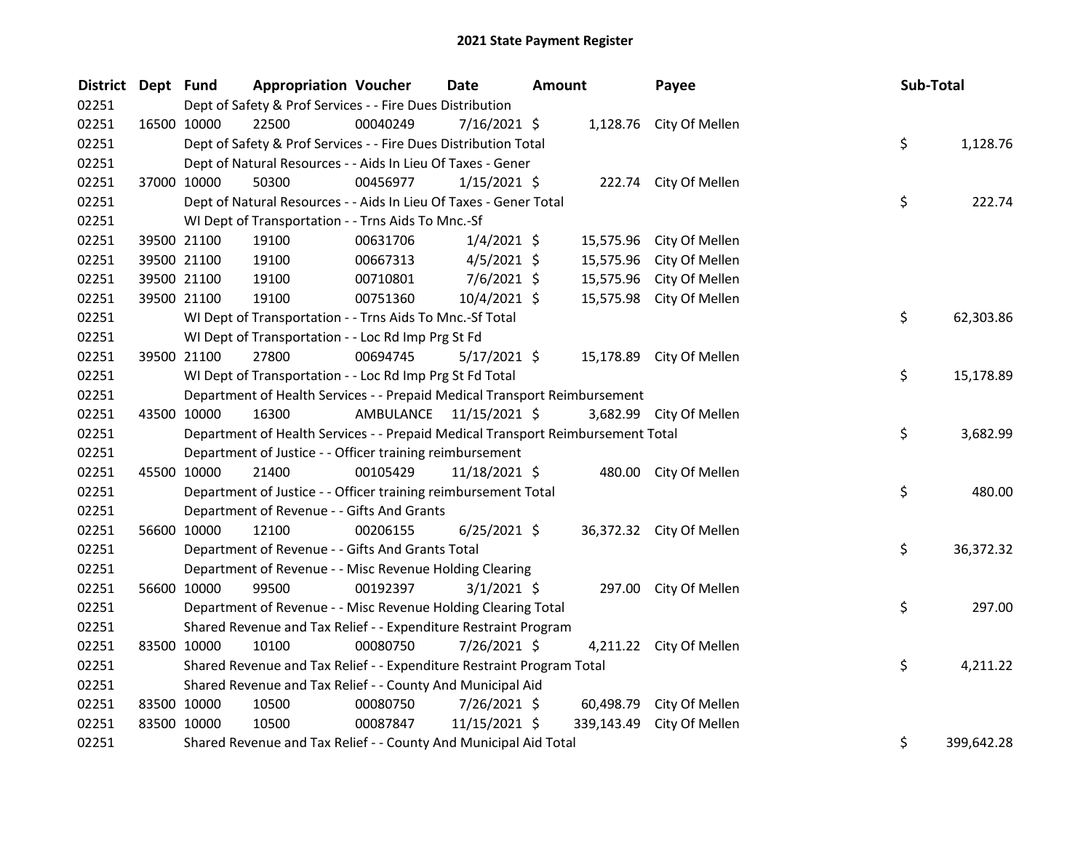| <b>District</b> | Dept Fund   |                                                                                 | <b>Appropriation Voucher</b> | <b>Date</b>             | <b>Amount</b> |            | Payee                    |  | Sub-Total |            |
|-----------------|-------------|---------------------------------------------------------------------------------|------------------------------|-------------------------|---------------|------------|--------------------------|--|-----------|------------|
| 02251           |             | Dept of Safety & Prof Services - - Fire Dues Distribution                       |                              |                         |               |            |                          |  |           |            |
| 02251           | 16500 10000 | 22500                                                                           | 00040249                     | 7/16/2021 \$            |               |            | 1,128.76 City Of Mellen  |  |           |            |
| 02251           |             | \$<br>Dept of Safety & Prof Services - - Fire Dues Distribution Total           |                              |                         |               |            |                          |  |           |            |
| 02251           |             | Dept of Natural Resources - - Aids In Lieu Of Taxes - Gener                     |                              |                         |               |            |                          |  |           |            |
| 02251           | 37000 10000 | 50300                                                                           | 00456977                     | $1/15/2021$ \$          |               |            | 222.74 City Of Mellen    |  |           |            |
| 02251           |             | Dept of Natural Resources - - Aids In Lieu Of Taxes - Gener Total               |                              |                         |               |            |                          |  | \$        | 222.74     |
| 02251           |             | WI Dept of Transportation - - Trns Aids To Mnc.-Sf                              |                              |                         |               |            |                          |  |           |            |
| 02251           |             | 39500 21100<br>19100                                                            | 00631706                     | $1/4/2021$ \$           |               | 15,575.96  | City Of Mellen           |  |           |            |
| 02251           |             | 19100<br>39500 21100                                                            | 00667313                     | $4/5/2021$ \$           |               | 15,575.96  | City Of Mellen           |  |           |            |
| 02251           | 39500 21100 | 19100                                                                           | 00710801                     | $7/6/2021$ \$           |               | 15,575.96  | City Of Mellen           |  |           |            |
| 02251           | 39500 21100 | 19100                                                                           | 00751360                     | 10/4/2021 \$            |               |            | 15,575.98 City Of Mellen |  |           |            |
| 02251           |             | WI Dept of Transportation - - Trns Aids To Mnc.-Sf Total                        |                              |                         |               |            |                          |  | \$        | 62,303.86  |
| 02251           |             | WI Dept of Transportation - - Loc Rd Imp Prg St Fd                              |                              |                         |               |            |                          |  |           |            |
| 02251           | 39500 21100 | 27800                                                                           | 00694745                     | $5/17/2021$ \$          |               |            | 15,178.89 City Of Mellen |  |           |            |
| 02251           |             | WI Dept of Transportation - - Loc Rd Imp Prg St Fd Total                        |                              |                         |               |            |                          |  | \$        | 15,178.89  |
| 02251           |             | Department of Health Services - - Prepaid Medical Transport Reimbursement       |                              |                         |               |            |                          |  |           |            |
| 02251           | 43500 10000 | 16300                                                                           |                              | AMBULANCE 11/15/2021 \$ |               |            | 3,682.99 City Of Mellen  |  |           |            |
| 02251           |             | Department of Health Services - - Prepaid Medical Transport Reimbursement Total |                              |                         |               |            |                          |  | \$        | 3,682.99   |
| 02251           |             | Department of Justice - - Officer training reimbursement                        |                              |                         |               |            |                          |  |           |            |
| 02251           | 45500 10000 | 21400                                                                           | 00105429                     | 11/18/2021 \$           |               |            | 480.00 City Of Mellen    |  |           |            |
| 02251           |             | Department of Justice - - Officer training reimbursement Total                  |                              |                         |               |            |                          |  | \$        | 480.00     |
| 02251           |             | Department of Revenue - - Gifts And Grants                                      |                              |                         |               |            |                          |  |           |            |
| 02251           | 56600 10000 | 12100                                                                           | 00206155                     | $6/25/2021$ \$          |               |            | 36,372.32 City Of Mellen |  |           |            |
| 02251           |             | Department of Revenue - - Gifts And Grants Total                                |                              |                         |               |            |                          |  | \$        | 36,372.32  |
| 02251           |             | Department of Revenue - - Misc Revenue Holding Clearing                         |                              |                         |               |            |                          |  |           |            |
| 02251           | 56600 10000 | 99500                                                                           | 00192397                     | $3/1/2021$ \$           |               |            | 297.00 City Of Mellen    |  |           |            |
| 02251           |             | Department of Revenue - - Misc Revenue Holding Clearing Total                   |                              |                         |               |            |                          |  | \$        | 297.00     |
| 02251           |             | Shared Revenue and Tax Relief - - Expenditure Restraint Program                 |                              |                         |               |            |                          |  |           |            |
| 02251           | 83500 10000 | 10100                                                                           | 00080750                     | 7/26/2021 \$            |               |            | 4,211.22 City Of Mellen  |  |           |            |
| 02251           |             | Shared Revenue and Tax Relief - - Expenditure Restraint Program Total           |                              |                         |               |            |                          |  | \$        | 4,211.22   |
| 02251           |             | Shared Revenue and Tax Relief - - County And Municipal Aid                      |                              |                         |               |            |                          |  |           |            |
| 02251           | 83500 10000 | 10500                                                                           | 00080750                     | 7/26/2021 \$            |               |            | 60,498.79 City Of Mellen |  |           |            |
| 02251           | 83500 10000 | 10500                                                                           | 00087847                     | 11/15/2021 \$           |               | 339,143.49 | City Of Mellen           |  |           |            |
| 02251           |             | Shared Revenue and Tax Relief - - County And Municipal Aid Total                |                              |                         |               |            |                          |  | \$        | 399,642.28 |